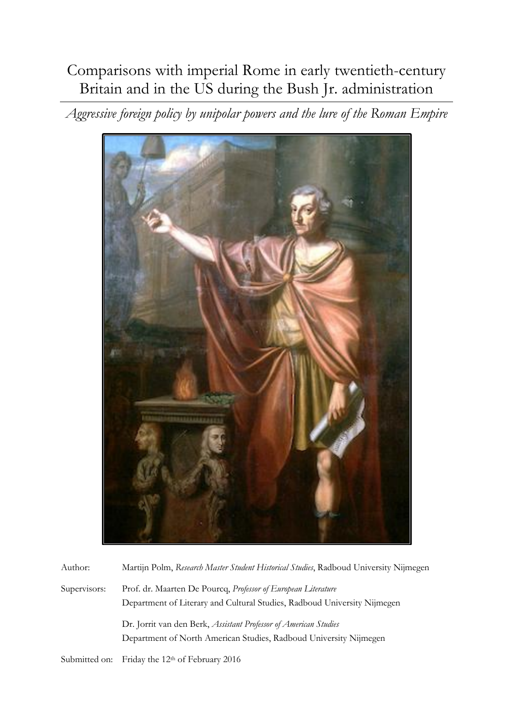# Comparisons with imperial Rome in early twentieth-century Britain and in the US during the Bush Jr. administration

*Aggressive foreign policy by unipolar powers and the lure of the Roman Empire*



| Author:       | Martijn Polm, Research Master Student Historical Studies, Radboud University Nijmegen                                                     |
|---------------|-------------------------------------------------------------------------------------------------------------------------------------------|
| Supervisors:  | Prof. dr. Maarten De Pourcq, Professor of European Literature<br>Department of Literary and Cultural Studies, Radboud University Nijmegen |
|               | Dr. Jornt van den Berk, Assistant Professor of American Studies<br>Department of North American Studies, Radboud University Nijmegen      |
| Submitted on: | Friday the 12 <sup>th</sup> of February 2016                                                                                              |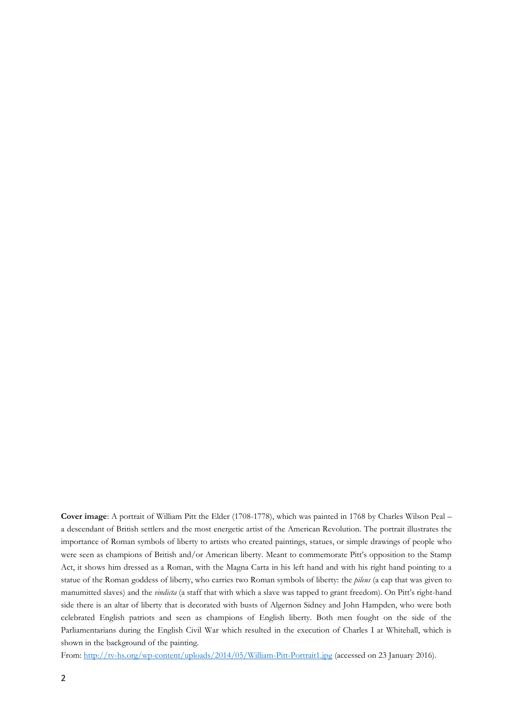**Cover image**: A portrait of William Pitt the Elder (1708-1778), which was painted in 1768 by Charles Wilson Peal – a descendant of British settlers and the most energetic artist of the American Revolution. The portrait illustrates the importance of Roman symbols of liberty to artists who created paintings, statues, or simple drawings of people who were seen as champions of British and/or American liberty. Meant to commemorate Pitt's opposition to the Stamp Act, it shows him dressed as a Roman, with the Magna Carta in his left hand and with his right hand pointing to a statue of the Roman goddess of liberty, who carries two Roman symbols of liberty: the *pileus* (a cap that was given to manumitted slaves) and the *vindicta* (a staff that with which a slave was tapped to grant freedom). On Pitt's right-hand side there is an altar of liberty that is decorated with busts of Algernon Sidney and John Hampden, who were both celebrated English patriots and seen as champions of English liberty. Both men fought on the side of the Parliamentarians during the English Civil War which resulted in the execution of Charles I at Whitehall, which is shown in the background of the painting.

From:<http://tv-hs.org/wp-content/uploads/2014/05/William-Pitt-Portrait1.jpg> (accessed on 23 January 2016).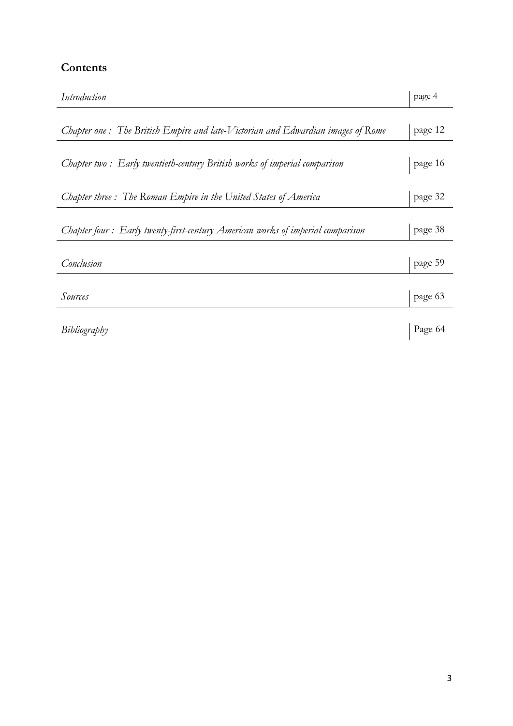# **Contents**

| Introduction                                                                    | page 4  |
|---------------------------------------------------------------------------------|---------|
|                                                                                 |         |
| Chapter one: The British Empire and late-Victorian and Edwardian images of Rome | page 12 |
| Chapter two: Early twentieth-century British works of imperial comparison       | page 16 |
|                                                                                 |         |
| Chapter three: The Roman Empire in the United States of America                 | page 32 |
| Chapter four: Early twenty-first-century American works of imperial comparison  | page 38 |
| Conclusion                                                                      | page 59 |
| Sources                                                                         | page 63 |
| Bibliography                                                                    | Page 64 |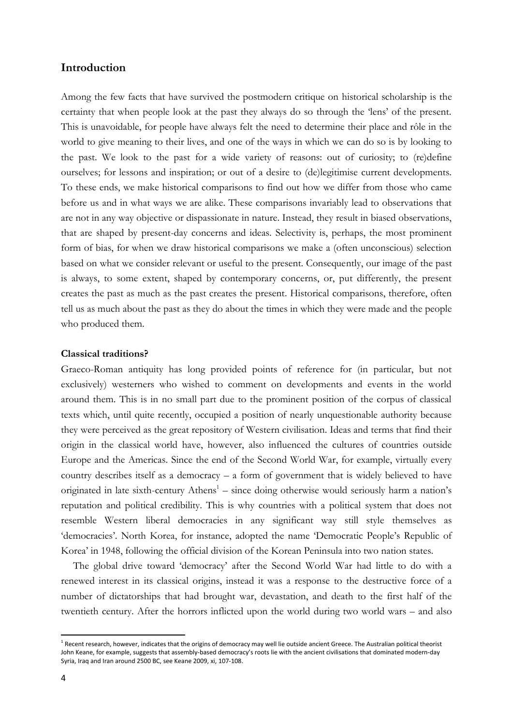#### **Introduction**

Among the few facts that have survived the postmodern critique on historical scholarship is the certainty that when people look at the past they always do so through the 'lens' of the present. This is unavoidable, for people have always felt the need to determine their place and rôle in the world to give meaning to their lives, and one of the ways in which we can do so is by looking to the past. We look to the past for a wide variety of reasons: out of curiosity; to (re)define ourselves; for lessons and inspiration; or out of a desire to (de)legitimise current developments. To these ends, we make historical comparisons to find out how we differ from those who came before us and in what ways we are alike. These comparisons invariably lead to observations that are not in any way objective or dispassionate in nature. Instead, they result in biased observations, that are shaped by present-day concerns and ideas. Selectivity is, perhaps, the most prominent form of bias, for when we draw historical comparisons we make a (often unconscious) selection based on what we consider relevant or useful to the present. Consequently, our image of the past is always, to some extent, shaped by contemporary concerns, or, put differently, the present creates the past as much as the past creates the present. Historical comparisons, therefore, often tell us as much about the past as they do about the times in which they were made and the people who produced them.

#### **Classical traditions?**

Graeco-Roman antiquity has long provided points of reference for (in particular, but not exclusively) westerners who wished to comment on developments and events in the world around them. This is in no small part due to the prominent position of the corpus of classical texts which, until quite recently, occupied a position of nearly unquestionable authority because they were perceived as the great repository of Western civilisation. Ideas and terms that find their origin in the classical world have, however, also influenced the cultures of countries outside Europe and the Americas. Since the end of the Second World War, for example, virtually every country describes itself as a democracy – a form of government that is widely believed to have originated in late sixth-century Athens<sup>1</sup> – since doing otherwise would seriously harm a nation's reputation and political credibility. This is why countries with a political system that does not resemble Western liberal democracies in any significant way still style themselves as 'democracies'. North Korea, for instance, adopted the name 'Democratic People's Republic of Korea' in 1948, following the official division of the Korean Peninsula into two nation states.

The global drive toward 'democracy' after the Second World War had little to do with a renewed interest in its classical origins, instead it was a response to the destructive force of a number of dictatorships that had brought war, devastation, and death to the first half of the twentieth century. After the horrors inflicted upon the world during two world wars – and also

<sup>&</sup>lt;sup>1</sup> Recent research, however, indicates that the origins of democracy may well lie outside ancient Greece. The Australian political theorist John Keane, for example, suggests that assembly-based democracy's roots lie with the ancient civilisations that dominated modern-day Syria, Iraq and Iran around 2500 BC, see Keane 2009, xi, 107-108.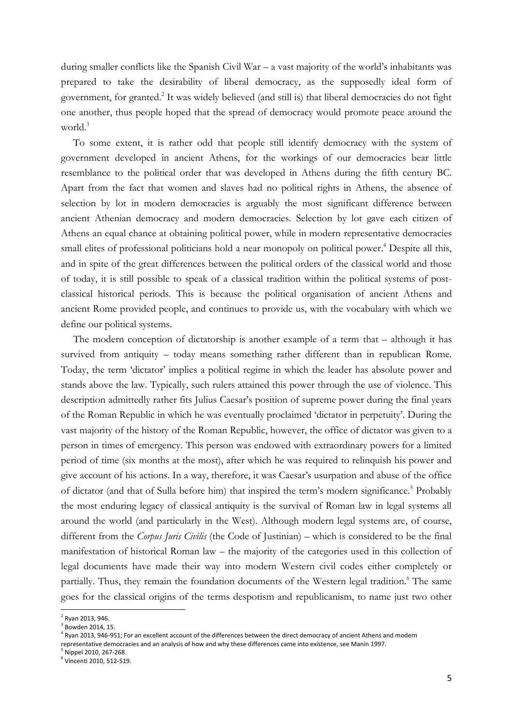during smaller conflicts like the Spanish Civil War – a vast majority of the world's inhabitants was prepared to take the desirability of liberal democracy, as the supposedly ideal form of government, for granted.<sup>2</sup> It was widely believed (and still is) that liberal democracies do not fight one another, thus people hoped that the spread of democracy would promote peace around the world.<sup>3</sup>

To some extent, it is rather odd that people still identify democracy with the system of government developed in ancient Athens, for the workings of our democracies bear little resemblance to the political order that was developed in Athens during the fifth century BC. Apart from the fact that women and slaves had no political rights in Athens, the absence of selection by lot in modern democracies is arguably the most significant difference between ancient Athenian democracy and modern democracies. Selection by lot gave each citizen of Athens an equal chance at obtaining political power, while in modern representative democracies small elites of professional politicians hold a near monopoly on political power. <sup>4</sup> Despite all this, and in spite of the great differences between the political orders of the classical world and those of today, it is still possible to speak of a classical tradition within the political systems of postclassical historical periods. This is because the political organisation of ancient Athens and ancient Rome provided people, and continues to provide us, with the vocabulary with which we define our political systems.

The modern conception of dictatorship is another example of a term that – although it has survived from antiquity – today means something rather different than in republican Rome. Today, the term 'dictator' implies a political regime in which the leader has absolute power and stands above the law. Typically, such rulers attained this power through the use of violence. This description admittedly rather fits Julius Caesar's position of supreme power during the final years of the Roman Republic in which he was eventually proclaimed 'dictator in perpetuity'. During the vast majority of the history of the Roman Republic, however, the office of dictator was given to a person in times of emergency. This person was endowed with extraordinary powers for a limited period of time (six months at the most), after which he was required to relinquish his power and give account of his actions. In a way, therefore, it was Caesar's usurpation and abuse of the office of dictator (and that of Sulla before him) that inspired the term's modern significance.<sup>5</sup> Probably the most enduring legacy of classical antiquity is the survival of Roman law in legal systems all around the world (and particularly in the West). Although modern legal systems are, of course, different from the *Corpus Juris Civilis* (the Code of Justinian) – which is considered to be the final manifestation of historical Roman law – the majority of the categories used in this collection of legal documents have made their way into modern Western civil codes either completely or partially. Thus, they remain the foundation documents of the Western legal tradition.<sup>6</sup> The same goes for the classical origins of the terms despotism and republicanism, to name just two other

<sup>2</sup> Ryan 2013, 946.

<sup>3</sup> Bowden 2014, 15.

<sup>4</sup> Ryan 2013, 946-951; For an excellent account of the differences between the direct democracy of ancient Athens and modern representative democracies and an analysis of how and why these differences came into existence, see Manin 1997.

<sup>5</sup> Nippel 2010, 267-268.

<sup>6</sup> Vincenti 2010, 512-519.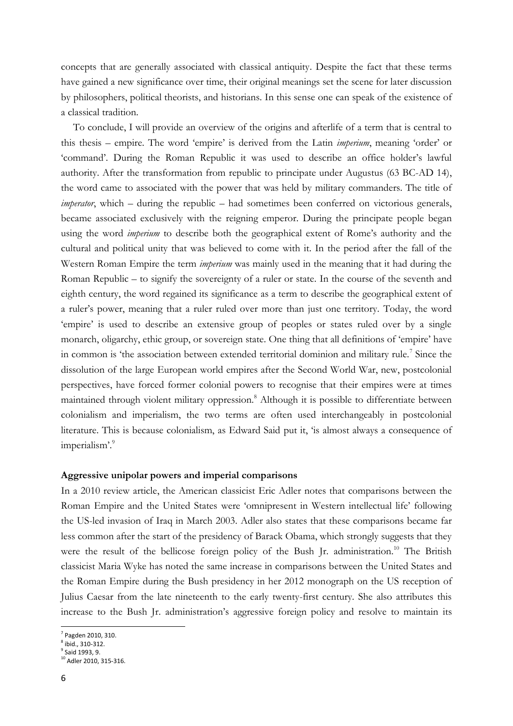concepts that are generally associated with classical antiquity. Despite the fact that these terms have gained a new significance over time, their original meanings set the scene for later discussion by philosophers, political theorists, and historians. In this sense one can speak of the existence of a classical tradition.

To conclude, I will provide an overview of the origins and afterlife of a term that is central to this thesis – empire. The word 'empire' is derived from the Latin *imperium*, meaning 'order' or 'command'. During the Roman Republic it was used to describe an office holder's lawful authority. After the transformation from republic to principate under Augustus (63 BC-AD 14), the word came to associated with the power that was held by military commanders. The title of *imperator*, which – during the republic – had sometimes been conferred on victorious generals, became associated exclusively with the reigning emperor. During the principate people began using the word *imperium* to describe both the geographical extent of Rome's authority and the cultural and political unity that was believed to come with it. In the period after the fall of the Western Roman Empire the term *imperium* was mainly used in the meaning that it had during the Roman Republic – to signify the sovereignty of a ruler or state. In the course of the seventh and eighth century, the word regained its significance as a term to describe the geographical extent of a ruler's power, meaning that a ruler ruled over more than just one territory. Today, the word 'empire' is used to describe an extensive group of peoples or states ruled over by a single monarch, oligarchy, ethic group, or sovereign state. One thing that all definitions of 'empire' have in common is 'the association between extended territorial dominion and military rule.<sup>7</sup> Since the dissolution of the large European world empires after the Second World War, new, postcolonial perspectives, have forced former colonial powers to recognise that their empires were at times maintained through violent military oppression.<sup>8</sup> Although it is possible to differentiate between colonialism and imperialism, the two terms are often used interchangeably in postcolonial literature. This is because colonialism, as Edward Said put it, 'is almost always a consequence of imperialism'.<sup>9</sup>

#### **Aggressive unipolar powers and imperial comparisons**

In a 2010 review article, the American classicist Eric Adler notes that comparisons between the Roman Empire and the United States were 'omnipresent in Western intellectual life' following the US-led invasion of Iraq in March 2003. Adler also states that these comparisons became far less common after the start of the presidency of Barack Obama, which strongly suggests that they were the result of the bellicose foreign policy of the Bush Jr. administration.<sup>10</sup> The British classicist Maria Wyke has noted the same increase in comparisons between the United States and the Roman Empire during the Bush presidency in her 2012 monograph on the US reception of Julius Caesar from the late nineteenth to the early twenty-first century. She also attributes this increase to the Bush Jr. administration's aggressive foreign policy and resolve to maintain its

<sup>7</sup> Pagden 2010, 310.

<sup>8</sup> ibid., 310-312.

<sup>9</sup> Said 1993, 9. <sup>10</sup> Adler 2010, 315-316.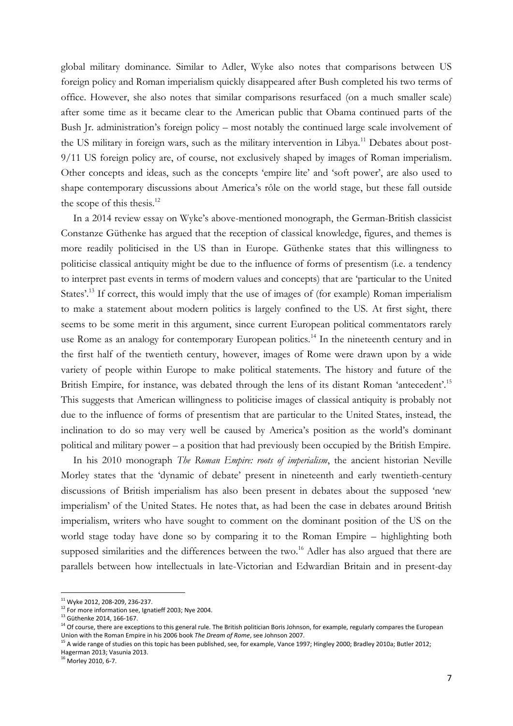global military dominance. Similar to Adler, Wyke also notes that comparisons between US foreign policy and Roman imperialism quickly disappeared after Bush completed his two terms of office. However, she also notes that similar comparisons resurfaced (on a much smaller scale) after some time as it became clear to the American public that Obama continued parts of the Bush Jr. administration's foreign policy – most notably the continued large scale involvement of the US military in foreign wars, such as the military intervention in Libya.<sup>11</sup> Debates about post-9/11 US foreign policy are, of course, not exclusively shaped by images of Roman imperialism. Other concepts and ideas, such as the concepts 'empire lite' and 'soft power', are also used to shape contemporary discussions about America's rôle on the world stage, but these fall outside the scope of this thesis.<sup>12</sup>

In a 2014 review essay on Wyke's above-mentioned monograph, the German-British classicist Constanze Güthenke has argued that the reception of classical knowledge, figures, and themes is more readily politicised in the US than in Europe. Güthenke states that this willingness to politicise classical antiquity might be due to the influence of forms of presentism (i.e. a tendency to interpret past events in terms of modern values and concepts) that are 'particular to the United States'.<sup>13</sup> If correct, this would imply that the use of images of (for example) Roman imperialism to make a statement about modern politics is largely confined to the US. At first sight, there seems to be some merit in this argument, since current European political commentators rarely use Rome as an analogy for contemporary European politics.<sup>14</sup> In the nineteenth century and in the first half of the twentieth century, however, images of Rome were drawn upon by a wide variety of people within Europe to make political statements. The history and future of the British Empire, for instance, was debated through the lens of its distant Roman 'antecedent'.<sup>15</sup> This suggests that American willingness to politicise images of classical antiquity is probably not due to the influence of forms of presentism that are particular to the United States, instead, the inclination to do so may very well be caused by America's position as the world's dominant political and military power – a position that had previously been occupied by the British Empire.

In his 2010 monograph *The Roman Empire: roots of imperialism*, the ancient historian Neville Morley states that the 'dynamic of debate' present in nineteenth and early twentieth-century discussions of British imperialism has also been present in debates about the supposed 'new imperialism' of the United States. He notes that, as had been the case in debates around British imperialism, writers who have sought to comment on the dominant position of the US on the world stage today have done so by comparing it to the Roman Empire – highlighting both supposed similarities and the differences between the two.<sup>16</sup> Adler has also argued that there are parallels between how intellectuals in late-Victorian and Edwardian Britain and in present-day

<sup>16</sup> Morley 2010, 6-7.

<sup>11</sup> Wyke 2012, 208-209, 236-237.

<sup>&</sup>lt;sup>12</sup> For more information see, Ignatieff 2003; Nye 2004.

<sup>13</sup> Güthenke 2014, 166-167.

<sup>&</sup>lt;sup>14</sup> Of course, there are exceptions to this general rule. The British politician Boris Johnson, for example, regularly compares the European Union with the Roman Empire in his 2006 book *The Dream of Rome*, see Johnson 2007.

<sup>&</sup>lt;sup>15</sup> A wide range of studies on this topic has been published, see, for example, Vance 1997; Hingley 2000; Bradley 2010a; Butler 2012; Hagerman 2013; Vasunia 2013.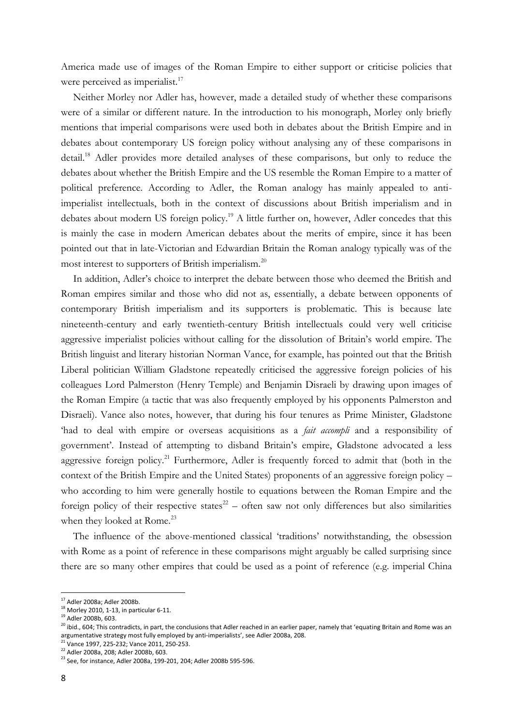America made use of images of the Roman Empire to either support or criticise policies that were perceived as imperialist.<sup>17</sup>

Neither Morley nor Adler has, however, made a detailed study of whether these comparisons were of a similar or different nature. In the introduction to his monograph, Morley only briefly mentions that imperial comparisons were used both in debates about the British Empire and in debates about contemporary US foreign policy without analysing any of these comparisons in detail.<sup>18</sup> Adler provides more detailed analyses of these comparisons, but only to reduce the debates about whether the British Empire and the US resemble the Roman Empire to a matter of political preference. According to Adler, the Roman analogy has mainly appealed to antiimperialist intellectuals, both in the context of discussions about British imperialism and in debates about modern US foreign policy.<sup>19</sup> A little further on, however, Adler concedes that this is mainly the case in modern American debates about the merits of empire, since it has been pointed out that in late-Victorian and Edwardian Britain the Roman analogy typically was of the most interest to supporters of British imperialism.<sup>20</sup>

In addition, Adler's choice to interpret the debate between those who deemed the British and Roman empires similar and those who did not as, essentially, a debate between opponents of contemporary British imperialism and its supporters is problematic. This is because late nineteenth-century and early twentieth-century British intellectuals could very well criticise aggressive imperialist policies without calling for the dissolution of Britain's world empire. The British linguist and literary historian Norman Vance, for example, has pointed out that the British Liberal politician William Gladstone repeatedly criticised the aggressive foreign policies of his colleagues Lord Palmerston (Henry Temple) and Benjamin Disraeli by drawing upon images of the Roman Empire (a tactic that was also frequently employed by his opponents Palmerston and Disraeli). Vance also notes, however, that during his four tenures as Prime Minister, Gladstone 'had to deal with empire or overseas acquisitions as a *fait accompli* and a responsibility of government'. Instead of attempting to disband Britain's empire, Gladstone advocated a less aggressive foreign policy.<sup>21</sup> Furthermore, Adler is frequently forced to admit that (both in the context of the British Empire and the United States) proponents of an aggressive foreign policy – who according to him were generally hostile to equations between the Roman Empire and the foreign policy of their respective states<sup>22</sup> – often saw not only differences but also similarities when they looked at Rome.<sup>23</sup>

The influence of the above-mentioned classical 'traditions' notwithstanding, the obsession with Rome as a point of reference in these comparisons might arguably be called surprising since there are so many other empires that could be used as a point of reference (e.g. imperial China

<sup>17</sup> Adler 2008a; Adler 2008b.

<sup>18</sup> Morley 2010, 1-13, in particular 6-11.

<sup>19</sup> Adler 2008b, 603.

<sup>&</sup>lt;sup>20</sup> ibid., 604; This contradicts, in part, the conclusions that Adler reached in an earlier paper, namely that 'equating Britain and Rome was an argumentative strategy most fully employed by anti-imperialists', see Adler 2008a, 208.

<sup>&</sup>lt;sup>21</sup> Vance 1997, 225-232; Vance 2011, 250-253.

<sup>22</sup> Adler 2008a, 208; Adler 2008b, 603.

<sup>&</sup>lt;sup>23</sup> See, for instance, Adler 2008a, 199-201, 204; Adler 2008b 595-596.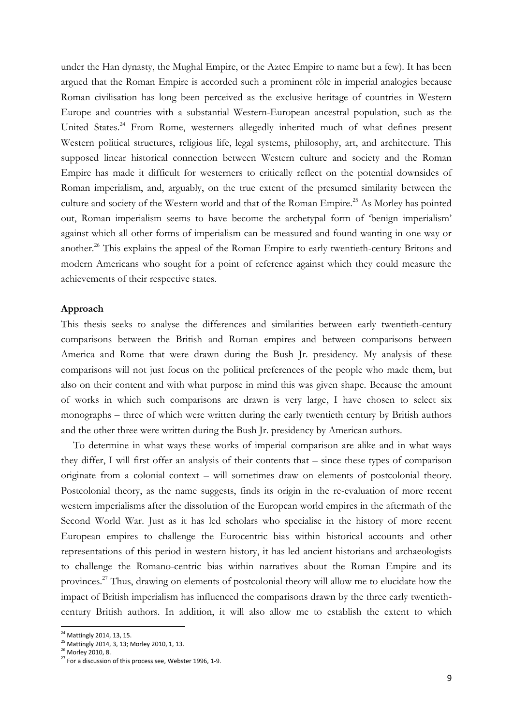under the Han dynasty, the Mughal Empire, or the Aztec Empire to name but a few). It has been argued that the Roman Empire is accorded such a prominent rôle in imperial analogies because Roman civilisation has long been perceived as the exclusive heritage of countries in Western Europe and countries with a substantial Western-European ancestral population, such as the United States.<sup>24</sup> From Rome, westerners allegedly inherited much of what defines present Western political structures, religious life, legal systems, philosophy, art, and architecture. This supposed linear historical connection between Western culture and society and the Roman Empire has made it difficult for westerners to critically reflect on the potential downsides of Roman imperialism, and, arguably, on the true extent of the presumed similarity between the culture and society of the Western world and that of the Roman Empire.<sup>25</sup> As Morley has pointed out, Roman imperialism seems to have become the archetypal form of 'benign imperialism' against which all other forms of imperialism can be measured and found wanting in one way or another.<sup>26</sup> This explains the appeal of the Roman Empire to early twentieth-century Britons and modern Americans who sought for a point of reference against which they could measure the achievements of their respective states.

#### **Approach**

This thesis seeks to analyse the differences and similarities between early twentieth-century comparisons between the British and Roman empires and between comparisons between America and Rome that were drawn during the Bush Jr. presidency. My analysis of these comparisons will not just focus on the political preferences of the people who made them, but also on their content and with what purpose in mind this was given shape. Because the amount of works in which such comparisons are drawn is very large, I have chosen to select six monographs – three of which were written during the early twentieth century by British authors and the other three were written during the Bush Jr. presidency by American authors.

To determine in what ways these works of imperial comparison are alike and in what ways they differ, I will first offer an analysis of their contents that – since these types of comparison originate from a colonial context – will sometimes draw on elements of postcolonial theory. Postcolonial theory, as the name suggests, finds its origin in the re-evaluation of more recent western imperialisms after the dissolution of the European world empires in the aftermath of the Second World War. Just as it has led scholars who specialise in the history of more recent European empires to challenge the Eurocentric bias within historical accounts and other representations of this period in western history, it has led ancient historians and archaeologists to challenge the Romano-centric bias within narratives about the Roman Empire and its provinces.<sup>27</sup> Thus, drawing on elements of postcolonial theory will allow me to elucidate how the impact of British imperialism has influenced the comparisons drawn by the three early twentiethcentury British authors. In addition, it will also allow me to establish the extent to which

<sup>&</sup>lt;sup>24</sup> Mattingly 2014, 13, 15.

<sup>&</sup>lt;sup>25</sup> Mattingly 2014, 3, 13; Morley 2010, 1, 13.

<sup>26</sup> Morley 2010, 8.

 $27$  For a discussion of this process see, Webster 1996, 1-9.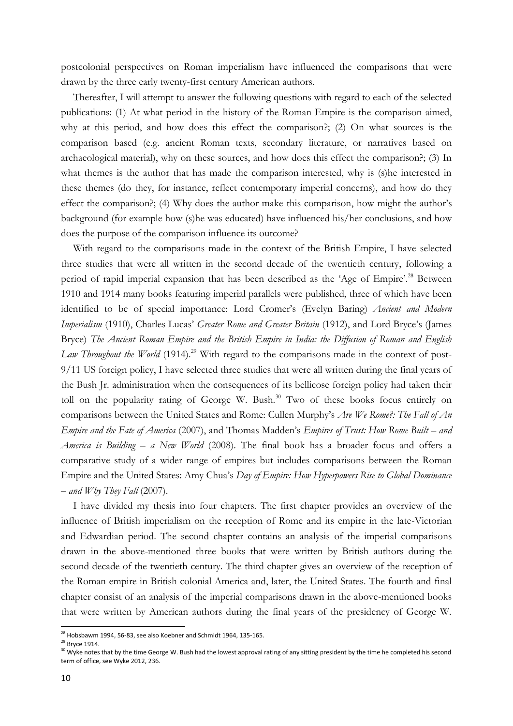postcolonial perspectives on Roman imperialism have influenced the comparisons that were drawn by the three early twenty-first century American authors.

Thereafter, I will attempt to answer the following questions with regard to each of the selected publications: (1) At what period in the history of the Roman Empire is the comparison aimed, why at this period, and how does this effect the comparison?; (2) On what sources is the comparison based (e.g. ancient Roman texts, secondary literature, or narratives based on archaeological material), why on these sources, and how does this effect the comparison?; (3) In what themes is the author that has made the comparison interested, why is (s)he interested in these themes (do they, for instance, reflect contemporary imperial concerns), and how do they effect the comparison?; (4) Why does the author make this comparison, how might the author's background (for example how (s)he was educated) have influenced his/her conclusions, and how does the purpose of the comparison influence its outcome?

With regard to the comparisons made in the context of the British Empire, I have selected three studies that were all written in the second decade of the twentieth century, following a period of rapid imperial expansion that has been described as the 'Age of Empire'.<sup>28</sup> Between 1910 and 1914 many books featuring imperial parallels were published, three of which have been identified to be of special importance: Lord Cromer's (Evelyn Baring) *Ancient and Modern Imperialism* (1910), Charles Lucas' *Greater Rome and Greater Britain* (1912), and Lord Bryce's (James Bryce) *The Ancient Roman Empire and the British Empire in India: the Diffusion of Roman and English*  Law Throughout the World (1914).<sup>29</sup> With regard to the comparisons made in the context of post-9/11 US foreign policy, I have selected three studies that were all written during the final years of the Bush Jr. administration when the consequences of its bellicose foreign policy had taken their toll on the popularity rating of George W. Bush.<sup>30</sup> Two of these books focus entirely on comparisons between the United States and Rome: Cullen Murphy's *Are We Rome?: The Fall of An Empire and the Fate of America* (2007), and Thomas Madden's *Empires of Trust: How Rome Built – and America is Building – a New World* (2008). The final book has a broader focus and offers a comparative study of a wider range of empires but includes comparisons between the Roman Empire and the United States: Amy Chua's *Day of Empire: How Hyperpowers Rise to Global Dominance – and Why They Fall* (2007).

I have divided my thesis into four chapters. The first chapter provides an overview of the influence of British imperialism on the reception of Rome and its empire in the late-Victorian and Edwardian period. The second chapter contains an analysis of the imperial comparisons drawn in the above-mentioned three books that were written by British authors during the second decade of the twentieth century. The third chapter gives an overview of the reception of the Roman empire in British colonial America and, later, the United States. The fourth and final chapter consist of an analysis of the imperial comparisons drawn in the above-mentioned books that were written by American authors during the final years of the presidency of George W.

 $^{28}$  Hobsbawm 1994, 56-83, see also Koebner and Schmidt 1964, 135-165.

 $29$  Bryce 1914.

<sup>&</sup>lt;sup>30</sup> Wyke notes that by the time George W. Bush had the lowest approval rating of any sitting president by the time he completed his second term of office, see Wyke 2012, 236.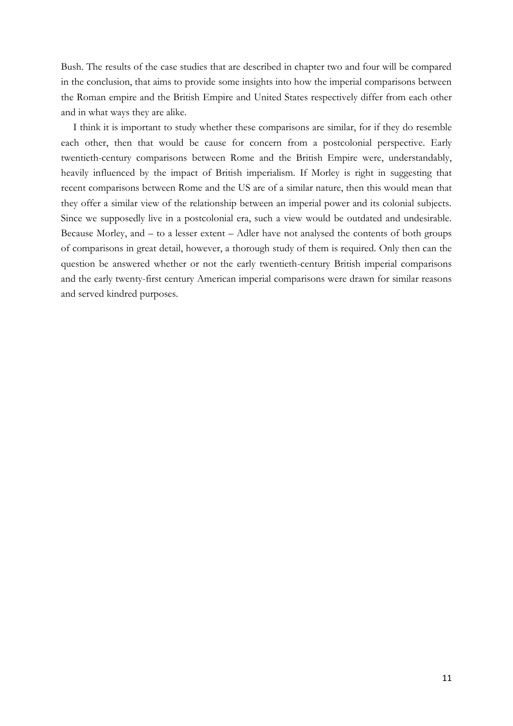Bush. The results of the case studies that are described in chapter two and four will be compared in the conclusion, that aims to provide some insights into how the imperial comparisons between the Roman empire and the British Empire and United States respectively differ from each other and in what ways they are alike.

I think it is important to study whether these comparisons are similar, for if they do resemble each other, then that would be cause for concern from a postcolonial perspective. Early twentieth-century comparisons between Rome and the British Empire were, understandably, heavily influenced by the impact of British imperialism. If Morley is right in suggesting that recent comparisons between Rome and the US are of a similar nature, then this would mean that they offer a similar view of the relationship between an imperial power and its colonial subjects. Since we supposedly live in a postcolonial era, such a view would be outdated and undesirable. Because Morley, and – to a lesser extent – Adler have not analysed the contents of both groups of comparisons in great detail, however, a thorough study of them is required. Only then can the question be answered whether or not the early twentieth-century British imperial comparisons and the early twenty-first century American imperial comparisons were drawn for similar reasons and served kindred purposes.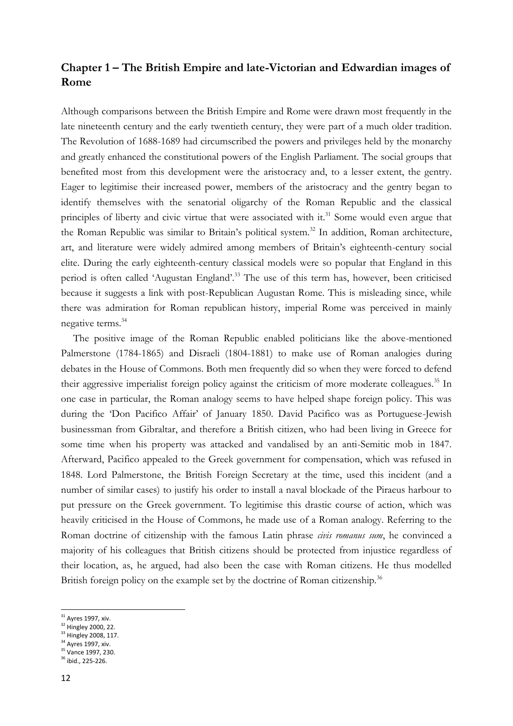# **Chapter 1 – The British Empire and late-Victorian and Edwardian images of Rome**

Although comparisons between the British Empire and Rome were drawn most frequently in the late nineteenth century and the early twentieth century, they were part of a much older tradition. The Revolution of 1688-1689 had circumscribed the powers and privileges held by the monarchy and greatly enhanced the constitutional powers of the English Parliament. The social groups that benefited most from this development were the aristocracy and, to a lesser extent, the gentry. Eager to legitimise their increased power, members of the aristocracy and the gentry began to identify themselves with the senatorial oligarchy of the Roman Republic and the classical principles of liberty and civic virtue that were associated with it.<sup>31</sup> Some would even argue that the Roman Republic was similar to Britain's political system.<sup>32</sup> In addition, Roman architecture, art, and literature were widely admired among members of Britain's eighteenth-century social elite. During the early eighteenth-century classical models were so popular that England in this period is often called 'Augustan England'.<sup>33</sup> The use of this term has, however, been criticised because it suggests a link with post-Republican Augustan Rome. This is misleading since, while there was admiration for Roman republican history, imperial Rome was perceived in mainly negative terms.<sup>34</sup>

The positive image of the Roman Republic enabled politicians like the above-mentioned Palmerstone (1784-1865) and Disraeli (1804-1881) to make use of Roman analogies during debates in the House of Commons. Both men frequently did so when they were forced to defend their aggressive imperialist foreign policy against the criticism of more moderate colleagues.<sup>35</sup> In one case in particular, the Roman analogy seems to have helped shape foreign policy. This was during the 'Don Pacifico Affair' of January 1850. David Pacifico was as Portuguese-Jewish businessman from Gibraltar, and therefore a British citizen, who had been living in Greece for some time when his property was attacked and vandalised by an anti-Semitic mob in 1847. Afterward, Pacifico appealed to the Greek government for compensation, which was refused in 1848. Lord Palmerstone, the British Foreign Secretary at the time, used this incident (and a number of similar cases) to justify his order to install a naval blockade of the Piraeus harbour to put pressure on the Greek government. To legitimise this drastic course of action, which was heavily criticised in the House of Commons, he made use of a Roman analogy. Referring to the Roman doctrine of citizenship with the famous Latin phrase *civis romanus sum*, he convinced a majority of his colleagues that British citizens should be protected from injustice regardless of their location, as, he argued, had also been the case with Roman citizens. He thus modelled British foreign policy on the example set by the doctrine of Roman citizenship.<sup>36</sup>

- <sup>32</sup> Hingley 2000, 22.
- <sup>33</sup> Hingley 2008, 117.
- <sup>34</sup> Ayres 1997, xiv. <sup>35</sup> Vance 1997, 230.
- <sup>36</sup> ibid., 225-226.

<sup>&</sup>lt;sup>31</sup> Ayres 1997, xiv.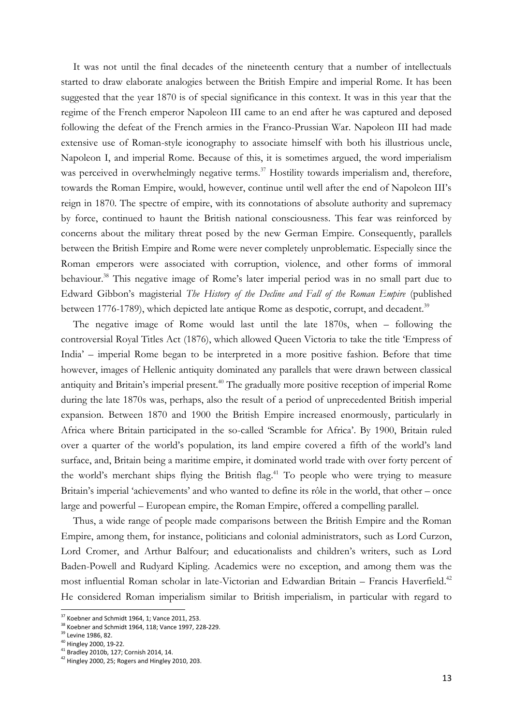It was not until the final decades of the nineteenth century that a number of intellectuals started to draw elaborate analogies between the British Empire and imperial Rome. It has been suggested that the year 1870 is of special significance in this context. It was in this year that the regime of the French emperor Napoleon III came to an end after he was captured and deposed following the defeat of the French armies in the Franco-Prussian War. Napoleon III had made extensive use of Roman-style iconography to associate himself with both his illustrious uncle, Napoleon I, and imperial Rome. Because of this, it is sometimes argued, the word imperialism was perceived in overwhelmingly negative terms.<sup>37</sup> Hostility towards imperialism and, therefore, towards the Roman Empire, would, however, continue until well after the end of Napoleon III's reign in 1870. The spectre of empire, with its connotations of absolute authority and supremacy by force, continued to haunt the British national consciousness. This fear was reinforced by concerns about the military threat posed by the new German Empire. Consequently, parallels between the British Empire and Rome were never completely unproblematic. Especially since the Roman emperors were associated with corruption, violence, and other forms of immoral behaviour.<sup>38</sup> This negative image of Rome's later imperial period was in no small part due to Edward Gibbon's magisterial *The History of the Decline and Fall of the Roman Empire* (published between 1776-1789), which depicted late antique Rome as despotic, corrupt, and decadent.<sup>39</sup>

The negative image of Rome would last until the late 1870s, when – following the controversial Royal Titles Act (1876), which allowed Queen Victoria to take the title 'Empress of India' – imperial Rome began to be interpreted in a more positive fashion. Before that time however, images of Hellenic antiquity dominated any parallels that were drawn between classical antiquity and Britain's imperial present.<sup>40</sup> The gradually more positive reception of imperial Rome during the late 1870s was, perhaps, also the result of a period of unprecedented British imperial expansion. Between 1870 and 1900 the British Empire increased enormously, particularly in Africa where Britain participated in the so-called 'Scramble for Africa'. By 1900, Britain ruled over a quarter of the world's population, its land empire covered a fifth of the world's land surface, and, Britain being a maritime empire, it dominated world trade with over forty percent of the world's merchant ships flying the British flag. <sup>41</sup> To people who were trying to measure Britain's imperial 'achievements' and who wanted to define its rôle in the world, that other – once large and powerful – European empire, the Roman Empire, offered a compelling parallel.

Thus, a wide range of people made comparisons between the British Empire and the Roman Empire, among them, for instance, politicians and colonial administrators, such as Lord Curzon, Lord Cromer, and Arthur Balfour; and educationalists and children's writers, such as Lord Baden-Powell and Rudyard Kipling. Academics were no exception, and among them was the most influential Roman scholar in late-Victorian and Edwardian Britain - Francis Haverfield.<sup>42</sup> He considered Roman imperialism similar to British imperialism, in particular with regard to

 $37$  Koebner and Schmidt 1964, 1; Vance 2011, 253.

<sup>&</sup>lt;sup>38</sup> Koebner and Schmidt 1964, 118; Vance 1997, 228-229.

<sup>39</sup> Levine 1986, 82.

 $40$  Hingley 2000, 19-22.

<sup>41</sup> Bradley 2010b, 127; Cornish 2014, 14.

<sup>42</sup> Hingley 2000, 25; Rogers and Hingley 2010, 203.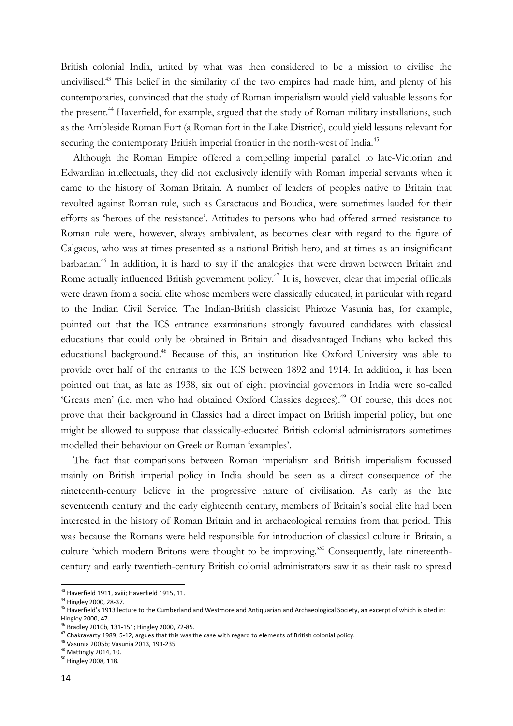British colonial India, united by what was then considered to be a mission to civilise the uncivilised.<sup>43</sup> This belief in the similarity of the two empires had made him, and plenty of his contemporaries, convinced that the study of Roman imperialism would yield valuable lessons for the present.<sup>44</sup> Haverfield, for example, argued that the study of Roman military installations, such as the Ambleside Roman Fort (a Roman fort in the Lake District), could yield lessons relevant for securing the contemporary British imperial frontier in the north-west of India.<sup>45</sup>

Although the Roman Empire offered a compelling imperial parallel to late-Victorian and Edwardian intellectuals, they did not exclusively identify with Roman imperial servants when it came to the history of Roman Britain. A number of leaders of peoples native to Britain that revolted against Roman rule, such as Caractacus and Boudica, were sometimes lauded for their efforts as 'heroes of the resistance'. Attitudes to persons who had offered armed resistance to Roman rule were, however, always ambivalent, as becomes clear with regard to the figure of Calgacus, who was at times presented as a national British hero, and at times as an insignificant barbarian.<sup>46</sup> In addition, it is hard to say if the analogies that were drawn between Britain and Rome actually influenced British government policy.<sup>47</sup> It is, however, clear that imperial officials were drawn from a social elite whose members were classically educated, in particular with regard to the Indian Civil Service. The Indian-British classicist Phiroze Vasunia has, for example, pointed out that the ICS entrance examinations strongly favoured candidates with classical educations that could only be obtained in Britain and disadvantaged Indians who lacked this educational background.<sup>48</sup> Because of this, an institution like Oxford University was able to provide over half of the entrants to the ICS between 1892 and 1914. In addition, it has been pointed out that, as late as 1938, six out of eight provincial governors in India were so-called 'Greats men' (i.e. men who had obtained Oxford Classics degrees).<sup>49</sup> Of course, this does not prove that their background in Classics had a direct impact on British imperial policy, but one might be allowed to suppose that classically-educated British colonial administrators sometimes modelled their behaviour on Greek or Roman 'examples'.

The fact that comparisons between Roman imperialism and British imperialism focussed mainly on British imperial policy in India should be seen as a direct consequence of the nineteenth-century believe in the progressive nature of civilisation. As early as the late seventeenth century and the early eighteenth century, members of Britain's social elite had been interested in the history of Roman Britain and in archaeological remains from that period. This was because the Romans were held responsible for introduction of classical culture in Britain, a culture 'which modern Britons were thought to be improving.<sup>50</sup> Consequently, late nineteenthcentury and early twentieth-century British colonial administrators saw it as their task to spread

 $43$  Haverfield 1911, xviii; Haverfield 1915, 11.

<sup>44</sup> Hingley 2000, 28-37.

<sup>45</sup> Haverfield's 1913 lecture to the Cumberland and Westmoreland Antiquarian and Archaeological Society, an excerpt of which is cited in: Hingley 2000, 47.

<sup>46</sup> Bradley 2010b, 131-151; Hingley 2000, 72-85.

 $47$  Chakravarty 1989, 5-12, argues that this was the case with regard to elements of British colonial policy.

<sup>48</sup> Vasunia 2005b; Vasunia 2013, 193-235

<sup>49</sup> Mattingly 2014, 10.

<sup>50</sup> Hingley 2008, 118.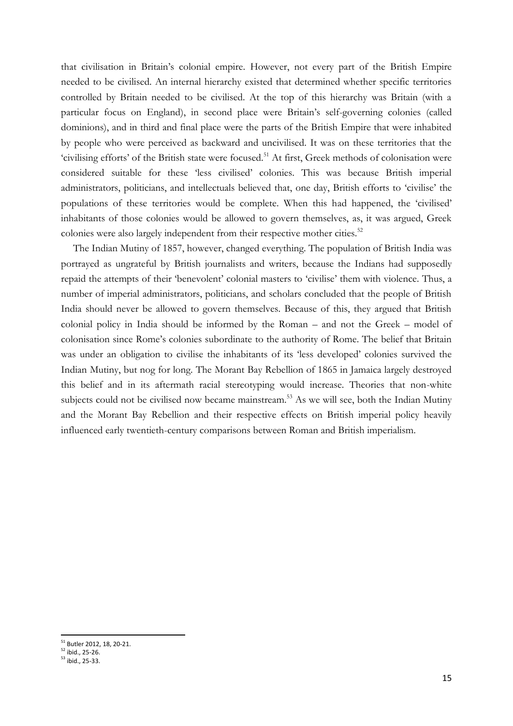that civilisation in Britain's colonial empire. However, not every part of the British Empire needed to be civilised. An internal hierarchy existed that determined whether specific territories controlled by Britain needed to be civilised. At the top of this hierarchy was Britain (with a particular focus on England), in second place were Britain's self-governing colonies (called dominions), and in third and final place were the parts of the British Empire that were inhabited by people who were perceived as backward and uncivilised. It was on these territories that the 'civilising efforts' of the British state were focused.<sup>51</sup> At first, Greek methods of colonisation were considered suitable for these 'less civilised' colonies. This was because British imperial administrators, politicians, and intellectuals believed that, one day, British efforts to 'civilise' the populations of these territories would be complete. When this had happened, the 'civilised' inhabitants of those colonies would be allowed to govern themselves, as, it was argued, Greek colonies were also largely independent from their respective mother cities.<sup>52</sup>

The Indian Mutiny of 1857, however, changed everything. The population of British India was portrayed as ungrateful by British journalists and writers, because the Indians had supposedly repaid the attempts of their 'benevolent' colonial masters to 'civilise' them with violence. Thus, a number of imperial administrators, politicians, and scholars concluded that the people of British India should never be allowed to govern themselves. Because of this, they argued that British colonial policy in India should be informed by the Roman – and not the Greek – model of colonisation since Rome's colonies subordinate to the authority of Rome. The belief that Britain was under an obligation to civilise the inhabitants of its 'less developed' colonies survived the Indian Mutiny, but nog for long. The Morant Bay Rebellion of 1865 in Jamaica largely destroyed this belief and in its aftermath racial stereotyping would increase. Theories that non-white subjects could not be civilised now became mainstream.<sup>53</sup> As we will see, both the Indian Mutiny and the Morant Bay Rebellion and their respective effects on British imperial policy heavily influenced early twentieth-century comparisons between Roman and British imperialism.

<sup>&</sup>lt;sup>51</sup> Butler 2012, 18, 20-21.

 $52$  ibid., 25-26.

 $53$  ibid., 25-33.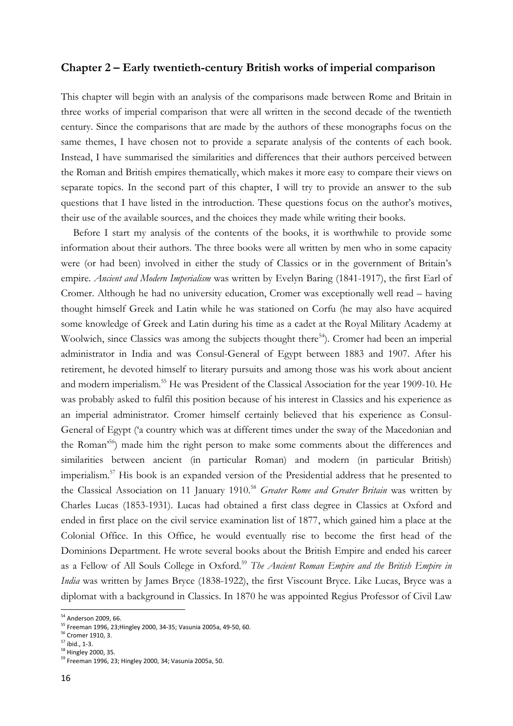#### **Chapter 2 – Early twentieth-century British works of imperial comparison**

This chapter will begin with an analysis of the comparisons made between Rome and Britain in three works of imperial comparison that were all written in the second decade of the twentieth century. Since the comparisons that are made by the authors of these monographs focus on the same themes, I have chosen not to provide a separate analysis of the contents of each book. Instead, I have summarised the similarities and differences that their authors perceived between the Roman and British empires thematically, which makes it more easy to compare their views on separate topics. In the second part of this chapter, I will try to provide an answer to the sub questions that I have listed in the introduction. These questions focus on the author's motives, their use of the available sources, and the choices they made while writing their books.

Before I start my analysis of the contents of the books, it is worthwhile to provide some information about their authors. The three books were all written by men who in some capacity were (or had been) involved in either the study of Classics or in the government of Britain's empire. *Ancient and Modern Imperialism* was written by Evelyn Baring (1841-1917), the first Earl of Cromer. Although he had no university education, Cromer was exceptionally well read – having thought himself Greek and Latin while he was stationed on Corfu (he may also have acquired some knowledge of Greek and Latin during his time as a cadet at the Royal Military Academy at Woolwich, since Classics was among the subjects thought there<sup>54</sup>). Cromer had been an imperial administrator in India and was Consul-General of Egypt between 1883 and 1907. After his retirement, he devoted himself to literary pursuits and among those was his work about ancient and modern imperialism.<sup>55</sup> He was President of the Classical Association for the year 1909-10. He was probably asked to fulfil this position because of his interest in Classics and his experience as an imperial administrator. Cromer himself certainly believed that his experience as Consul-General of Egypt ('a country which was at different times under the sway of the Macedonian and the Roman'<sup>56</sup>) made him the right person to make some comments about the differences and similarities between ancient (in particular Roman) and modern (in particular British) imperialism.<sup>57</sup> His book is an expanded version of the Presidential address that he presented to the Classical Association on 11 January 1910.<sup>58</sup> *Greater Rome and Greater Britain* was written by Charles Lucas (1853-1931). Lucas had obtained a first class degree in Classics at Oxford and ended in first place on the civil service examination list of 1877, which gained him a place at the Colonial Office. In this Office, he would eventually rise to become the first head of the Dominions Department. He wrote several books about the British Empire and ended his career as a Fellow of All Souls College in Oxford.<sup>59</sup> *The Ancient Roman Empire and the British Empire in India* was written by James Bryce (1838-1922), the first Viscount Bryce. Like Lucas, Bryce was a diplomat with a background in Classics. In 1870 he was appointed Regius Professor of Civil Law

<sup>&</sup>lt;sup>54</sup> Anderson 2009, 66.

<sup>55</sup> Freeman 1996, 23;Hingley 2000, 34-35; Vasunia 2005a, 49-50, 60.

<sup>56</sup> Cromer 1910, 3.

 $57$  ibid., 1-3.

<sup>58</sup> Hingley 2000, 35.

<sup>59</sup> Freeman 1996, 23; Hingley 2000, 34; Vasunia 2005a, 50.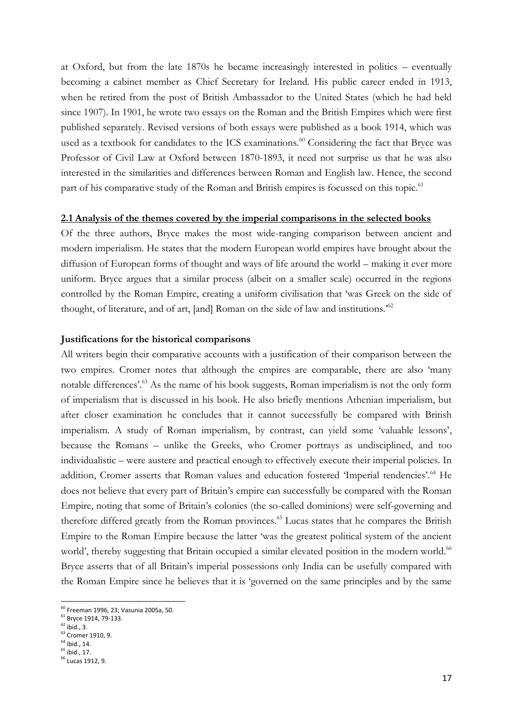at Oxford, but from the late 1870s he became increasingly interested in politics – eventually becoming a cabinet member as Chief Secretary for Ireland. His public career ended in 1913, when he retired from the post of British Ambassador to the United States (which he had held since 1907). In 1901, he wrote two essays on the Roman and the British Empires which were first published separately. Revised versions of both essays were published as a book 1914, which was used as a textbook for candidates to the ICS examinations.<sup>60</sup> Considering the fact that Bryce was Professor of Civil Law at Oxford between 1870-1893, it need not surprise us that he was also interested in the similarities and differences between Roman and English law. Hence, the second part of his comparative study of the Roman and British empires is focussed on this topic.<sup>61</sup>

#### **2.1 Analysis of the themes covered by the imperial comparisons in the selected books**

Of the three authors, Bryce makes the most wide-ranging comparison between ancient and modern imperialism. He states that the modern European world empires have brought about the diffusion of European forms of thought and ways of life around the world – making it ever more uniform. Bryce argues that a similar process (albeit on a smaller scale) occurred in the regions controlled by the Roman Empire, creating a uniform civilisation that 'was Greek on the side of thought, of literature, and of art, [and] Roman on the side of law and institutions.'<sup>62</sup>

#### **Justifications for the historical comparisons**

All writers begin their comparative accounts with a justification of their comparison between the two empires. Cromer notes that although the empires are comparable, there are also 'many notable differences'.<sup>63</sup> As the name of his book suggests, Roman imperialism is not the only form of imperialism that is discussed in his book. He also briefly mentions Athenian imperialism, but after closer examination he concludes that it cannot successfully be compared with British imperialism. A study of Roman imperialism, by contrast, can yield some 'valuable lessons', because the Romans – unlike the Greeks, who Cromer portrays as undisciplined, and too individualistic – were austere and practical enough to effectively execute their imperial policies. In addition, Cromer asserts that Roman values and education fostered 'Imperial tendencies'.<sup>64</sup> He does not believe that every part of Britain's empire can successfully be compared with the Roman Empire, noting that some of Britain's colonies (the so-called dominions) were self-governing and therefore differed greatly from the Roman provinces.<sup>65</sup> Lucas states that he compares the British Empire to the Roman Empire because the latter 'was the greatest political system of the ancient world', thereby suggesting that Britain occupied a similar elevated position in the modern world.<sup>66</sup> Bryce asserts that of all Britain's imperial possessions only India can be usefully compared with the Roman Empire since he believes that it is 'governed on the same principles and by the same

<sup>60</sup> Freeman 1996, 23; Vasunia 2005a, 50.

<sup>61</sup> Bryce 1914, 79-133.

 $62$  ibid., 3.

<sup>63</sup> Cromer 1910, 9.

 $64$  ibid., 14.

 $65$  ibid., 17.

<sup>66</sup> Lucas 1912, 9.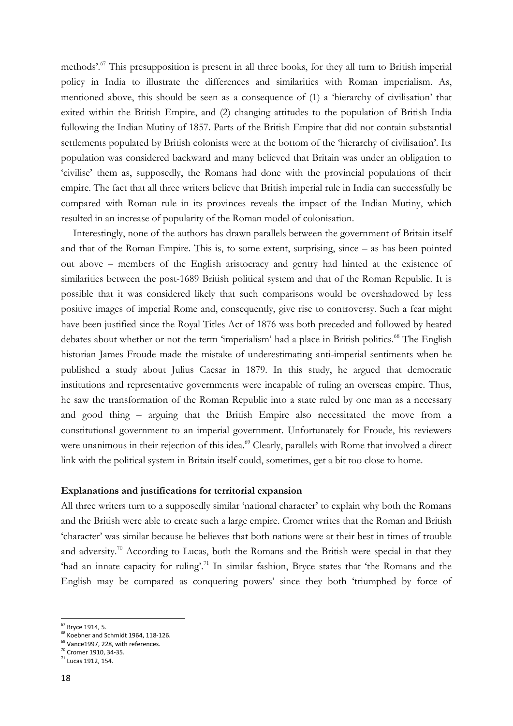methods'.<sup>67</sup> This presupposition is present in all three books, for they all turn to British imperial policy in India to illustrate the differences and similarities with Roman imperialism. As, mentioned above, this should be seen as a consequence of (1) a 'hierarchy of civilisation' that exited within the British Empire, and (2) changing attitudes to the population of British India following the Indian Mutiny of 1857. Parts of the British Empire that did not contain substantial settlements populated by British colonists were at the bottom of the 'hierarchy of civilisation'. Its population was considered backward and many believed that Britain was under an obligation to 'civilise' them as, supposedly, the Romans had done with the provincial populations of their empire. The fact that all three writers believe that British imperial rule in India can successfully be compared with Roman rule in its provinces reveals the impact of the Indian Mutiny, which resulted in an increase of popularity of the Roman model of colonisation.

Interestingly, none of the authors has drawn parallels between the government of Britain itself and that of the Roman Empire. This is, to some extent, surprising, since – as has been pointed out above – members of the English aristocracy and gentry had hinted at the existence of similarities between the post-1689 British political system and that of the Roman Republic. It is possible that it was considered likely that such comparisons would be overshadowed by less positive images of imperial Rome and, consequently, give rise to controversy. Such a fear might have been justified since the Royal Titles Act of 1876 was both preceded and followed by heated debates about whether or not the term 'imperialism' had a place in British politics.<sup>68</sup> The English historian James Froude made the mistake of underestimating anti-imperial sentiments when he published a study about Julius Caesar in 1879. In this study, he argued that democratic institutions and representative governments were incapable of ruling an overseas empire. Thus, he saw the transformation of the Roman Republic into a state ruled by one man as a necessary and good thing – arguing that the British Empire also necessitated the move from a constitutional government to an imperial government. Unfortunately for Froude, his reviewers were unanimous in their rejection of this idea.<sup>69</sup> Clearly, parallels with Rome that involved a direct link with the political system in Britain itself could, sometimes, get a bit too close to home.

#### **Explanations and justifications for territorial expansion**

All three writers turn to a supposedly similar 'national character' to explain why both the Romans and the British were able to create such a large empire. Cromer writes that the Roman and British 'character' was similar because he believes that both nations were at their best in times of trouble and adversity.<sup>70</sup> According to Lucas, both the Romans and the British were special in that they 'had an innate capacity for ruling'.<sup>71</sup> In similar fashion, Bryce states that 'the Romans and the English may be compared as conquering powers' since they both 'triumphed by force of

<sup>&</sup>lt;sup>67</sup> Bryce 1914, 5.

<sup>&</sup>lt;sup>68</sup> Koebner and Schmidt 1964, 118-126.

<sup>&</sup>lt;sup>69</sup> Vance1997, 228, with references.

<sup>70</sup> Cromer 1910, 34-35.

<sup>71</sup> Lucas 1912, 154.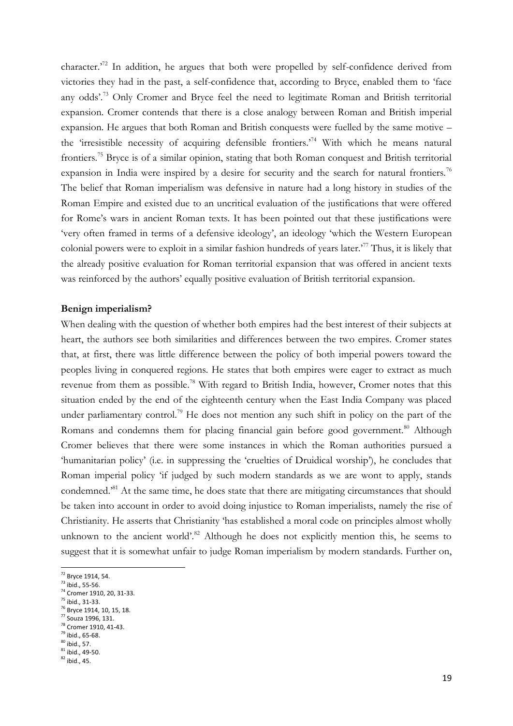character.<sup>72</sup> In addition, he argues that both were propelled by self-confidence derived from victories they had in the past, a self-confidence that, according to Bryce, enabled them to 'face any odds'.<sup>73</sup> Only Cromer and Bryce feel the need to legitimate Roman and British territorial expansion. Cromer contends that there is a close analogy between Roman and British imperial expansion. He argues that both Roman and British conquests were fuelled by the same motive – the 'irresistible necessity of acquiring defensible frontiers.'<sup>74</sup> With which he means natural frontiers.<sup>75</sup> Bryce is of a similar opinion, stating that both Roman conquest and British territorial expansion in India were inspired by a desire for security and the search for natural frontiers.<sup>76</sup> The belief that Roman imperialism was defensive in nature had a long history in studies of the Roman Empire and existed due to an uncritical evaluation of the justifications that were offered for Rome's wars in ancient Roman texts. It has been pointed out that these justifications were 'very often framed in terms of a defensive ideology', an ideology 'which the Western European colonial powers were to exploit in a similar fashion hundreds of years later.<sup>77</sup> Thus, it is likely that the already positive evaluation for Roman territorial expansion that was offered in ancient texts was reinforced by the authors' equally positive evaluation of British territorial expansion.

#### **Benign imperialism?**

When dealing with the question of whether both empires had the best interest of their subjects at heart, the authors see both similarities and differences between the two empires. Cromer states that, at first, there was little difference between the policy of both imperial powers toward the peoples living in conquered regions. He states that both empires were eager to extract as much revenue from them as possible.<sup>78</sup> With regard to British India, however, Cromer notes that this situation ended by the end of the eighteenth century when the East India Company was placed under parliamentary control.<sup>79</sup> He does not mention any such shift in policy on the part of the Romans and condemns them for placing financial gain before good government.<sup>80</sup> Although Cromer believes that there were some instances in which the Roman authorities pursued a 'humanitarian policy' (i.e. in suppressing the 'cruelties of Druidical worship'), he concludes that Roman imperial policy 'if judged by such modern standards as we are wont to apply, stands condemned.'<sup>81</sup> At the same time, he does state that there are mitigating circumstances that should be taken into account in order to avoid doing injustice to Roman imperialists, namely the rise of Christianity. He asserts that Christianity 'has established a moral code on principles almost wholly unknown to the ancient world'.<sup>82</sup> Although he does not explicitly mention this, he seems to suggest that it is somewhat unfair to judge Roman imperialism by modern standards. Further on,

- <sup>75</sup> ibid., 31-33.
- <sup>76</sup> Bryce 1914, 10, 15, 18.

<sup>&</sup>lt;sup>72</sup> Bryce 1914, 54.

 $^{73}$  ibid., 55-56.

<sup>74</sup> Cromer 1910, 20, 31-33.

<sup>77</sup> Souza 1996, 131. <sup>78</sup> Cromer 1910, 41-43.

<sup>79</sup> ibid., 65-68.

 $80$  ibid., 57.

 $81$  ibid., 49-50.

 $82$  ibid., 45.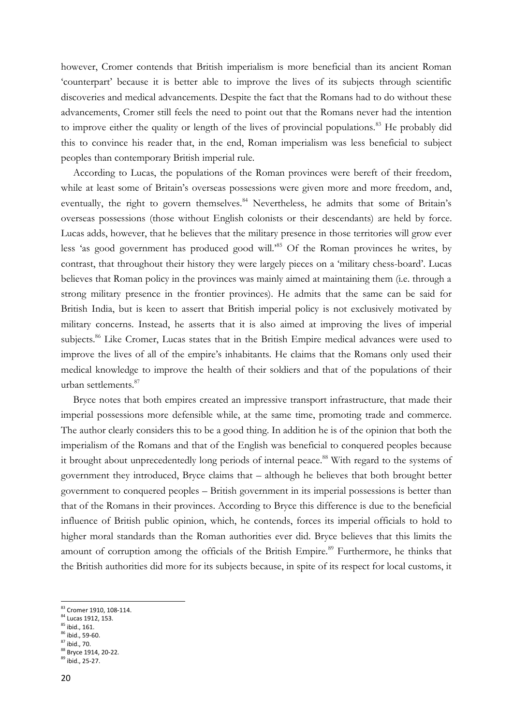however, Cromer contends that British imperialism is more beneficial than its ancient Roman 'counterpart' because it is better able to improve the lives of its subjects through scientific discoveries and medical advancements. Despite the fact that the Romans had to do without these advancements, Cromer still feels the need to point out that the Romans never had the intention to improve either the quality or length of the lives of provincial populations.<sup>83</sup> He probably did this to convince his reader that, in the end, Roman imperialism was less beneficial to subject peoples than contemporary British imperial rule.

According to Lucas, the populations of the Roman provinces were bereft of their freedom, while at least some of Britain's overseas possessions were given more and more freedom, and, eventually, the right to govern themselves.<sup>84</sup> Nevertheless, he admits that some of Britain's overseas possessions (those without English colonists or their descendants) are held by force. Lucas adds, however, that he believes that the military presence in those territories will grow ever less 'as good government has produced good will.'<sup>85</sup> Of the Roman provinces he writes, by contrast, that throughout their history they were largely pieces on a 'military chess-board'. Lucas believes that Roman policy in the provinces was mainly aimed at maintaining them (i.e. through a strong military presence in the frontier provinces). He admits that the same can be said for British India, but is keen to assert that British imperial policy is not exclusively motivated by military concerns. Instead, he asserts that it is also aimed at improving the lives of imperial subjects.<sup>86</sup> Like Cromer, Lucas states that in the British Empire medical advances were used to improve the lives of all of the empire's inhabitants. He claims that the Romans only used their medical knowledge to improve the health of their soldiers and that of the populations of their urban settlements.<sup>87</sup>

Bryce notes that both empires created an impressive transport infrastructure, that made their imperial possessions more defensible while, at the same time, promoting trade and commerce. The author clearly considers this to be a good thing. In addition he is of the opinion that both the imperialism of the Romans and that of the English was beneficial to conquered peoples because it brought about unprecedentedly long periods of internal peace.<sup>88</sup> With regard to the systems of government they introduced, Bryce claims that – although he believes that both brought better government to conquered peoples – British government in its imperial possessions is better than that of the Romans in their provinces. According to Bryce this difference is due to the beneficial influence of British public opinion, which, he contends, forces its imperial officials to hold to higher moral standards than the Roman authorities ever did. Bryce believes that this limits the amount of corruption among the officials of the British Empire.<sup>89</sup> Furthermore, he thinks that the British authorities did more for its subjects because, in spite of its respect for local customs, it

<sup>&</sup>lt;sup>83</sup> Cromer 1910, 108-114.

<sup>84</sup> Lucas 1912, 153.

 $85$  ibid., 161.

<sup>86</sup> ibid., 59-60.  $87$  ibid., 70.

<sup>88</sup> Bryce 1914, 20-22. <sup>89</sup> ibid., 25-27.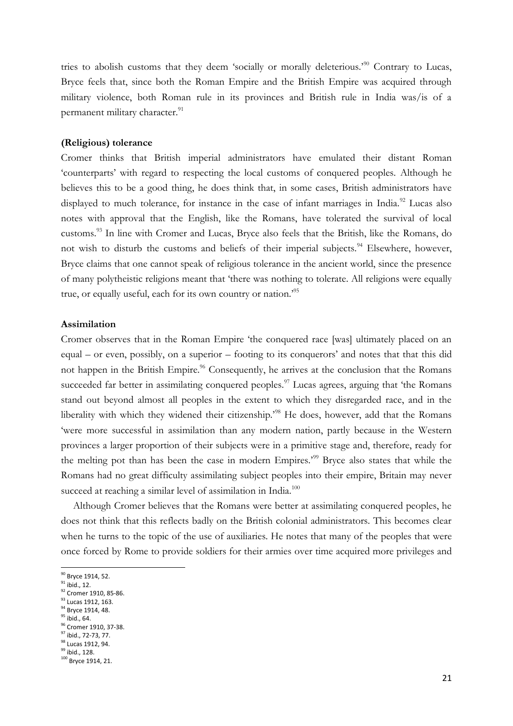tries to abolish customs that they deem 'socially or morally deleterious.'<sup>90</sup> Contrary to Lucas, Bryce feels that, since both the Roman Empire and the British Empire was acquired through military violence, both Roman rule in its provinces and British rule in India was/is of a permanent military character.<sup>91</sup>

#### **(Religious) tolerance**

Cromer thinks that British imperial administrators have emulated their distant Roman 'counterparts' with regard to respecting the local customs of conquered peoples. Although he believes this to be a good thing, he does think that, in some cases, British administrators have displayed to much tolerance, for instance in the case of infant marriages in India.<sup>92</sup> Lucas also notes with approval that the English, like the Romans, have tolerated the survival of local customs.<sup>93</sup> In line with Cromer and Lucas, Bryce also feels that the British, like the Romans, do not wish to disturb the customs and beliefs of their imperial subjects.<sup>94</sup> Elsewhere, however, Bryce claims that one cannot speak of religious tolerance in the ancient world, since the presence of many polytheistic religions meant that 'there was nothing to tolerate. All religions were equally true, or equally useful, each for its own country or nation.'<sup>95</sup>

#### **Assimilation**

Cromer observes that in the Roman Empire 'the conquered race [was] ultimately placed on an equal – or even, possibly, on a superior – footing to its conquerors' and notes that that this did not happen in the British Empire.<sup>96</sup> Consequently, he arrives at the conclusion that the Romans succeeded far better in assimilating conquered peoples.<sup>97</sup> Lucas agrees, arguing that 'the Romans stand out beyond almost all peoples in the extent to which they disregarded race, and in the liberality with which they widened their citizenship.'<sup>98</sup> He does, however, add that the Romans 'were more successful in assimilation than any modern nation, partly because in the Western provinces a larger proportion of their subjects were in a primitive stage and, therefore, ready for the melting pot than has been the case in modern Empires.'<sup>99</sup> Bryce also states that while the Romans had no great difficulty assimilating subject peoples into their empire, Britain may never succeed at reaching a similar level of assimilation in India.<sup>100</sup>

Although Cromer believes that the Romans were better at assimilating conquered peoples, he does not think that this reflects badly on the British colonial administrators. This becomes clear when he turns to the topic of the use of auxiliaries. He notes that many of the peoples that were once forced by Rome to provide soldiers for their armies over time acquired more privileges and

- 93 Lucas 1912, 163.
- <sup>94</sup> Bryce 1914, 48.

<sup>&</sup>lt;sup>90</sup> Bryce 1914, 52.

 $91$  ibid., 12.

 $^{92}$  Cromer 1910, 85-86.

 $^{95}$ ibid., 64. 96 Cromer 1910, 37-38.

<sup>97</sup> ibid., 72-73, 77.

<sup>98</sup> Lucas 1912, 94.

 $99$  ibid., 128.

<sup>100</sup> Bryce 1914, 21.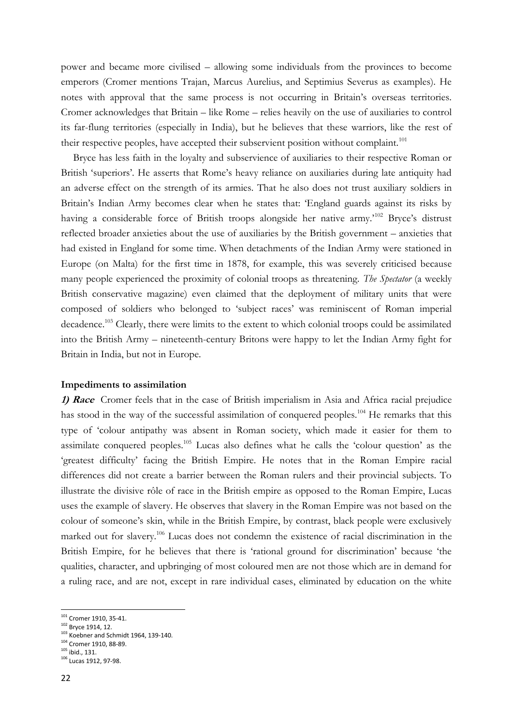power and became more civilised – allowing some individuals from the provinces to become emperors (Cromer mentions Trajan, Marcus Aurelius, and Septimius Severus as examples). He notes with approval that the same process is not occurring in Britain's overseas territories. Cromer acknowledges that Britain – like Rome – relies heavily on the use of auxiliaries to control its far-flung territories (especially in India), but he believes that these warriors, like the rest of their respective peoples, have accepted their subservient position without complaint.<sup>101</sup>

Bryce has less faith in the loyalty and subservience of auxiliaries to their respective Roman or British 'superiors'. He asserts that Rome's heavy reliance on auxiliaries during late antiquity had an adverse effect on the strength of its armies. That he also does not trust auxiliary soldiers in Britain's Indian Army becomes clear when he states that: 'England guards against its risks by having a considerable force of British troops alongside her native army.'<sup>102</sup> Bryce's distrust reflected broader anxieties about the use of auxiliaries by the British government – anxieties that had existed in England for some time. When detachments of the Indian Army were stationed in Europe (on Malta) for the first time in 1878, for example, this was severely criticised because many people experienced the proximity of colonial troops as threatening. *The Spectator* (a weekly British conservative magazine) even claimed that the deployment of military units that were composed of soldiers who belonged to 'subject races' was reminiscent of Roman imperial decadence.<sup>103</sup> Clearly, there were limits to the extent to which colonial troops could be assimilated into the British Army – nineteenth-century Britons were happy to let the Indian Army fight for Britain in India, but not in Europe.

#### **Impediments to assimilation**

**1) Race** Cromer feels that in the case of British imperialism in Asia and Africa racial prejudice has stood in the way of the successful assimilation of conquered peoples.<sup>104</sup> He remarks that this type of 'colour antipathy was absent in Roman society, which made it easier for them to assimilate conquered peoples.<sup>105</sup> Lucas also defines what he calls the 'colour question' as the 'greatest difficulty' facing the British Empire. He notes that in the Roman Empire racial differences did not create a barrier between the Roman rulers and their provincial subjects. To illustrate the divisive rôle of race in the British empire as opposed to the Roman Empire, Lucas uses the example of slavery. He observes that slavery in the Roman Empire was not based on the colour of someone's skin, while in the British Empire, by contrast, black people were exclusively marked out for slavery.<sup>106</sup> Lucas does not condemn the existence of racial discrimination in the British Empire, for he believes that there is 'rational ground for discrimination' because 'the qualities, character, and upbringing of most coloured men are not those which are in demand for a ruling race, and are not, except in rare individual cases, eliminated by education on the white

**<sup>.</sup>** <sup>101</sup> Cromer 1910, 35-41.

<sup>102</sup> Bryce 1914, 12.

<sup>103</sup> Koebner and Schmidt 1964, 139-140.

<sup>104</sup> Cromer 1910, 88-89.

<sup>105</sup> ibid., 131.

<sup>106</sup> Lucas 1912, 97-98.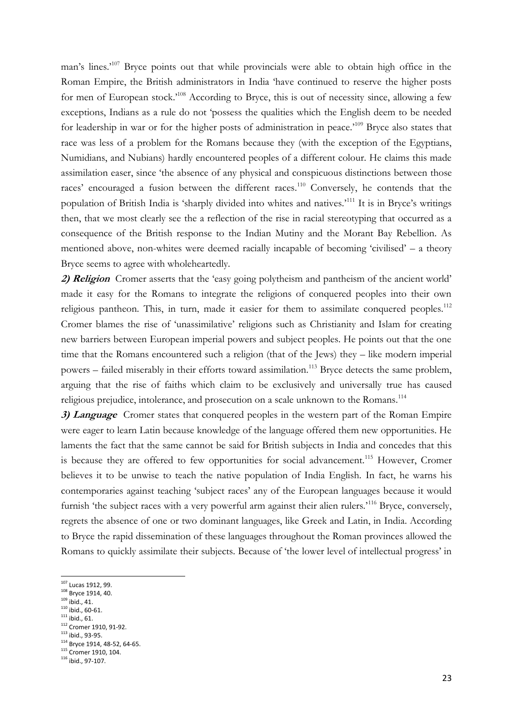man's lines.<sup>107</sup> Bryce points out that while provincials were able to obtain high office in the Roman Empire, the British administrators in India 'have continued to reserve the higher posts for men of European stock.<sup>'108</sup> According to Bryce, this is out of necessity since, allowing a few exceptions, Indians as a rule do not 'possess the qualities which the English deem to be needed for leadership in war or for the higher posts of administration in peace.<sup>109</sup> Bryce also states that race was less of a problem for the Romans because they (with the exception of the Egyptians, Numidians, and Nubians) hardly encountered peoples of a different colour. He claims this made assimilation easer, since 'the absence of any physical and conspicuous distinctions between those races' encouraged a fusion between the different races.<sup>110</sup> Conversely, he contends that the population of British India is 'sharply divided into whites and natives.'<sup>111</sup> It is in Bryce's writings then, that we most clearly see the a reflection of the rise in racial stereotyping that occurred as a consequence of the British response to the Indian Mutiny and the Morant Bay Rebellion. As mentioned above, non-whites were deemed racially incapable of becoming 'civilised' – a theory Bryce seems to agree with wholeheartedly.

**2) Religion** Cromer asserts that the 'easy going polytheism and pantheism of the ancient world' made it easy for the Romans to integrate the religions of conquered peoples into their own religious pantheon. This, in turn, made it easier for them to assimilate conquered peoples.<sup>112</sup> Cromer blames the rise of 'unassimilative' religions such as Christianity and Islam for creating new barriers between European imperial powers and subject peoples. He points out that the one time that the Romans encountered such a religion (that of the Jews) they – like modern imperial powers – failed miserably in their efforts toward assimilation.<sup>113</sup> Bryce detects the same problem, arguing that the rise of faiths which claim to be exclusively and universally true has caused religious prejudice, intolerance, and prosecution on a scale unknown to the Romans.<sup>114</sup>

**3) Language** Cromer states that conquered peoples in the western part of the Roman Empire were eager to learn Latin because knowledge of the language offered them new opportunities. He laments the fact that the same cannot be said for British subjects in India and concedes that this is because they are offered to few opportunities for social advancement.<sup>115</sup> However, Cromer believes it to be unwise to teach the native population of India English. In fact, he warns his contemporaries against teaching 'subject races' any of the European languages because it would furnish 'the subject races with a very powerful arm against their alien rulers.<sup>116</sup> Bryce, conversely, regrets the absence of one or two dominant languages, like Greek and Latin, in India. According to Bryce the rapid dissemination of these languages throughout the Roman provinces allowed the Romans to quickly assimilate their subjects. Because of 'the lower level of intellectual progress' in

- $109$  ibid., 41.
- $110$  ibid., 60-61.
- $111$  ibid., 61.
- 112 Cromer 1910, 91-92.
- <sup>113</sup> ibid., 93-95.
- 114 Bryce 1914, 48-52, 64-65.

**<sup>.</sup>** <sup>107</sup> Lucas 1912, 99.

<sup>&</sup>lt;sup>108</sup> Bryce 1914, 40.

<sup>115</sup> Cromer 1910, 104.

<sup>116</sup> ibid., 97-107.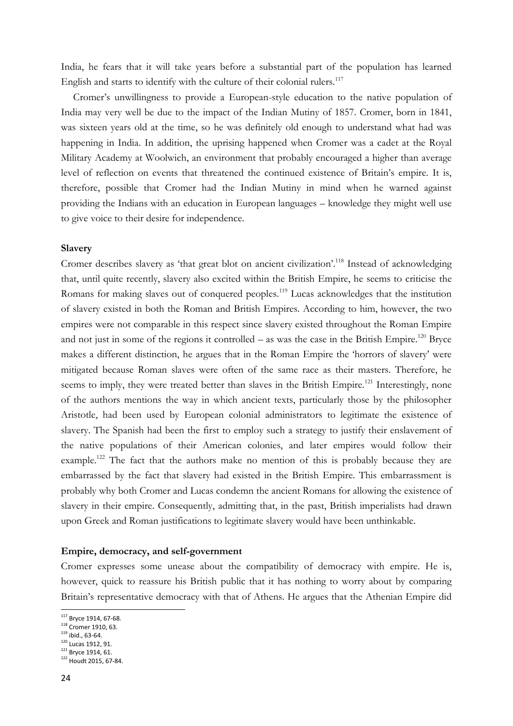India, he fears that it will take years before a substantial part of the population has learned English and starts to identify with the culture of their colonial rulers. $117$ 

Cromer's unwillingness to provide a European-style education to the native population of India may very well be due to the impact of the Indian Mutiny of 1857. Cromer, born in 1841, was sixteen years old at the time, so he was definitely old enough to understand what had was happening in India. In addition, the uprising happened when Cromer was a cadet at the Royal Military Academy at Woolwich, an environment that probably encouraged a higher than average level of reflection on events that threatened the continued existence of Britain's empire. It is, therefore, possible that Cromer had the Indian Mutiny in mind when he warned against providing the Indians with an education in European languages – knowledge they might well use to give voice to their desire for independence.

#### **Slavery**

Cromer describes slavery as 'that great blot on ancient civilization'.<sup>118</sup> Instead of acknowledging that, until quite recently, slavery also excited within the British Empire, he seems to criticise the Romans for making slaves out of conquered peoples.<sup>119</sup> Lucas acknowledges that the institution of slavery existed in both the Roman and British Empires. According to him, however, the two empires were not comparable in this respect since slavery existed throughout the Roman Empire and not just in some of the regions it controlled – as was the case in the British Empire.<sup>120</sup> Bryce makes a different distinction, he argues that in the Roman Empire the 'horrors of slavery' were mitigated because Roman slaves were often of the same race as their masters. Therefore, he seems to imply, they were treated better than slaves in the British Empire.<sup>121</sup> Interestingly, none of the authors mentions the way in which ancient texts, particularly those by the philosopher Aristotle, had been used by European colonial administrators to legitimate the existence of slavery. The Spanish had been the first to employ such a strategy to justify their enslavement of the native populations of their American colonies, and later empires would follow their example.<sup>122</sup> The fact that the authors make no mention of this is probably because they are embarrassed by the fact that slavery had existed in the British Empire. This embarrassment is probably why both Cromer and Lucas condemn the ancient Romans for allowing the existence of slavery in their empire. Consequently, admitting that, in the past, British imperialists had drawn upon Greek and Roman justifications to legitimate slavery would have been unthinkable.

#### **Empire, democracy, and self-government**

Cromer expresses some unease about the compatibility of democracy with empire. He is, however, quick to reassure his British public that it has nothing to worry about by comparing Britain's representative democracy with that of Athens. He argues that the Athenian Empire did

<sup>&</sup>lt;sup>117</sup> Bryce 1914, 67-68.

<sup>118</sup> Cromer 1910, 63.

 $119$  ibid., 63-64.

<sup>&</sup>lt;sup>120</sup> Lucas 1912, 91. <sup>121</sup> Bryce 1914, 61.

<sup>122</sup> Houdt 2015, 67-84.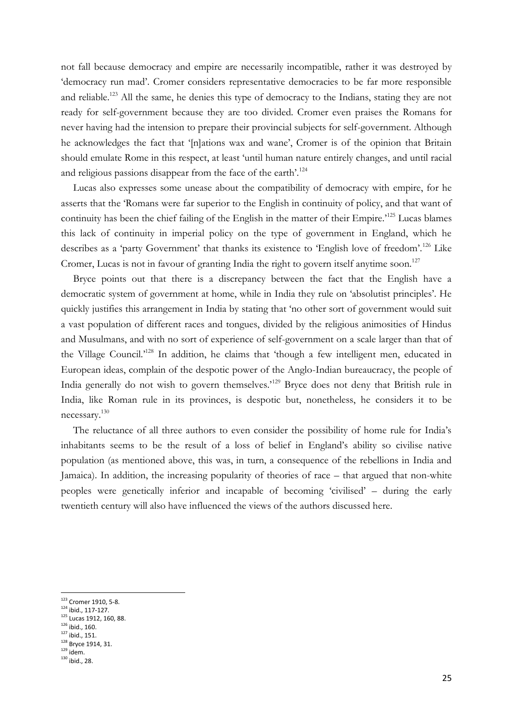not fall because democracy and empire are necessarily incompatible, rather it was destroyed by 'democracy run mad'. Cromer considers representative democracies to be far more responsible and reliable.<sup>123</sup> All the same, he denies this type of democracy to the Indians, stating they are not ready for self-government because they are too divided. Cromer even praises the Romans for never having had the intension to prepare their provincial subjects for self-government. Although he acknowledges the fact that '[n]ations wax and wane', Cromer is of the opinion that Britain should emulate Rome in this respect, at least 'until human nature entirely changes, and until racial and religious passions disappear from the face of the earth'.<sup>124</sup>

Lucas also expresses some unease about the compatibility of democracy with empire, for he asserts that the 'Romans were far superior to the English in continuity of policy, and that want of continuity has been the chief failing of the English in the matter of their Empire.<sup>125</sup> Lucas blames this lack of continuity in imperial policy on the type of government in England, which he describes as a 'party Government' that thanks its existence to 'English love of freedom'.<sup>126</sup> Like Cromer, Lucas is not in favour of granting India the right to govern itself anytime soon.<sup>127</sup>

Bryce points out that there is a discrepancy between the fact that the English have a democratic system of government at home, while in India they rule on 'absolutist principles'. He quickly justifies this arrangement in India by stating that 'no other sort of government would suit a vast population of different races and tongues, divided by the religious animosities of Hindus and Musulmans, and with no sort of experience of self-government on a scale larger than that of the Village Council.'<sup>128</sup> In addition, he claims that 'though a few intelligent men, educated in European ideas, complain of the despotic power of the Anglo-Indian bureaucracy, the people of India generally do not wish to govern themselves.<sup>129</sup> Bryce does not deny that British rule in India, like Roman rule in its provinces, is despotic but, nonetheless, he considers it to be necessary.<sup>130</sup>

The reluctance of all three authors to even consider the possibility of home rule for India's inhabitants seems to be the result of a loss of belief in England's ability so civilise native population (as mentioned above, this was, in turn, a consequence of the rebellions in India and Jamaica). In addition, the increasing popularity of theories of race – that argued that non-white peoples were genetically inferior and incapable of becoming 'civilised' – during the early twentieth century will also have influenced the views of the authors discussed here.

<sup>&</sup>lt;sup>123</sup> Cromer 1910, 5-8.

<sup>124</sup> ibid., 117-127.

 $125$  Lucas 1912, 160, 88.

 $126$  ibid., 160.

<sup>127</sup> ibid., 151.

<sup>128</sup> Bryce 1914, 31.

 $129$  idem.  $130$  ibid., 28.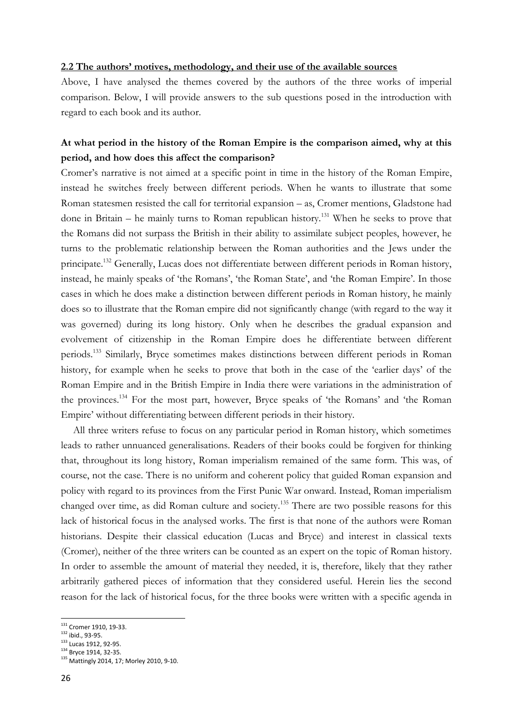#### **2.2 The authors' motives, methodology, and their use of the available sources**

Above, I have analysed the themes covered by the authors of the three works of imperial comparison. Below, I will provide answers to the sub questions posed in the introduction with regard to each book and its author.

### **At what period in the history of the Roman Empire is the comparison aimed, why at this period, and how does this affect the comparison?**

Cromer's narrative is not aimed at a specific point in time in the history of the Roman Empire, instead he switches freely between different periods. When he wants to illustrate that some Roman statesmen resisted the call for territorial expansion – as, Cromer mentions, Gladstone had done in Britain – he mainly turns to Roman republican history.<sup>131</sup> When he seeks to prove that the Romans did not surpass the British in their ability to assimilate subject peoples, however, he turns to the problematic relationship between the Roman authorities and the Jews under the principate.<sup>132</sup> Generally, Lucas does not differentiate between different periods in Roman history, instead, he mainly speaks of 'the Romans', 'the Roman State', and 'the Roman Empire'. In those cases in which he does make a distinction between different periods in Roman history, he mainly does so to illustrate that the Roman empire did not significantly change (with regard to the way it was governed) during its long history. Only when he describes the gradual expansion and evolvement of citizenship in the Roman Empire does he differentiate between different periods.<sup>133</sup> Similarly, Bryce sometimes makes distinctions between different periods in Roman history, for example when he seeks to prove that both in the case of the 'earlier days' of the Roman Empire and in the British Empire in India there were variations in the administration of the provinces.<sup>134</sup> For the most part, however, Bryce speaks of 'the Romans' and 'the Roman Empire' without differentiating between different periods in their history.

All three writers refuse to focus on any particular period in Roman history, which sometimes leads to rather unnuanced generalisations. Readers of their books could be forgiven for thinking that, throughout its long history, Roman imperialism remained of the same form. This was, of course, not the case. There is no uniform and coherent policy that guided Roman expansion and policy with regard to its provinces from the First Punic War onward. Instead, Roman imperialism changed over time, as did Roman culture and society.<sup>135</sup> There are two possible reasons for this lack of historical focus in the analysed works. The first is that none of the authors were Roman historians. Despite their classical education (Lucas and Bryce) and interest in classical texts (Cromer), neither of the three writers can be counted as an expert on the topic of Roman history. In order to assemble the amount of material they needed, it is, therefore, likely that they rather arbitrarily gathered pieces of information that they considered useful. Herein lies the second reason for the lack of historical focus, for the three books were written with a specific agenda in

<sup>&</sup>lt;sup>131</sup> Cromer 1910, 19-33.

<sup>132</sup> ibid., 93-95.

<sup>&</sup>lt;sup>133</sup> Lucas 1912, 92-95.

<sup>&</sup>lt;sup>134</sup> Bryce 1914, 32-35.

<sup>135</sup> Mattingly 2014, 17; Morley 2010, 9-10.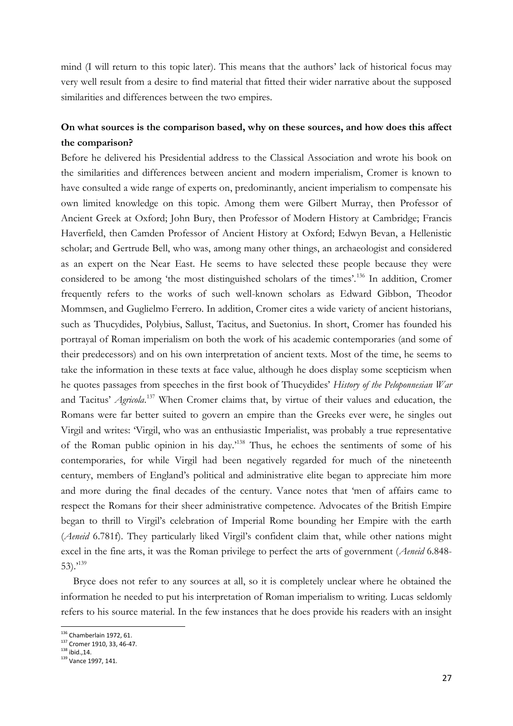mind (I will return to this topic later). This means that the authors' lack of historical focus may very well result from a desire to find material that fitted their wider narrative about the supposed similarities and differences between the two empires.

### **On what sources is the comparison based, why on these sources, and how does this affect the comparison?**

Before he delivered his Presidential address to the Classical Association and wrote his book on the similarities and differences between ancient and modern imperialism, Cromer is known to have consulted a wide range of experts on, predominantly, ancient imperialism to compensate his own limited knowledge on this topic. Among them were Gilbert Murray, then Professor of Ancient Greek at Oxford; John Bury, then Professor of Modern History at Cambridge; Francis Haverfield, then Camden Professor of Ancient History at Oxford; Edwyn Bevan, a Hellenistic scholar; and Gertrude Bell, who was, among many other things, an archaeologist and considered as an expert on the Near East. He seems to have selected these people because they were considered to be among 'the most distinguished scholars of the times'.<sup>136</sup> In addition, Cromer frequently refers to the works of such well-known scholars as Edward Gibbon, Theodor Mommsen, and Guglielmo Ferrero. In addition, Cromer cites a wide variety of ancient historians, such as Thucydides, Polybius, Sallust, Tacitus, and Suetonius. In short, Cromer has founded his portrayal of Roman imperialism on both the work of his academic contemporaries (and some of their predecessors) and on his own interpretation of ancient texts. Most of the time, he seems to take the information in these texts at face value, although he does display some scepticism when he quotes passages from speeches in the first book of Thucydides' *History of the Peloponnesian War*  and Tacitus' *Agricola*. <sup>137</sup> When Cromer claims that, by virtue of their values and education, the Romans were far better suited to govern an empire than the Greeks ever were, he singles out Virgil and writes: 'Virgil, who was an enthusiastic Imperialist, was probably a true representative of the Roman public opinion in his day.'<sup>138</sup> Thus, he echoes the sentiments of some of his contemporaries, for while Virgil had been negatively regarded for much of the nineteenth century, members of England's political and administrative elite began to appreciate him more and more during the final decades of the century. Vance notes that 'men of affairs came to respect the Romans for their sheer administrative competence. Advocates of the British Empire began to thrill to Virgil's celebration of Imperial Rome bounding her Empire with the earth (*Aeneid* 6.781f). They particularly liked Virgil's confident claim that, while other nations might excel in the fine arts, it was the Roman privilege to perfect the arts of government (*Aeneid* 6.848- 53).<sup> $139$ </sup>

Bryce does not refer to any sources at all, so it is completely unclear where he obtained the information he needed to put his interpretation of Roman imperialism to writing. Lucas seldomly refers to his source material. In the few instances that he does provide his readers with an insight

<sup>&</sup>lt;sup>136</sup> Chamberlain 1972, 61.

<sup>137</sup> Cromer 1910, 33, 46-47.

 $138$  ibid., 14.

<sup>139</sup> Vance 1997, 141.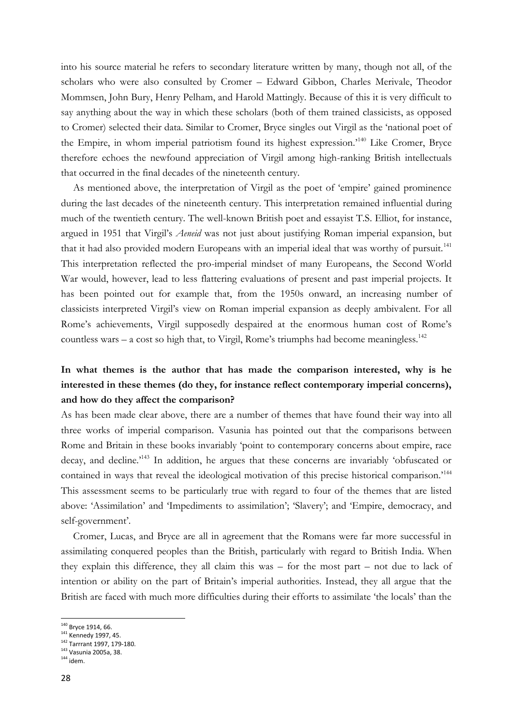into his source material he refers to secondary literature written by many, though not all, of the scholars who were also consulted by Cromer – Edward Gibbon, Charles Merivale, Theodor Mommsen, John Bury, Henry Pelham, and Harold Mattingly. Because of this it is very difficult to say anything about the way in which these scholars (both of them trained classicists, as opposed to Cromer) selected their data. Similar to Cromer, Bryce singles out Virgil as the 'national poet of the Empire, in whom imperial patriotism found its highest expression.'<sup>140</sup> Like Cromer, Bryce therefore echoes the newfound appreciation of Virgil among high-ranking British intellectuals that occurred in the final decades of the nineteenth century.

As mentioned above, the interpretation of Virgil as the poet of 'empire' gained prominence during the last decades of the nineteenth century. This interpretation remained influential during much of the twentieth century. The well-known British poet and essayist T.S. Elliot, for instance, argued in 1951 that Virgil's *Aeneid* was not just about justifying Roman imperial expansion, but that it had also provided modern Europeans with an imperial ideal that was worthy of pursuit.<sup>141</sup> This interpretation reflected the pro-imperial mindset of many Europeans, the Second World War would, however, lead to less flattering evaluations of present and past imperial projects. It has been pointed out for example that, from the 1950s onward, an increasing number of classicists interpreted Virgil's view on Roman imperial expansion as deeply ambivalent. For all Rome's achievements, Virgil supposedly despaired at the enormous human cost of Rome's countless wars – a cost so high that, to Virgil, Rome's triumphs had become meaningless.<sup>142</sup>

# **In what themes is the author that has made the comparison interested, why is he interested in these themes (do they, for instance reflect contemporary imperial concerns), and how do they affect the comparison?**

As has been made clear above, there are a number of themes that have found their way into all three works of imperial comparison. Vasunia has pointed out that the comparisons between Rome and Britain in these books invariably 'point to contemporary concerns about empire, race decay, and decline.<sup>2143</sup> In addition, he argues that these concerns are invariably 'obfuscated or contained in ways that reveal the ideological motivation of this precise historical comparison.<sup>'144</sup> This assessment seems to be particularly true with regard to four of the themes that are listed above: 'Assimilation' and 'Impediments to assimilation'; 'Slavery'; and 'Empire, democracy, and self-government'.

Cromer, Lucas, and Bryce are all in agreement that the Romans were far more successful in assimilating conquered peoples than the British, particularly with regard to British India. When they explain this difference, they all claim this was – for the most part – not due to lack of intention or ability on the part of Britain's imperial authorities. Instead, they all argue that the British are faced with much more difficulties during their efforts to assimilate 'the locals' than the

<sup>&</sup>lt;sup>140</sup> Bryce 1914, 66.

<sup>&</sup>lt;sup>141</sup> Kennedy 1997, 45.

<sup>142</sup> Tarrrant 1997, 179-180.

<sup>143</sup> Vasunia 2005a, 38.

 $144$  idem.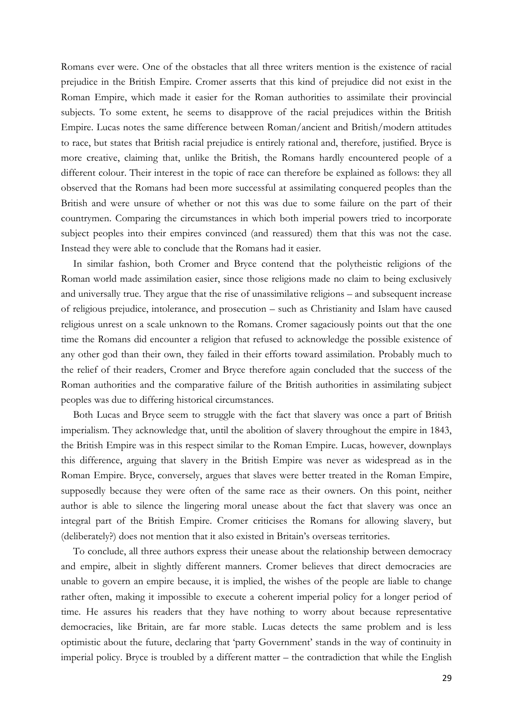Romans ever were. One of the obstacles that all three writers mention is the existence of racial prejudice in the British Empire. Cromer asserts that this kind of prejudice did not exist in the Roman Empire, which made it easier for the Roman authorities to assimilate their provincial subjects. To some extent, he seems to disapprove of the racial prejudices within the British Empire. Lucas notes the same difference between Roman/ancient and British/modern attitudes to race, but states that British racial prejudice is entirely rational and, therefore, justified. Bryce is more creative, claiming that, unlike the British, the Romans hardly encountered people of a different colour. Their interest in the topic of race can therefore be explained as follows: they all observed that the Romans had been more successful at assimilating conquered peoples than the British and were unsure of whether or not this was due to some failure on the part of their countrymen. Comparing the circumstances in which both imperial powers tried to incorporate subject peoples into their empires convinced (and reassured) them that this was not the case. Instead they were able to conclude that the Romans had it easier.

In similar fashion, both Cromer and Bryce contend that the polytheistic religions of the Roman world made assimilation easier, since those religions made no claim to being exclusively and universally true. They argue that the rise of unassimilative religions – and subsequent increase of religious prejudice, intolerance, and prosecution – such as Christianity and Islam have caused religious unrest on a scale unknown to the Romans. Cromer sagaciously points out that the one time the Romans did encounter a religion that refused to acknowledge the possible existence of any other god than their own, they failed in their efforts toward assimilation. Probably much to the relief of their readers, Cromer and Bryce therefore again concluded that the success of the Roman authorities and the comparative failure of the British authorities in assimilating subject peoples was due to differing historical circumstances.

Both Lucas and Bryce seem to struggle with the fact that slavery was once a part of British imperialism. They acknowledge that, until the abolition of slavery throughout the empire in 1843, the British Empire was in this respect similar to the Roman Empire. Lucas, however, downplays this difference, arguing that slavery in the British Empire was never as widespread as in the Roman Empire. Bryce, conversely, argues that slaves were better treated in the Roman Empire, supposedly because they were often of the same race as their owners. On this point, neither author is able to silence the lingering moral unease about the fact that slavery was once an integral part of the British Empire. Cromer criticises the Romans for allowing slavery, but (deliberately?) does not mention that it also existed in Britain's overseas territories.

To conclude, all three authors express their unease about the relationship between democracy and empire, albeit in slightly different manners. Cromer believes that direct democracies are unable to govern an empire because, it is implied, the wishes of the people are liable to change rather often, making it impossible to execute a coherent imperial policy for a longer period of time. He assures his readers that they have nothing to worry about because representative democracies, like Britain, are far more stable. Lucas detects the same problem and is less optimistic about the future, declaring that 'party Government' stands in the way of continuity in imperial policy. Bryce is troubled by a different matter – the contradiction that while the English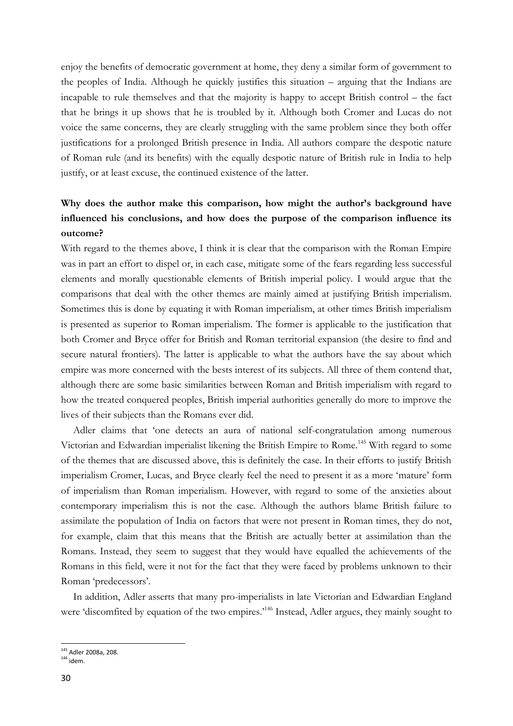enjoy the benefits of democratic government at home, they deny a similar form of government to the peoples of India. Although he quickly justifies this situation – arguing that the Indians are incapable to rule themselves and that the majority is happy to accept British control – the fact that he brings it up shows that he is troubled by it. Although both Cromer and Lucas do not voice the same concerns, they are clearly struggling with the same problem since they both offer justifications for a prolonged British presence in India. All authors compare the despotic nature of Roman rule (and its benefits) with the equally despotic nature of British rule in India to help justify, or at least excuse, the continued existence of the latter.

# **Why does the author make this comparison, how might the author's background have influenced his conclusions, and how does the purpose of the comparison influence its outcome?**

With regard to the themes above, I think it is clear that the comparison with the Roman Empire was in part an effort to dispel or, in each case, mitigate some of the fears regarding less successful elements and morally questionable elements of British imperial policy. I would argue that the comparisons that deal with the other themes are mainly aimed at justifying British imperialism. Sometimes this is done by equating it with Roman imperialism, at other times British imperialism is presented as superior to Roman imperialism. The former is applicable to the justification that both Cromer and Bryce offer for British and Roman territorial expansion (the desire to find and secure natural frontiers). The latter is applicable to what the authors have the say about which empire was more concerned with the bests interest of its subjects. All three of them contend that, although there are some basic similarities between Roman and British imperialism with regard to how the treated conquered peoples, British imperial authorities generally do more to improve the lives of their subjects than the Romans ever did.

Adler claims that 'one detects an aura of national self-congratulation among numerous Victorian and Edwardian imperialist likening the British Empire to Rome.<sup>145</sup> With regard to some of the themes that are discussed above, this is definitely the case. In their efforts to justify British imperialism Cromer, Lucas, and Bryce clearly feel the need to present it as a more 'mature' form of imperialism than Roman imperialism. However, with regard to some of the anxieties about contemporary imperialism this is not the case. Although the authors blame British failure to assimilate the population of India on factors that were not present in Roman times, they do not, for example, claim that this means that the British are actually better at assimilation than the Romans. Instead, they seem to suggest that they would have equalled the achievements of the Romans in this field, were it not for the fact that they were faced by problems unknown to their Roman 'predecessors'.

In addition, Adler asserts that many pro-imperialists in late Victorian and Edwardian England were 'discomfited by equation of the two empires.<sup>146</sup> Instead, Adler argues, they mainly sought to

 $\overline{a}$ <sup>145</sup> Adler 2008a, 208.

 $146$  idem.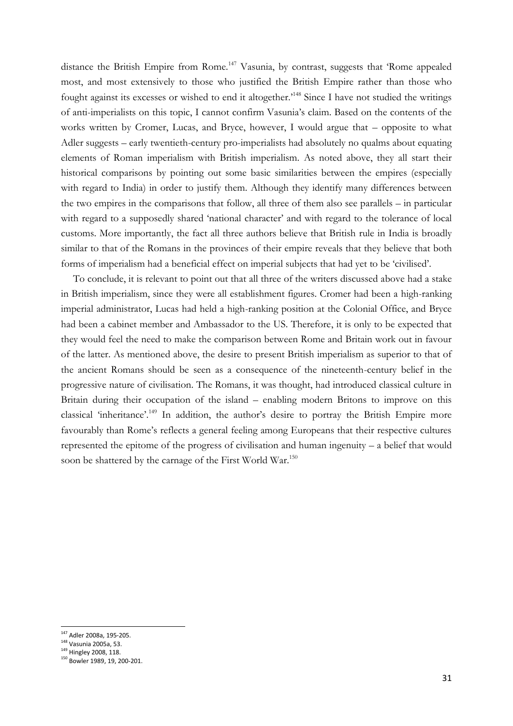distance the British Empire from Rome.<sup>147</sup> Vasunia, by contrast, suggests that 'Rome appealed most, and most extensively to those who justified the British Empire rather than those who fought against its excesses or wished to end it altogether.<sup>148</sup> Since I have not studied the writings of anti-imperialists on this topic, I cannot confirm Vasunia's claim. Based on the contents of the works written by Cromer, Lucas, and Bryce, however, I would argue that – opposite to what Adler suggests – early twentieth-century pro-imperialists had absolutely no qualms about equating elements of Roman imperialism with British imperialism. As noted above, they all start their historical comparisons by pointing out some basic similarities between the empires (especially with regard to India) in order to justify them. Although they identify many differences between the two empires in the comparisons that follow, all three of them also see parallels – in particular with regard to a supposedly shared 'national character' and with regard to the tolerance of local customs. More importantly, the fact all three authors believe that British rule in India is broadly similar to that of the Romans in the provinces of their empire reveals that they believe that both forms of imperialism had a beneficial effect on imperial subjects that had yet to be 'civilised'.

To conclude, it is relevant to point out that all three of the writers discussed above had a stake in British imperialism, since they were all establishment figures. Cromer had been a high-ranking imperial administrator, Lucas had held a high-ranking position at the Colonial Office, and Bryce had been a cabinet member and Ambassador to the US. Therefore, it is only to be expected that they would feel the need to make the comparison between Rome and Britain work out in favour of the latter. As mentioned above, the desire to present British imperialism as superior to that of the ancient Romans should be seen as a consequence of the nineteenth-century belief in the progressive nature of civilisation. The Romans, it was thought, had introduced classical culture in Britain during their occupation of the island – enabling modern Britons to improve on this classical 'inheritance'.<sup>149</sup> In addition, the author's desire to portray the British Empire more favourably than Rome's reflects a general feeling among Europeans that their respective cultures represented the epitome of the progress of civilisation and human ingenuity – a belief that would soon be shattered by the carnage of the First World War.<sup>150</sup>

<sup>&</sup>lt;sup>147</sup> Adler 2008a, 195-205.

<sup>148</sup> Vasunia 2005a, 53.

<sup>&</sup>lt;sup>149</sup> Hingley 2008, 118.

<sup>150</sup> Bowler 1989, 19, 200-201.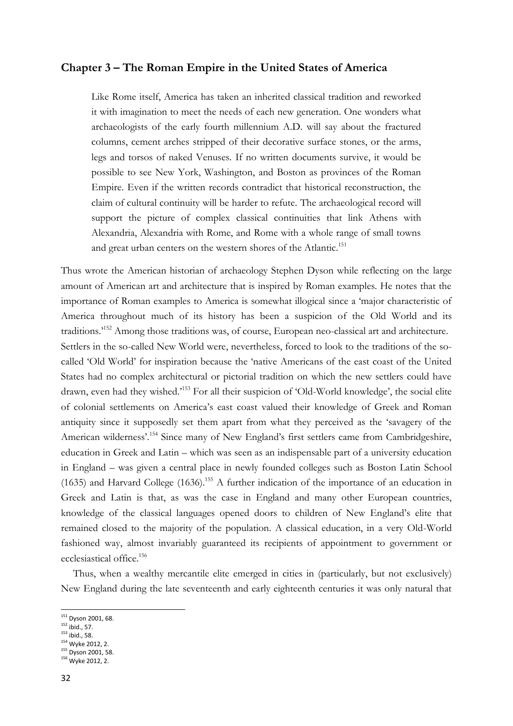#### **Chapter 3 – The Roman Empire in the United States of America**

Like Rome itself, America has taken an inherited classical tradition and reworked it with imagination to meet the needs of each new generation. One wonders what archaeologists of the early fourth millennium A.D. will say about the fractured columns, cement arches stripped of their decorative surface stones, or the arms, legs and torsos of naked Venuses. If no written documents survive, it would be possible to see New York, Washington, and Boston as provinces of the Roman Empire. Even if the written records contradict that historical reconstruction, the claim of cultural continuity will be harder to refute. The archaeological record will support the picture of complex classical continuities that link Athens with Alexandria, Alexandria with Rome, and Rome with a whole range of small towns and great urban centers on the western shores of the Atlantic.<sup>151</sup>

Thus wrote the American historian of archaeology Stephen Dyson while reflecting on the large amount of American art and architecture that is inspired by Roman examples. He notes that the importance of Roman examples to America is somewhat illogical since a 'major characteristic of America throughout much of its history has been a suspicion of the Old World and its traditions.'<sup>152</sup> Among those traditions was, of course, European neo-classical art and architecture. Settlers in the so-called New World were, nevertheless, forced to look to the traditions of the socalled 'Old World' for inspiration because the 'native Americans of the east coast of the United States had no complex architectural or pictorial tradition on which the new settlers could have drawn, even had they wished.'<sup>153</sup> For all their suspicion of 'Old-World knowledge', the social elite of colonial settlements on America's east coast valued their knowledge of Greek and Roman antiquity since it supposedly set them apart from what they perceived as the 'savagery of the American wilderness'.<sup>154</sup> Since many of New England's first settlers came from Cambridgeshire, education in Greek and Latin – which was seen as an indispensable part of a university education in England – was given a central place in newly founded colleges such as Boston Latin School (1635) and Harvard College (1636).<sup>155</sup> A further indication of the importance of an education in Greek and Latin is that, as was the case in England and many other European countries, knowledge of the classical languages opened doors to children of New England's elite that remained closed to the majority of the population. A classical education, in a very Old-World fashioned way, almost invariably guaranteed its recipients of appointment to government or ecclesiastical office.<sup>156</sup>

Thus, when a wealthy mercantile elite emerged in cities in (particularly, but not exclusively) New England during the late seventeenth and early eighteenth centuries it was only natural that

- $153$  ibid., 58.
- <sup>154</sup> Wyke 2012, 2.
- <sup>155</sup> Dyson 2001, 58. <sup>156</sup> Wyke 2012, 2.

<sup>&</sup>lt;sup>151</sup> Dyson 2001, 68.

 $152$  ibid., 57.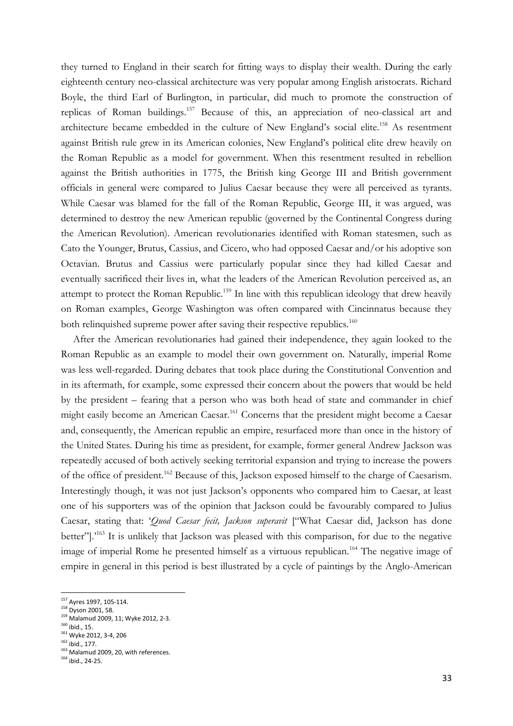they turned to England in their search for fitting ways to display their wealth. During the early eighteenth century neo-classical architecture was very popular among English aristocrats. Richard Boyle, the third Earl of Burlington, in particular, did much to promote the construction of replicas of Roman buildings.<sup>157</sup> Because of this, an appreciation of neo-classical art and architecture became embedded in the culture of New England's social elite.<sup>158</sup> As resentment against British rule grew in its American colonies, New England's political elite drew heavily on the Roman Republic as a model for government. When this resentment resulted in rebellion against the British authorities in 1775, the British king George III and British government officials in general were compared to Julius Caesar because they were all perceived as tyrants. While Caesar was blamed for the fall of the Roman Republic, George III, it was argued, was determined to destroy the new American republic (governed by the Continental Congress during the American Revolution). American revolutionaries identified with Roman statesmen, such as Cato the Younger, Brutus, Cassius, and Cicero, who had opposed Caesar and/or his adoptive son Octavian. Brutus and Cassius were particularly popular since they had killed Caesar and eventually sacrificed their lives in, what the leaders of the American Revolution perceived as, an attempt to protect the Roman Republic.<sup>159</sup> In line with this republican ideology that drew heavily on Roman examples, George Washington was often compared with Cincinnatus because they both relinquished supreme power after saving their respective republics.<sup>160</sup>

After the American revolutionaries had gained their independence, they again looked to the Roman Republic as an example to model their own government on. Naturally, imperial Rome was less well-regarded. During debates that took place during the Constitutional Convention and in its aftermath, for example, some expressed their concern about the powers that would be held by the president – fearing that a person who was both head of state and commander in chief might easily become an American Caesar. <sup>161</sup> Concerns that the president might become a Caesar and, consequently, the American republic an empire, resurfaced more than once in the history of the United States. During his time as president, for example, former general Andrew Jackson was repeatedly accused of both actively seeking territorial expansion and trying to increase the powers of the office of president.<sup>162</sup> Because of this, Jackson exposed himself to the charge of Caesarism. Interestingly though, it was not just Jackson's opponents who compared him to Caesar, at least one of his supporters was of the opinion that Jackson could be favourably compared to Julius Caesar, stating that: '*Quod Caesar fecit, Jackson superavit* ["What Caesar did, Jackson has done better"].'<sup>163</sup> It is unlikely that Jackson was pleased with this comparison, for due to the negative image of imperial Rome he presented himself as a virtuous republican.<sup>164</sup> The negative image of empire in general in this period is best illustrated by a cycle of paintings by the Anglo-American

<sup>&</sup>lt;sup>157</sup> Ayres 1997, 105-114.

<sup>158</sup> Dyson 2001, 58.

<sup>159</sup> Malamud 2009, 11; Wyke 2012, 2-3.

 $160$  ibid., 15.

<sup>161</sup> Wyke 2012, 3-4, 206 <sup>162</sup> ibid., 177.

<sup>&</sup>lt;sup>163</sup> Malamud 2009, 20, with references.

<sup>164</sup> ibid., 24-25.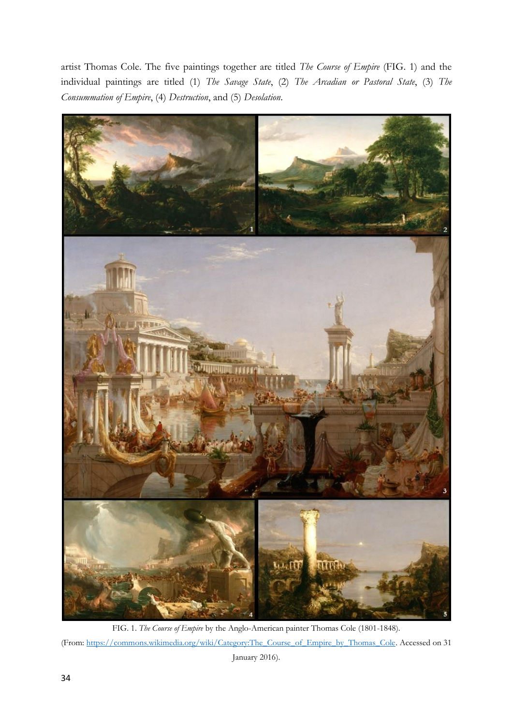artist Thomas Cole. The five paintings together are titled *The Course of Empire* (FIG. 1) and the individual paintings are titled (1) *The Savage State*, (2) *The Arcadian or Pastoral State*, (3) *The Consummation of Empire*, (4) *Destruction*, and (5) *Desolation*.



FIG. 1. *The Course of Empire* by the Anglo-American painter Thomas Cole (1801-1848). (From: [https://commons.wikimedia.org/wiki/Category:The\\_Course\\_of\\_Empire\\_by\\_Thomas\\_Cole.](https://commons.wikimedia.org/wiki/Category:The_Course_of_Empire_by_Thomas_Cole) Accessed on 31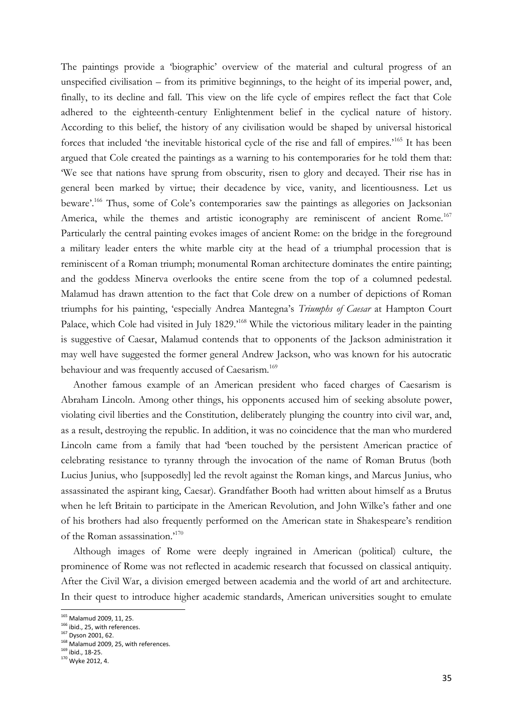The paintings provide a 'biographic' overview of the material and cultural progress of an unspecified civilisation – from its primitive beginnings, to the height of its imperial power, and, finally, to its decline and fall. This view on the life cycle of empires reflect the fact that Cole adhered to the eighteenth-century Enlightenment belief in the cyclical nature of history. According to this belief, the history of any civilisation would be shaped by universal historical forces that included 'the inevitable historical cycle of the rise and fall of empires.'<sup>165</sup> It has been argued that Cole created the paintings as a warning to his contemporaries for he told them that: 'We see that nations have sprung from obscurity, risen to glory and decayed. Their rise has in general been marked by virtue; their decadence by vice, vanity, and licentiousness. Let us beware'.<sup>166</sup> Thus, some of Cole's contemporaries saw the paintings as allegories on Jacksonian America, while the themes and artistic iconography are reminiscent of ancient Rome.<sup>167</sup> Particularly the central painting evokes images of ancient Rome: on the bridge in the foreground a military leader enters the white marble city at the head of a triumphal procession that is reminiscent of a Roman triumph; monumental Roman architecture dominates the entire painting; and the goddess Minerva overlooks the entire scene from the top of a columned pedestal. Malamud has drawn attention to the fact that Cole drew on a number of depictions of Roman triumphs for his painting, 'especially Andrea Mantegna's *Triumphs of Caesar* at Hampton Court Palace, which Cole had visited in July 1829.'<sup>168</sup> While the victorious military leader in the painting is suggestive of Caesar, Malamud contends that to opponents of the Jackson administration it may well have suggested the former general Andrew Jackson, who was known for his autocratic behaviour and was frequently accused of Caesarism.<sup>169</sup>

Another famous example of an American president who faced charges of Caesarism is Abraham Lincoln. Among other things, his opponents accused him of seeking absolute power, violating civil liberties and the Constitution, deliberately plunging the country into civil war, and, as a result, destroying the republic. In addition, it was no coincidence that the man who murdered Lincoln came from a family that had 'been touched by the persistent American practice of celebrating resistance to tyranny through the invocation of the name of Roman Brutus (both Lucius Junius, who [supposedly] led the revolt against the Roman kings, and Marcus Junius, who assassinated the aspirant king, Caesar). Grandfather Booth had written about himself as a Brutus when he left Britain to participate in the American Revolution, and John Wilke's father and one of his brothers had also frequently performed on the American state in Shakespeare's rendition of the Roman assassination.'<sup>170</sup>

Although images of Rome were deeply ingrained in American (political) culture, the prominence of Rome was not reflected in academic research that focussed on classical antiquity. After the Civil War, a division emerged between academia and the world of art and architecture. In their quest to introduce higher academic standards, American universities sought to emulate

<sup>&</sup>lt;sup>165</sup> Malamud 2009, 11, 25.

 $166$  ibid., 25, with references.

<sup>167</sup> Dyson 2001, 62.

<sup>168</sup> Malamud 2009, 25, with references.

<sup>169</sup> ibid., 18-25.

<sup>170</sup> Wyke 2012, 4.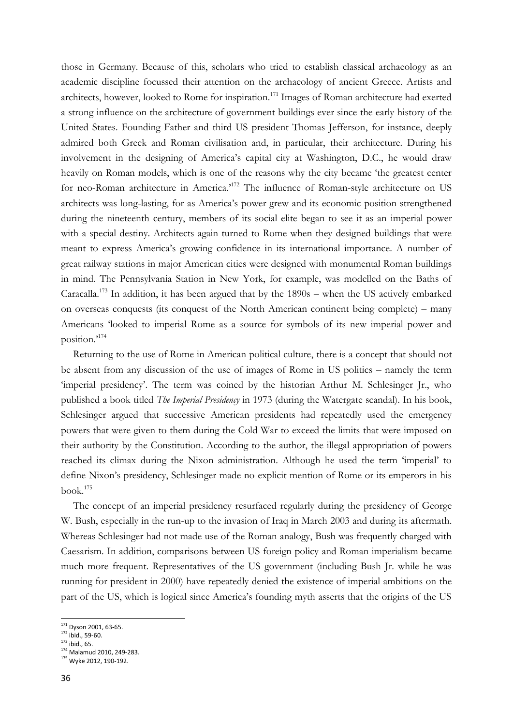those in Germany. Because of this, scholars who tried to establish classical archaeology as an academic discipline focussed their attention on the archaeology of ancient Greece. Artists and architects, however, looked to Rome for inspiration.<sup>171</sup> Images of Roman architecture had exerted a strong influence on the architecture of government buildings ever since the early history of the United States. Founding Father and third US president Thomas Jefferson, for instance, deeply admired both Greek and Roman civilisation and, in particular, their architecture. During his involvement in the designing of America's capital city at Washington, D.C., he would draw heavily on Roman models, which is one of the reasons why the city became 'the greatest center for neo-Roman architecture in America.'<sup>172</sup> The influence of Roman-style architecture on US architects was long-lasting, for as America's power grew and its economic position strengthened during the nineteenth century, members of its social elite began to see it as an imperial power with a special destiny. Architects again turned to Rome when they designed buildings that were meant to express America's growing confidence in its international importance. A number of great railway stations in major American cities were designed with monumental Roman buildings in mind. The Pennsylvania Station in New York, for example, was modelled on the Baths of Caracalla.<sup>173</sup> In addition, it has been argued that by the  $1890s$  – when the US actively embarked on overseas conquests (its conquest of the North American continent being complete) – many Americans 'looked to imperial Rome as a source for symbols of its new imperial power and position.'<sup>174</sup>

Returning to the use of Rome in American political culture, there is a concept that should not be absent from any discussion of the use of images of Rome in US politics – namely the term 'imperial presidency'. The term was coined by the historian Arthur M. Schlesinger Jr., who published a book titled *The Imperial Presidency* in 1973 (during the Watergate scandal). In his book, Schlesinger argued that successive American presidents had repeatedly used the emergency powers that were given to them during the Cold War to exceed the limits that were imposed on their authority by the Constitution. According to the author, the illegal appropriation of powers reached its climax during the Nixon administration. Although he used the term 'imperial' to define Nixon's presidency, Schlesinger made no explicit mention of Rome or its emperors in his book.<sup>175</sup>

The concept of an imperial presidency resurfaced regularly during the presidency of George W. Bush, especially in the run-up to the invasion of Iraq in March 2003 and during its aftermath. Whereas Schlesinger had not made use of the Roman analogy, Bush was frequently charged with Caesarism. In addition, comparisons between US foreign policy and Roman imperialism became much more frequent. Representatives of the US government (including Bush Jr. while he was running for president in 2000) have repeatedly denied the existence of imperial ambitions on the part of the US, which is logical since America's founding myth asserts that the origins of the US

<sup>172</sup> ibid., 59-60.

<sup>&</sup>lt;sup>171</sup> Dyson 2001, 63-65.

 $173$  ibid., 65.

<sup>174</sup> Malamud 2010, 249-283.

<sup>175</sup> Wyke 2012, 190-192.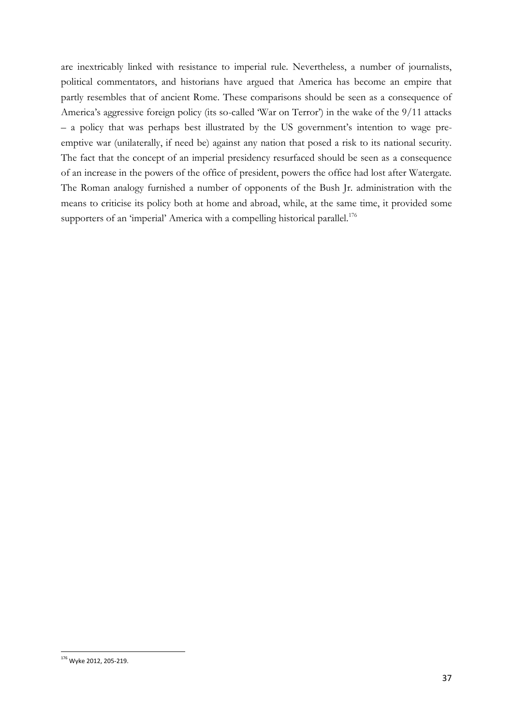are inextricably linked with resistance to imperial rule. Nevertheless, a number of journalists, political commentators, and historians have argued that America has become an empire that partly resembles that of ancient Rome. These comparisons should be seen as a consequence of America's aggressive foreign policy (its so-called 'War on Terror') in the wake of the 9/11 attacks – a policy that was perhaps best illustrated by the US government's intention to wage preemptive war (unilaterally, if need be) against any nation that posed a risk to its national security. The fact that the concept of an imperial presidency resurfaced should be seen as a consequence of an increase in the powers of the office of president, powers the office had lost after Watergate. The Roman analogy furnished a number of opponents of the Bush Jr. administration with the means to criticise its policy both at home and abroad, while, at the same time, it provided some supporters of an 'imperial' America with a compelling historical parallel.<sup>176</sup>

<sup>1</sup> <sup>176</sup> Wyke 2012, 205-219.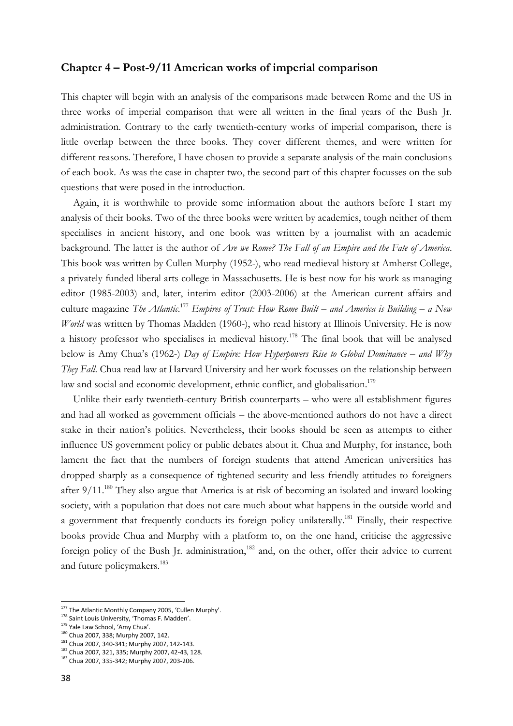#### **Chapter 4 – Post-9/11 American works of imperial comparison**

This chapter will begin with an analysis of the comparisons made between Rome and the US in three works of imperial comparison that were all written in the final years of the Bush Jr. administration. Contrary to the early twentieth-century works of imperial comparison, there is little overlap between the three books. They cover different themes, and were written for different reasons. Therefore, I have chosen to provide a separate analysis of the main conclusions of each book. As was the case in chapter two, the second part of this chapter focusses on the sub questions that were posed in the introduction.

Again, it is worthwhile to provide some information about the authors before I start my analysis of their books. Two of the three books were written by academics, tough neither of them specialises in ancient history, and one book was written by a journalist with an academic background. The latter is the author of *Are we Rome? The Fall of an Empire and the Fate of America*. This book was written by Cullen Murphy (1952-), who read medieval history at Amherst College, a privately funded liberal arts college in Massachusetts. He is best now for his work as managing editor (1985-2003) and, later, interim editor (2003-2006) at the American current affairs and culture magazine *The Atlantic*. <sup>177</sup> *Empires of Trust: How Rome Built – and America is Building – a New World* was written by Thomas Madden (1960-), who read history at Illinois University. He is now a history professor who specialises in medieval history.<sup>178</sup> The final book that will be analysed below is Amy Chua's (1962-) *Day of Empire: How Hyperpowers Rise to Global Dominance – and Why They Fall*. Chua read law at Harvard University and her work focusses on the relationship between law and social and economic development, ethnic conflict, and globalisation.<sup>179</sup>

Unlike their early twentieth-century British counterparts – who were all establishment figures and had all worked as government officials – the above-mentioned authors do not have a direct stake in their nation's politics. Nevertheless, their books should be seen as attempts to either influence US government policy or public debates about it. Chua and Murphy, for instance, both lament the fact that the numbers of foreign students that attend American universities has dropped sharply as a consequence of tightened security and less friendly attitudes to foreigners after 9/11.<sup>180</sup> They also argue that America is at risk of becoming an isolated and inward looking society, with a population that does not care much about what happens in the outside world and a government that frequently conducts its foreign policy unilaterally.<sup>181</sup> Finally, their respective books provide Chua and Murphy with a platform to, on the one hand, criticise the aggressive foreign policy of the Bush Jr. administration,<sup>182</sup> and, on the other, offer their advice to current and future policymakers.<sup>183</sup>

<sup>&</sup>lt;sup>177</sup> The Atlantic Monthly Company 2005, 'Cullen Murphy'.

<sup>178</sup> Saint Louis University, 'Thomas F. Madden'.

<sup>179</sup> Yale Law School, 'Amy Chua'.

<sup>180</sup> Chua 2007, 338; Murphy 2007, 142.

<sup>181</sup> Chua 2007, 340-341; Murphy 2007, 142-143.

<sup>182</sup> Chua 2007, 321, 335; Murphy 2007, 42-43, 128.

<sup>183</sup> Chua 2007, 335-342; Murphy 2007, 203-206.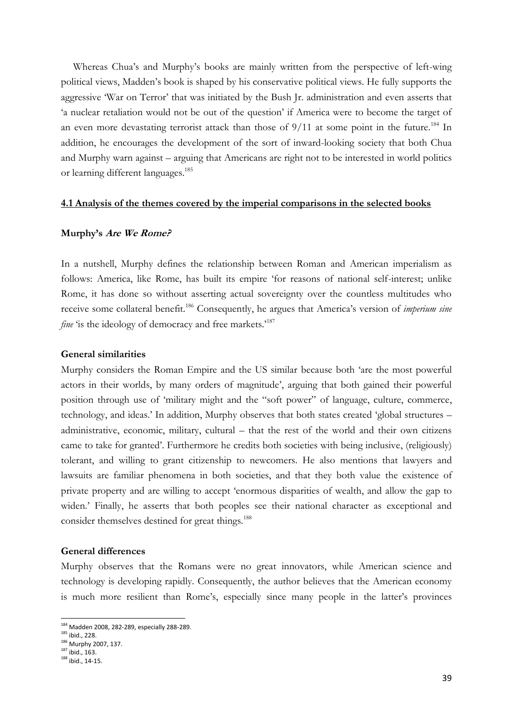Whereas Chua's and Murphy's books are mainly written from the perspective of left-wing political views, Madden's book is shaped by his conservative political views. He fully supports the aggressive 'War on Terror' that was initiated by the Bush Jr. administration and even asserts that 'a nuclear retaliation would not be out of the question' if America were to become the target of an even more devastating terrorist attack than those of  $9/11$  at some point in the future.<sup>184</sup> In addition, he encourages the development of the sort of inward-looking society that both Chua and Murphy warn against – arguing that Americans are right not to be interested in world politics or learning different languages.<sup>185</sup>

#### **4.1 Analysis of the themes covered by the imperial comparisons in the selected books**

#### **Murphy's Are We Rome?**

In a nutshell, Murphy defines the relationship between Roman and American imperialism as follows: America, like Rome, has built its empire 'for reasons of national self-interest; unlike Rome, it has done so without asserting actual sovereignty over the countless multitudes who receive some collateral benefit.<sup>186</sup> Consequently, he argues that America's version of *imperium sine fine* 'is the ideology of democracy and free markets.'<sup>187</sup>

#### **General similarities**

Murphy considers the Roman Empire and the US similar because both 'are the most powerful actors in their worlds, by many orders of magnitude', arguing that both gained their powerful position through use of 'military might and the "soft power" of language, culture, commerce, technology, and ideas.' In addition, Murphy observes that both states created 'global structures – administrative, economic, military, cultural – that the rest of the world and their own citizens came to take for granted'. Furthermore he credits both societies with being inclusive, (religiously) tolerant, and willing to grant citizenship to newcomers. He also mentions that lawyers and lawsuits are familiar phenomena in both societies, and that they both value the existence of private property and are willing to accept 'enormous disparities of wealth, and allow the gap to widen.' Finally, he asserts that both peoples see their national character as exceptional and consider themselves destined for great things.<sup>188</sup>

#### **General differences**

Murphy observes that the Romans were no great innovators, while American science and technology is developing rapidly. Consequently, the author believes that the American economy is much more resilient than Rome's, especially since many people in the latter's provinces

<sup>&</sup>lt;sup>184</sup> Madden 2008, 282-289, especially 288-289.

<sup>185</sup> ibid., 228.

<sup>&</sup>lt;sup>186</sup> Murphy 2007, 137.

 $187$  ibid., 163. <sup>188</sup> ibid., 14-15.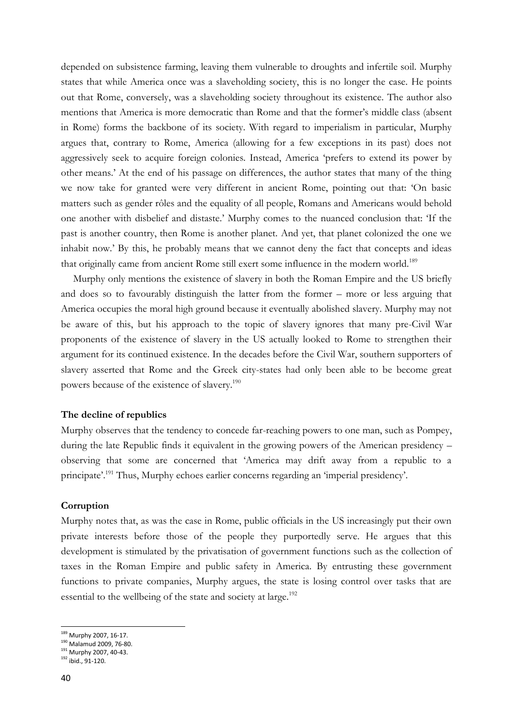depended on subsistence farming, leaving them vulnerable to droughts and infertile soil. Murphy states that while America once was a slaveholding society, this is no longer the case. He points out that Rome, conversely, was a slaveholding society throughout its existence. The author also mentions that America is more democratic than Rome and that the former's middle class (absent in Rome) forms the backbone of its society. With regard to imperialism in particular, Murphy argues that, contrary to Rome, America (allowing for a few exceptions in its past) does not aggressively seek to acquire foreign colonies. Instead, America 'prefers to extend its power by other means.' At the end of his passage on differences, the author states that many of the thing we now take for granted were very different in ancient Rome, pointing out that: 'On basic matters such as gender rôles and the equality of all people, Romans and Americans would behold one another with disbelief and distaste.' Murphy comes to the nuanced conclusion that: 'If the past is another country, then Rome is another planet. And yet, that planet colonized the one we inhabit now.' By this, he probably means that we cannot deny the fact that concepts and ideas that originally came from ancient Rome still exert some influence in the modern world.<sup>189</sup>

Murphy only mentions the existence of slavery in both the Roman Empire and the US briefly and does so to favourably distinguish the latter from the former – more or less arguing that America occupies the moral high ground because it eventually abolished slavery. Murphy may not be aware of this, but his approach to the topic of slavery ignores that many pre-Civil War proponents of the existence of slavery in the US actually looked to Rome to strengthen their argument for its continued existence. In the decades before the Civil War, southern supporters of slavery asserted that Rome and the Greek city-states had only been able to be become great powers because of the existence of slavery.<sup>190</sup>

#### **The decline of republics**

Murphy observes that the tendency to concede far-reaching powers to one man, such as Pompey, during the late Republic finds it equivalent in the growing powers of the American presidency – observing that some are concerned that 'America may drift away from a republic to a principate'.<sup>191</sup> Thus, Murphy echoes earlier concerns regarding an 'imperial presidency'.

#### **Corruption**

Murphy notes that, as was the case in Rome, public officials in the US increasingly put their own private interests before those of the people they purportedly serve. He argues that this development is stimulated by the privatisation of government functions such as the collection of taxes in the Roman Empire and public safety in America. By entrusting these government functions to private companies, Murphy argues, the state is losing control over tasks that are essential to the wellbeing of the state and society at large.<sup>192</sup>

<sup>&</sup>lt;sup>189</sup> Murphy 2007, 16-17.

<sup>190</sup> Malamud 2009, 76-80.

<sup>191</sup> Murphy 2007, 40-43.

<sup>192</sup> ibid., 91-120.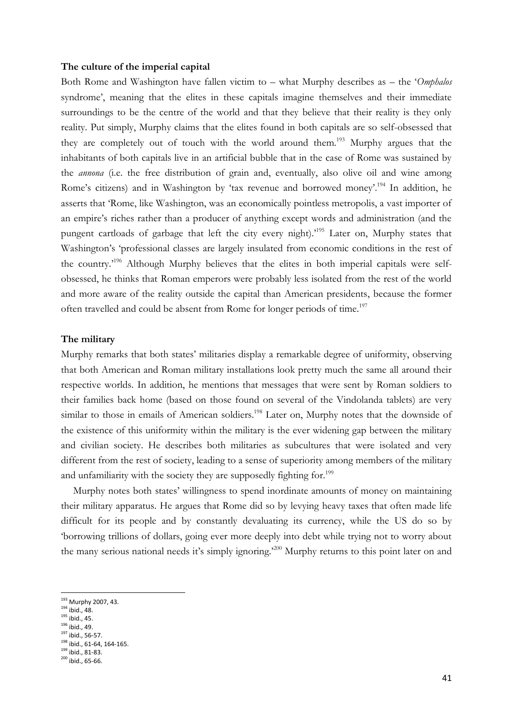#### **The culture of the imperial capital**

Both Rome and Washington have fallen victim to – what Murphy describes as – the '*Omphalos* syndrome', meaning that the elites in these capitals imagine themselves and their immediate surroundings to be the centre of the world and that they believe that their reality is they only reality. Put simply, Murphy claims that the elites found in both capitals are so self-obsessed that they are completely out of touch with the world around them.<sup>193</sup> Murphy argues that the inhabitants of both capitals live in an artificial bubble that in the case of Rome was sustained by the *annona* (i.e. the free distribution of grain and, eventually, also olive oil and wine among Rome's citizens) and in Washington by 'tax revenue and borrowed money'.<sup>194</sup> In addition, he asserts that 'Rome, like Washington, was an economically pointless metropolis, a vast importer of an empire's riches rather than a producer of anything except words and administration (and the pungent cartloads of garbage that left the city every night).<sup>195</sup> Later on, Murphy states that Washington's 'professional classes are largely insulated from economic conditions in the rest of the country.'<sup>196</sup> Although Murphy believes that the elites in both imperial capitals were selfobsessed, he thinks that Roman emperors were probably less isolated from the rest of the world and more aware of the reality outside the capital than American presidents, because the former often travelled and could be absent from Rome for longer periods of time.<sup>197</sup>

#### **The military**

Murphy remarks that both states' militaries display a remarkable degree of uniformity, observing that both American and Roman military installations look pretty much the same all around their respective worlds. In addition, he mentions that messages that were sent by Roman soldiers to their families back home (based on those found on several of the Vindolanda tablets) are very similar to those in emails of American soldiers.<sup>198</sup> Later on, Murphy notes that the downside of the existence of this uniformity within the military is the ever widening gap between the military and civilian society. He describes both militaries as subcultures that were isolated and very different from the rest of society, leading to a sense of superiority among members of the military and unfamiliarity with the society they are supposedly fighting for.<sup>199</sup>

Murphy notes both states' willingness to spend inordinate amounts of money on maintaining their military apparatus. He argues that Rome did so by levying heavy taxes that often made life difficult for its people and by constantly devaluating its currency, while the US do so by 'borrowing trillions of dollars, going ever more deeply into debt while trying not to worry about the many serious national needs it's simply ignoring.'<sup>200</sup> Murphy returns to this point later on and

<sup>&</sup>lt;sup>193</sup> Murphy 2007, 43.

<sup>194</sup> ibid., 48.

 $195$  ibid., 45.

<sup>196</sup> ibid., 49. <sup>197</sup> ibid., 56-57.

<sup>198</sup> ibid., 61-64, 164-165.

 $199$  ibid., 81-83.

 $200$  ibid., 65-66.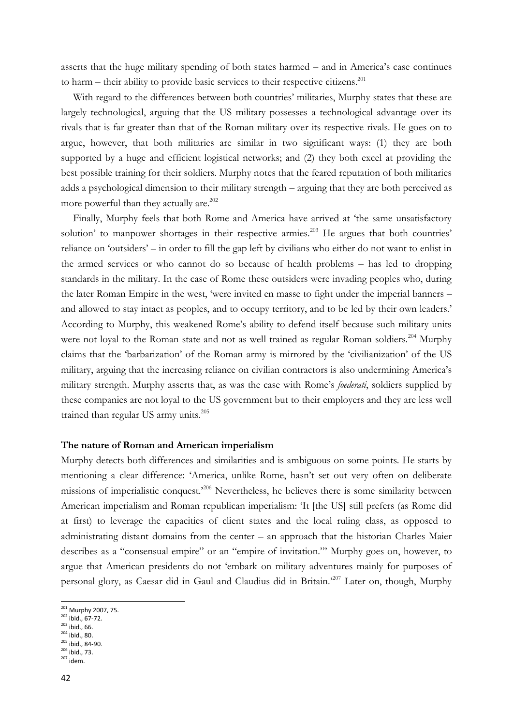asserts that the huge military spending of both states harmed – and in America's case continues to harm – their ability to provide basic services to their respective citizens.<sup>201</sup>

With regard to the differences between both countries' militaries, Murphy states that these are largely technological, arguing that the US military possesses a technological advantage over its rivals that is far greater than that of the Roman military over its respective rivals. He goes on to argue, however, that both militaries are similar in two significant ways: (1) they are both supported by a huge and efficient logistical networks; and (2) they both excel at providing the best possible training for their soldiers. Murphy notes that the feared reputation of both militaries adds a psychological dimension to their military strength – arguing that they are both perceived as more powerful than they actually are. $202$ 

Finally, Murphy feels that both Rome and America have arrived at 'the same unsatisfactory solution' to manpower shortages in their respective armies.<sup>203</sup> He argues that both countries' reliance on 'outsiders' – in order to fill the gap left by civilians who either do not want to enlist in the armed services or who cannot do so because of health problems – has led to dropping standards in the military. In the case of Rome these outsiders were invading peoples who, during the later Roman Empire in the west, 'were invited en masse to fight under the imperial banners – and allowed to stay intact as peoples, and to occupy territory, and to be led by their own leaders.' According to Murphy, this weakened Rome's ability to defend itself because such military units were not loyal to the Roman state and not as well trained as regular Roman soldiers.<sup>204</sup> Murphy claims that the 'barbarization' of the Roman army is mirrored by the 'civilianization' of the US military, arguing that the increasing reliance on civilian contractors is also undermining America's military strength. Murphy asserts that, as was the case with Rome's *foederati*, soldiers supplied by these companies are not loyal to the US government but to their employers and they are less well trained than regular US army units.<sup>205</sup>

#### **The nature of Roman and American imperialism**

Murphy detects both differences and similarities and is ambiguous on some points. He starts by mentioning a clear difference: 'America, unlike Rome, hasn't set out very often on deliberate missions of imperialistic conquest.<sup>206</sup> Nevertheless, he believes there is some similarity between American imperialism and Roman republican imperialism: 'It [the US] still prefers (as Rome did at first) to leverage the capacities of client states and the local ruling class, as opposed to administrating distant domains from the center – an approach that the historian Charles Maier describes as a "consensual empire" or an "empire of invitation."' Murphy goes on, however, to argue that American presidents do not 'embark on military adventures mainly for purposes of personal glory, as Caesar did in Gaul and Claudius did in Britain.'<sup>207</sup> Later on, though, Murphy

<sup>&</sup>lt;sup>201</sup> Murphy 2007, 75.

<sup>202</sup> ibid., 67-72.

 $203$  ibid., 66.

<sup>204</sup> ibid., 80.  $^{205}$  ibid., 84-90.

<sup>206</sup> ibid., 73.

 $207$  idem.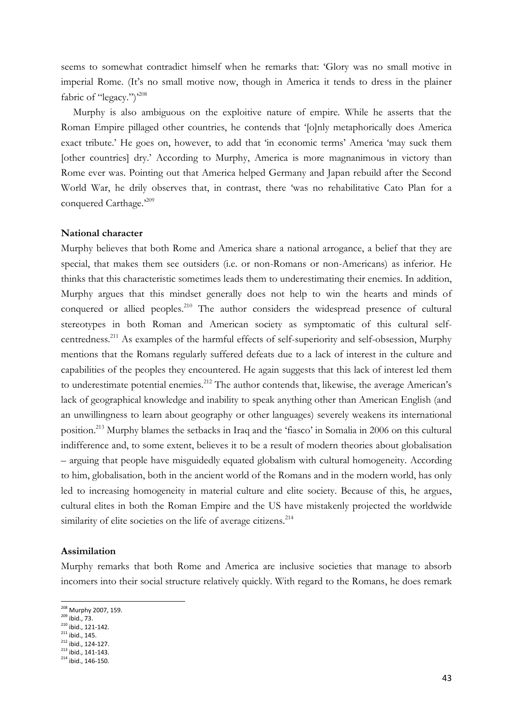seems to somewhat contradict himself when he remarks that: 'Glory was no small motive in imperial Rome. (It's no small motive now, though in America it tends to dress in the plainer fabric of "legacy.")<sup>208</sup>

Murphy is also ambiguous on the exploitive nature of empire. While he asserts that the Roman Empire pillaged other countries, he contends that '[o]nly metaphorically does America exact tribute.' He goes on, however, to add that 'in economic terms' America 'may suck them [other countries] dry.' According to Murphy, America is more magnanimous in victory than Rome ever was. Pointing out that America helped Germany and Japan rebuild after the Second World War, he drily observes that, in contrast, there 'was no rehabilitative Cato Plan for a conquered Carthage.'209

#### **National character**

Murphy believes that both Rome and America share a national arrogance, a belief that they are special, that makes them see outsiders (i.e. or non-Romans or non-Americans) as inferior. He thinks that this characteristic sometimes leads them to underestimating their enemies. In addition, Murphy argues that this mindset generally does not help to win the hearts and minds of conquered or allied peoples.<sup>210</sup> The author considers the widespread presence of cultural stereotypes in both Roman and American society as symptomatic of this cultural selfcentredness.<sup>211</sup> As examples of the harmful effects of self-superiority and self-obsession, Murphy mentions that the Romans regularly suffered defeats due to a lack of interest in the culture and capabilities of the peoples they encountered. He again suggests that this lack of interest led them to underestimate potential enemies.<sup>212</sup> The author contends that, likewise, the average American's lack of geographical knowledge and inability to speak anything other than American English (and an unwillingness to learn about geography or other languages) severely weakens its international position.<sup>213</sup> Murphy blames the setbacks in Iraq and the 'fiasco' in Somalia in 2006 on this cultural indifference and, to some extent, believes it to be a result of modern theories about globalisation – arguing that people have misguidedly equated globalism with cultural homogeneity. According to him, globalisation, both in the ancient world of the Romans and in the modern world, has only led to increasing homogeneity in material culture and elite society. Because of this, he argues, cultural elites in both the Roman Empire and the US have mistakenly projected the worldwide similarity of elite societies on the life of average citizens.<sup>214</sup>

#### **Assimilation**

Murphy remarks that both Rome and America are inclusive societies that manage to absorb incomers into their social structure relatively quickly. With regard to the Romans, he does remark

<sup>&</sup>lt;sup>208</sup> Murphy 2007, 159.

<sup>209</sup> ibid., 73.

 $210$  ibid., 121-142.

<sup>&</sup>lt;sup>211</sup> ibid., 145.

 $^{212}$  ibid., 124-127.

 $213$  ibid., 141-143.  $214$  ibid., 146-150.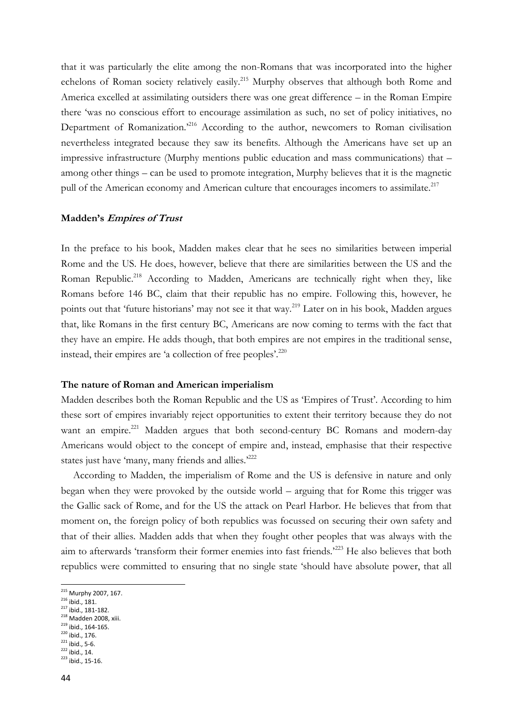that it was particularly the elite among the non-Romans that was incorporated into the higher echelons of Roman society relatively easily.<sup>215</sup> Murphy observes that although both Rome and America excelled at assimilating outsiders there was one great difference – in the Roman Empire there 'was no conscious effort to encourage assimilation as such, no set of policy initiatives, no Department of Romanization.<sup>216</sup> According to the author, newcomers to Roman civilisation nevertheless integrated because they saw its benefits. Although the Americans have set up an impressive infrastructure (Murphy mentions public education and mass communications) that – among other things – can be used to promote integration, Murphy believes that it is the magnetic pull of the American economy and American culture that encourages incomers to assimilate.<sup>217</sup>

#### **Madden's Empires of Trust**

In the preface to his book, Madden makes clear that he sees no similarities between imperial Rome and the US. He does, however, believe that there are similarities between the US and the Roman Republic.<sup>218</sup> According to Madden, Americans are technically right when they, like Romans before 146 BC, claim that their republic has no empire. Following this, however, he points out that 'future historians' may not see it that way.<sup>219</sup> Later on in his book, Madden argues that, like Romans in the first century BC, Americans are now coming to terms with the fact that they have an empire. He adds though, that both empires are not empires in the traditional sense, instead, their empires are 'a collection of free peoples'.<sup>220</sup>

#### **The nature of Roman and American imperialism**

Madden describes both the Roman Republic and the US as 'Empires of Trust'. According to him these sort of empires invariably reject opportunities to extent their territory because they do not want an empire.<sup>221</sup> Madden argues that both second-century BC Romans and modern-day Americans would object to the concept of empire and, instead, emphasise that their respective states just have 'many, many friends and allies.<sup>2222</sup>

According to Madden, the imperialism of Rome and the US is defensive in nature and only began when they were provoked by the outside world – arguing that for Rome this trigger was the Gallic sack of Rome, and for the US the attack on Pearl Harbor. He believes that from that moment on, the foreign policy of both republics was focussed on securing their own safety and that of their allies. Madden adds that when they fought other peoples that was always with the aim to afterwards 'transform their former enemies into fast friends.'<sup>223</sup> He also believes that both republics were committed to ensuring that no single state 'should have absolute power, that all

- <sup>216</sup> ibid., 181.
- $217$  ibid., 181-182.
- <sup>218</sup> Madden 2008, xiii.  $^{219}$  ibid., 164-165.
- 
- <sup>220</sup> ibid., 176.  $221$  ibid., 5-6.
- $^{222}$  ibid., 14.
- $223$  ibid., 15-16.

<sup>&</sup>lt;sup>215</sup> Murphy 2007, 167.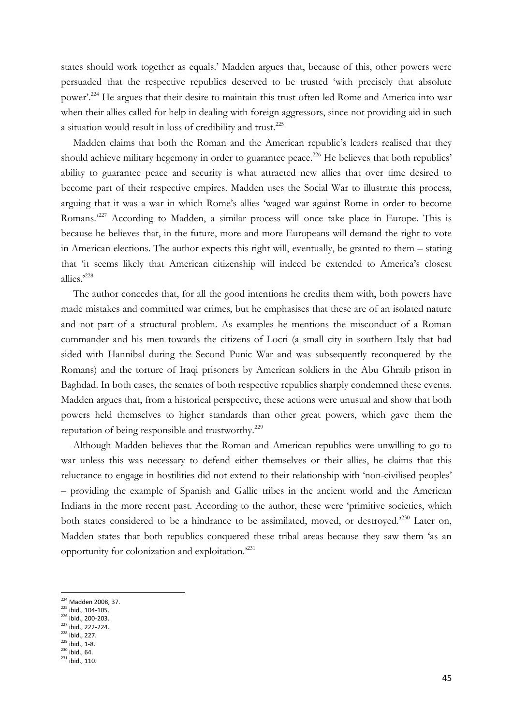states should work together as equals.' Madden argues that, because of this, other powers were persuaded that the respective republics deserved to be trusted 'with precisely that absolute power'.<sup>224</sup> He argues that their desire to maintain this trust often led Rome and America into war when their allies called for help in dealing with foreign aggressors, since not providing aid in such a situation would result in loss of credibility and trust.<sup>225</sup>

Madden claims that both the Roman and the American republic's leaders realised that they should achieve military hegemony in order to guarantee peace.<sup>226</sup> He believes that both republics' ability to guarantee peace and security is what attracted new allies that over time desired to become part of their respective empires. Madden uses the Social War to illustrate this process, arguing that it was a war in which Rome's allies 'waged war against Rome in order to become Romans.<sup>227</sup> According to Madden, a similar process will once take place in Europe. This is because he believes that, in the future, more and more Europeans will demand the right to vote in American elections. The author expects this right will, eventually, be granted to them – stating that 'it seems likely that American citizenship will indeed be extended to America's closest allies.' 228

The author concedes that, for all the good intentions he credits them with, both powers have made mistakes and committed war crimes, but he emphasises that these are of an isolated nature and not part of a structural problem. As examples he mentions the misconduct of a Roman commander and his men towards the citizens of Locri (a small city in southern Italy that had sided with Hannibal during the Second Punic War and was subsequently reconquered by the Romans) and the torture of Iraqi prisoners by American soldiers in the Abu Ghraib prison in Baghdad. In both cases, the senates of both respective republics sharply condemned these events. Madden argues that, from a historical perspective, these actions were unusual and show that both powers held themselves to higher standards than other great powers, which gave them the reputation of being responsible and trustworthy.<sup>229</sup>

Although Madden believes that the Roman and American republics were unwilling to go to war unless this was necessary to defend either themselves or their allies, he claims that this reluctance to engage in hostilities did not extend to their relationship with 'non-civilised peoples' – providing the example of Spanish and Gallic tribes in the ancient world and the American Indians in the more recent past. According to the author, these were 'primitive societies, which both states considered to be a hindrance to be assimilated, moved, or destroyed.<sup>230</sup> Later on, Madden states that both republics conquered these tribal areas because they saw them 'as an opportunity for colonization and exploitation.'<sup>231</sup>

<sup>226</sup> ibid., 200-203.

<sup>228</sup> ibid., 227.  $^{1014}$ ;  $^{1229}$  ibid., 1-8.

**.** 

 $231$  ibid., 110.

<sup>&</sup>lt;sup>224</sup> Madden 2008, 37.

 $225$  ibid., 104-105.

<sup>227</sup> ibid., 222-224.

 $^{230}$  ibid., 64.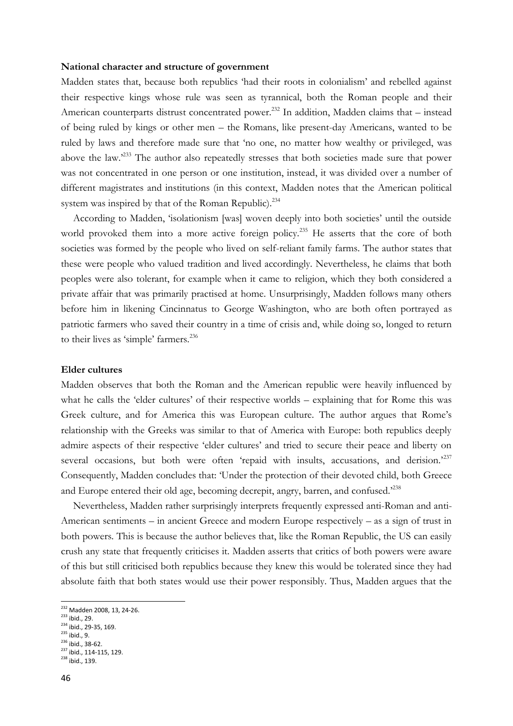#### **National character and structure of government**

Madden states that, because both republics 'had their roots in colonialism' and rebelled against their respective kings whose rule was seen as tyrannical, both the Roman people and their American counterparts distrust concentrated power.<sup>232</sup> In addition, Madden claims that – instead of being ruled by kings or other men – the Romans, like present-day Americans, wanted to be ruled by laws and therefore made sure that 'no one, no matter how wealthy or privileged, was above the law.'<sup>233</sup> The author also repeatedly stresses that both societies made sure that power was not concentrated in one person or one institution, instead, it was divided over a number of different magistrates and institutions (in this context, Madden notes that the American political system was inspired by that of the Roman Republic).<sup>234</sup>

According to Madden, 'isolationism [was] woven deeply into both societies' until the outside world provoked them into a more active foreign policy.<sup>235</sup> He asserts that the core of both societies was formed by the people who lived on self-reliant family farms. The author states that these were people who valued tradition and lived accordingly. Nevertheless, he claims that both peoples were also tolerant, for example when it came to religion, which they both considered a private affair that was primarily practised at home. Unsurprisingly, Madden follows many others before him in likening Cincinnatus to George Washington, who are both often portrayed as patriotic farmers who saved their country in a time of crisis and, while doing so, longed to return to their lives as 'simple' farmers.<sup>236</sup>

#### **Elder cultures**

Madden observes that both the Roman and the American republic were heavily influenced by what he calls the 'elder cultures' of their respective worlds – explaining that for Rome this was Greek culture, and for America this was European culture. The author argues that Rome's relationship with the Greeks was similar to that of America with Europe: both republics deeply admire aspects of their respective 'elder cultures' and tried to secure their peace and liberty on several occasions, but both were often 'repaid with insults, accusations, and derision.'237 Consequently, Madden concludes that: 'Under the protection of their devoted child, both Greece and Europe entered their old age, becoming decrepit, angry, barren, and confused.<sup>2238</sup>

Nevertheless, Madden rather surprisingly interprets frequently expressed anti-Roman and anti-American sentiments – in ancient Greece and modern Europe respectively – as a sign of trust in both powers. This is because the author believes that, like the Roman Republic, the US can easily crush any state that frequently criticises it. Madden asserts that critics of both powers were aware of this but still criticised both republics because they knew this would be tolerated since they had absolute faith that both states would use their power responsibly. Thus, Madden argues that the

 $234$  ibid., 29-35, 169.

<sup>236</sup> ibid., 38-62.

<sup>&</sup>lt;sup>232</sup> Madden 2008, 13, 24-26.

<sup>233</sup> ibid., 29.

<sup>&</sup>lt;sup>235</sup> ibid., 9.

<sup>&</sup>lt;sup>237</sup> ibid., 114-115, 129. <sup>238</sup> ibid., 139.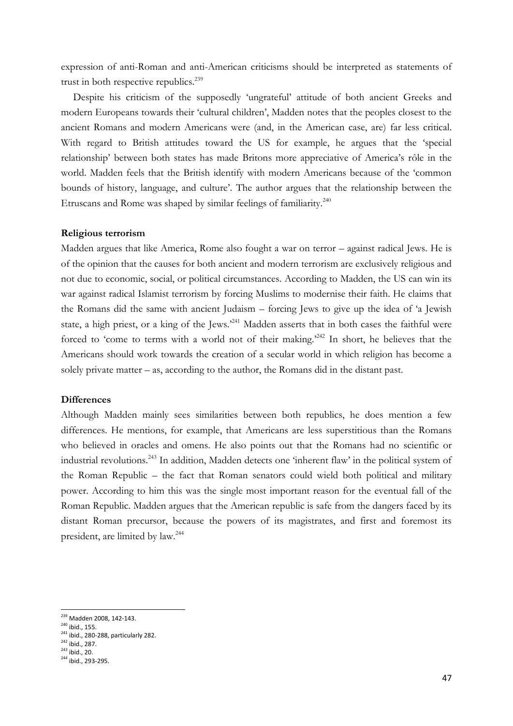expression of anti-Roman and anti-American criticisms should be interpreted as statements of trust in both respective republics.<sup>239</sup>

Despite his criticism of the supposedly 'ungrateful' attitude of both ancient Greeks and modern Europeans towards their 'cultural children', Madden notes that the peoples closest to the ancient Romans and modern Americans were (and, in the American case, are) far less critical. With regard to British attitudes toward the US for example, he argues that the 'special relationship' between both states has made Britons more appreciative of America's rôle in the world. Madden feels that the British identify with modern Americans because of the 'common bounds of history, language, and culture'. The author argues that the relationship between the Etruscans and Rome was shaped by similar feelings of familiarity.<sup>240</sup>

#### **Religious terrorism**

Madden argues that like America, Rome also fought a war on terror – against radical Jews. He is of the opinion that the causes for both ancient and modern terrorism are exclusively religious and not due to economic, social, or political circumstances. According to Madden, the US can win its war against radical Islamist terrorism by forcing Muslims to modernise their faith. He claims that the Romans did the same with ancient Judaism – forcing Jews to give up the idea of 'a Jewish state, a high priest, or a king of the Jews.<sup>241</sup> Madden asserts that in both cases the faithful were forced to 'come to terms with a world not of their making.<sup>242</sup> In short, he believes that the Americans should work towards the creation of a secular world in which religion has become a solely private matter – as, according to the author, the Romans did in the distant past.

#### **Differences**

Although Madden mainly sees similarities between both republics, he does mention a few differences. He mentions, for example, that Americans are less superstitious than the Romans who believed in oracles and omens. He also points out that the Romans had no scientific or industrial revolutions.<sup>243</sup> In addition, Madden detects one 'inherent flaw' in the political system of the Roman Republic – the fact that Roman senators could wield both political and military power. According to him this was the single most important reason for the eventual fall of the Roman Republic. Madden argues that the American republic is safe from the dangers faced by its distant Roman precursor, because the powers of its magistrates, and first and foremost its president, are limited by law.<sup>244</sup>

<sup>&</sup>lt;sup>239</sup> Madden 2008, 142-143.

<sup>240</sup> ibid., 155.

<sup>241</sup> ibid., 280-288, particularly 282.

 $^{11111}$ , 287.

 $243$  ibid., 20. <sup>244</sup> ibid., 293-295.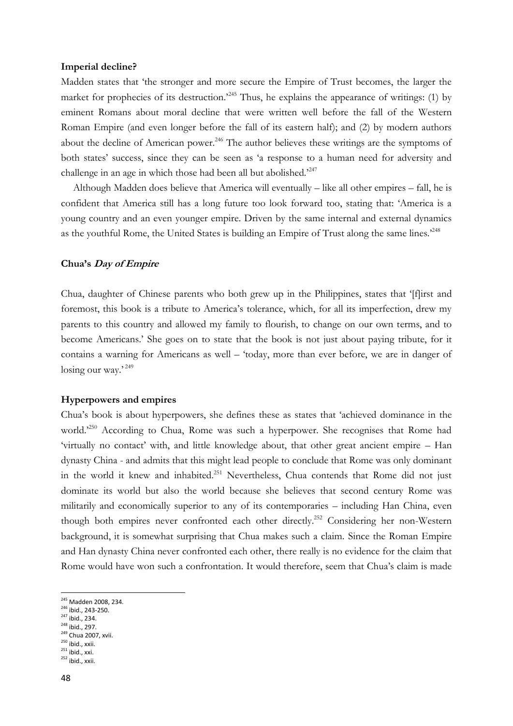#### **Imperial decline?**

Madden states that 'the stronger and more secure the Empire of Trust becomes, the larger the market for prophecies of its destruction.<sup>245</sup> Thus, he explains the appearance of writings: (1) by eminent Romans about moral decline that were written well before the fall of the Western Roman Empire (and even longer before the fall of its eastern half); and (2) by modern authors about the decline of American power.<sup>246</sup> The author believes these writings are the symptoms of both states' success, since they can be seen as 'a response to a human need for adversity and challenge in an age in which those had been all but abolished.<sup>247</sup>

Although Madden does believe that America will eventually – like all other empires – fall, he is confident that America still has a long future too look forward too, stating that: 'America is a young country and an even younger empire. Driven by the same internal and external dynamics as the youthful Rome, the United States is building an Empire of Trust along the same lines.<sup>248</sup>

#### **Chua's Day of Empire**

Chua, daughter of Chinese parents who both grew up in the Philippines, states that '[f]irst and foremost, this book is a tribute to America's tolerance, which, for all its imperfection, drew my parents to this country and allowed my family to flourish, to change on our own terms, and to become Americans.' She goes on to state that the book is not just about paying tribute, for it contains a warning for Americans as well – 'today, more than ever before, we are in danger of losing our way.' 249

#### **Hyperpowers and empires**

Chua's book is about hyperpowers, she defines these as states that 'achieved dominance in the world.<sup>250</sup> According to Chua, Rome was such a hyperpower. She recognises that Rome had 'virtually no contact' with, and little knowledge about, that other great ancient empire – Han dynasty China - and admits that this might lead people to conclude that Rome was only dominant in the world it knew and inhabited.<sup>251</sup> Nevertheless, Chua contends that Rome did not just dominate its world but also the world because she believes that second century Rome was militarily and economically superior to any of its contemporaries – including Han China, even though both empires never confronted each other directly. <sup>252</sup> Considering her non-Western background, it is somewhat surprising that Chua makes such a claim. Since the Roman Empire and Han dynasty China never confronted each other, there really is no evidence for the claim that Rome would have won such a confrontation. It would therefore, seem that Chua's claim is made

<sup>&</sup>lt;sup>245</sup> Madden 2008, 234.

<sup>246</sup> ibid., 243-250.

<sup>247</sup> ibid., 234.

 $248$  ibid., 297.

<sup>&</sup>lt;sup>249</sup> Chua 2007, xvii.

<sup>&</sup>lt;sup>250</sup> ibid., xxii.  $^{251}$  ibid., xxi.

 $252$  ibid., xxii.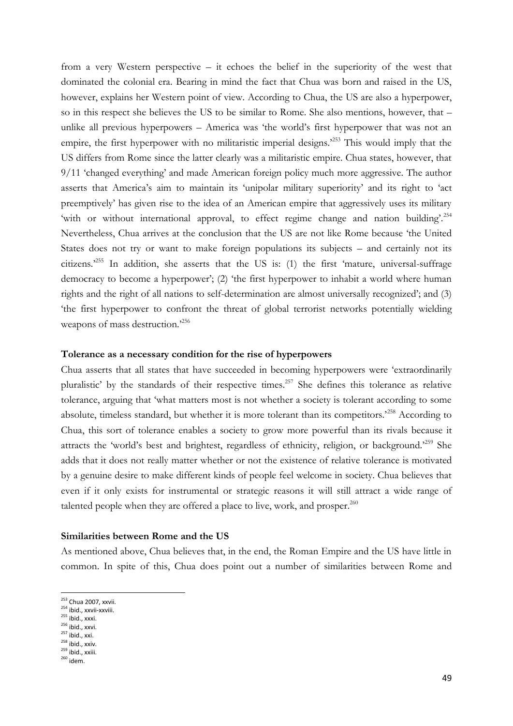from a very Western perspective – it echoes the belief in the superiority of the west that dominated the colonial era. Bearing in mind the fact that Chua was born and raised in the US, however, explains her Western point of view. According to Chua, the US are also a hyperpower, so in this respect she believes the US to be similar to Rome. She also mentions, however, that – unlike all previous hyperpowers – America was 'the world's first hyperpower that was not an empire, the first hyperpower with no militaristic imperial designs.<sup>253</sup> This would imply that the US differs from Rome since the latter clearly was a militaristic empire. Chua states, however, that 9/11 'changed everything' and made American foreign policy much more aggressive. The author asserts that America's aim to maintain its 'unipolar military superiority' and its right to 'act preemptively' has given rise to the idea of an American empire that aggressively uses its military 'with or without international approval, to effect regime change and nation building'.<sup>254</sup> Nevertheless, Chua arrives at the conclusion that the US are not like Rome because 'the United States does not try or want to make foreign populations its subjects – and certainly not its citizens.'<sup>255</sup> In addition, she asserts that the US is: (1) the first 'mature, universal-suffrage democracy to become a hyperpower'; (2) 'the first hyperpower to inhabit a world where human rights and the right of all nations to self-determination are almost universally recognized'; and (3) 'the first hyperpower to confront the threat of global terrorist networks potentially wielding weapons of mass destruction.<sup>256</sup>

#### **Tolerance as a necessary condition for the rise of hyperpowers**

Chua asserts that all states that have succeeded in becoming hyperpowers were 'extraordinarily pluralistic' by the standards of their respective times.<sup>257</sup> She defines this tolerance as relative tolerance, arguing that 'what matters most is not whether a society is tolerant according to some absolute, timeless standard, but whether it is more tolerant than its competitors.<sup>258</sup> According to Chua, this sort of tolerance enables a society to grow more powerful than its rivals because it attracts the 'world's best and brightest, regardless of ethnicity, religion, or background.'<sup>259</sup> She adds that it does not really matter whether or not the existence of relative tolerance is motivated by a genuine desire to make different kinds of people feel welcome in society. Chua believes that even if it only exists for instrumental or strategic reasons it will still attract a wide range of talented people when they are offered a place to live, work, and prosper. $^{260}$ 

#### **Similarities between Rome and the US**

As mentioned above, Chua believes that, in the end, the Roman Empire and the US have little in common. In spite of this, Chua does point out a number of similarities between Rome and

<sup>&</sup>lt;sup>253</sup> Chua 2007, xxvii.

<sup>254</sup> ibid., xxvii-xxviii.

 $255$  ibid., xxxi.

 $256$  ibid., xxvi.

<sup>&</sup>lt;sup>257</sup> ibid., xxi. <sup>258</sup> ibid., xxiv.

 $259$  ibid., xxiii.

 $260$  idem.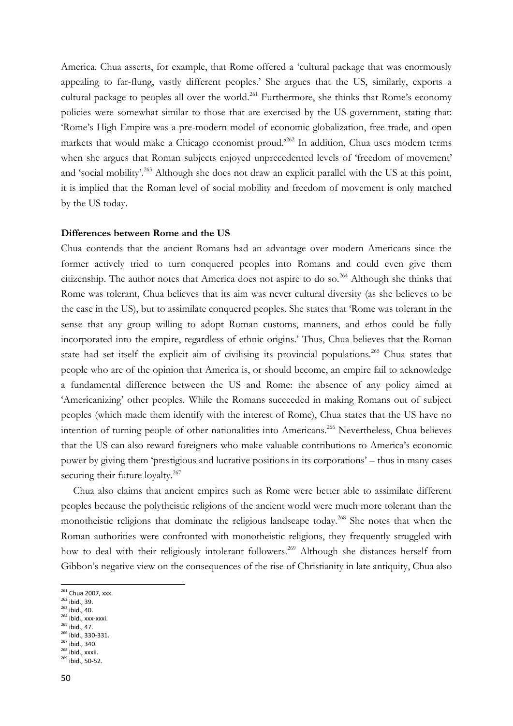America. Chua asserts, for example, that Rome offered a 'cultural package that was enormously appealing to far-flung, vastly different peoples.' She argues that the US, similarly, exports a cultural package to peoples all over the world.<sup>261</sup> Furthermore, she thinks that Rome's economy policies were somewhat similar to those that are exercised by the US government, stating that: 'Rome's High Empire was a pre-modern model of economic globalization, free trade, and open markets that would make a Chicago economist proud.<sup>262</sup> In addition, Chua uses modern terms when she argues that Roman subjects enjoyed unprecedented levels of 'freedom of movement' and 'social mobility'.<sup>263</sup> Although she does not draw an explicit parallel with the US at this point, it is implied that the Roman level of social mobility and freedom of movement is only matched by the US today.

#### **Differences between Rome and the US**

Chua contends that the ancient Romans had an advantage over modern Americans since the former actively tried to turn conquered peoples into Romans and could even give them citizenship. The author notes that America does not aspire to do so.<sup>264</sup> Although she thinks that Rome was tolerant, Chua believes that its aim was never cultural diversity (as she believes to be the case in the US), but to assimilate conquered peoples. She states that 'Rome was tolerant in the sense that any group willing to adopt Roman customs, manners, and ethos could be fully incorporated into the empire, regardless of ethnic origins.' Thus, Chua believes that the Roman state had set itself the explicit aim of civilising its provincial populations.<sup>265</sup> Chua states that people who are of the opinion that America is, or should become, an empire fail to acknowledge a fundamental difference between the US and Rome: the absence of any policy aimed at 'Americanizing' other peoples. While the Romans succeeded in making Romans out of subject peoples (which made them identify with the interest of Rome), Chua states that the US have no intention of turning people of other nationalities into Americans.<sup>266</sup> Nevertheless, Chua believes that the US can also reward foreigners who make valuable contributions to America's economic power by giving them 'prestigious and lucrative positions in its corporations' – thus in many cases securing their future loyalty.<sup>267</sup>

Chua also claims that ancient empires such as Rome were better able to assimilate different peoples because the polytheistic religions of the ancient world were much more tolerant than the monotheistic religions that dominate the religious landscape today.<sup>268</sup> She notes that when the Roman authorities were confronted with monotheistic religions, they frequently struggled with how to deal with their religiously intolerant followers.<sup>269</sup> Although she distances herself from Gibbon's negative view on the consequences of the rise of Christianity in late antiquity, Chua also

- <sup>263</sup> ibid., 40.  $264$  ibid., xxx-xxxi.
- <sup>265</sup> ibid., 47.
- <sup>266</sup> ibid., 330-331.
- $^{267}$  ibid., 340.
- <sup>268</sup> ibid., xxxii.
- $^{269}$  ibid., 50-52.

<sup>&</sup>lt;sup>261</sup> Chua 2007, xxx.

 $262$  ibid., 39.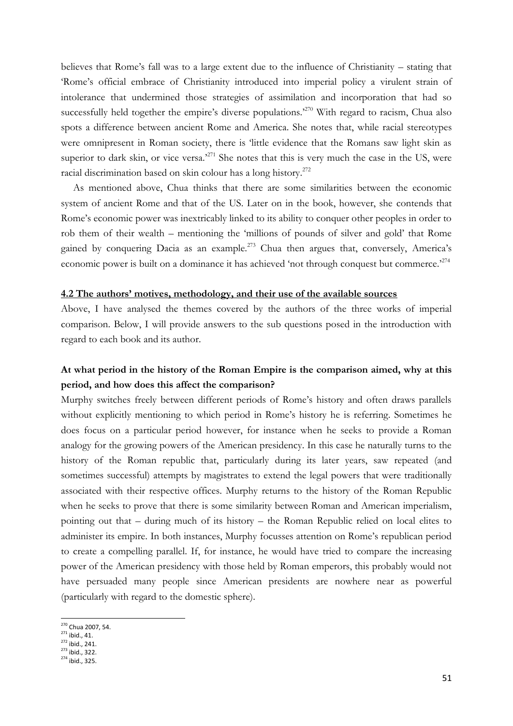believes that Rome's fall was to a large extent due to the influence of Christianity – stating that 'Rome's official embrace of Christianity introduced into imperial policy a virulent strain of intolerance that undermined those strategies of assimilation and incorporation that had so successfully held together the empire's diverse populations.<sup>270</sup> With regard to racism, Chua also spots a difference between ancient Rome and America. She notes that, while racial stereotypes were omnipresent in Roman society, there is 'little evidence that the Romans saw light skin as superior to dark skin, or vice versa.<sup>271</sup> She notes that this is very much the case in the US, were racial discrimination based on skin colour has a long history.<sup>272</sup>

As mentioned above, Chua thinks that there are some similarities between the economic system of ancient Rome and that of the US. Later on in the book, however, she contends that Rome's economic power was inextricably linked to its ability to conquer other peoples in order to rob them of their wealth – mentioning the 'millions of pounds of silver and gold' that Rome gained by conquering Dacia as an example.<sup>273</sup> Chua then argues that, conversely, America's economic power is built on a dominance it has achieved 'not through conquest but commerce.<sup>274</sup>

#### **4.2 The authors' motives, methodology, and their use of the available sources**

Above, I have analysed the themes covered by the authors of the three works of imperial comparison. Below, I will provide answers to the sub questions posed in the introduction with regard to each book and its author.

### **At what period in the history of the Roman Empire is the comparison aimed, why at this period, and how does this affect the comparison?**

Murphy switches freely between different periods of Rome's history and often draws parallels without explicitly mentioning to which period in Rome's history he is referring. Sometimes he does focus on a particular period however, for instance when he seeks to provide a Roman analogy for the growing powers of the American presidency. In this case he naturally turns to the history of the Roman republic that, particularly during its later years, saw repeated (and sometimes successful) attempts by magistrates to extend the legal powers that were traditionally associated with their respective offices. Murphy returns to the history of the Roman Republic when he seeks to prove that there is some similarity between Roman and American imperialism, pointing out that – during much of its history – the Roman Republic relied on local elites to administer its empire. In both instances, Murphy focusses attention on Rome's republican period to create a compelling parallel. If, for instance, he would have tried to compare the increasing power of the American presidency with those held by Roman emperors, this probably would not have persuaded many people since American presidents are nowhere near as powerful (particularly with regard to the domestic sphere).

1

<sup>273</sup> ibid., 322.

<sup>&</sup>lt;sup>270</sup> Chua 2007, 54.

 $271$  ibid., 41.

<sup>&</sup>lt;sup>272</sup> ibid., 241.

<sup>274</sup> ibid., 325.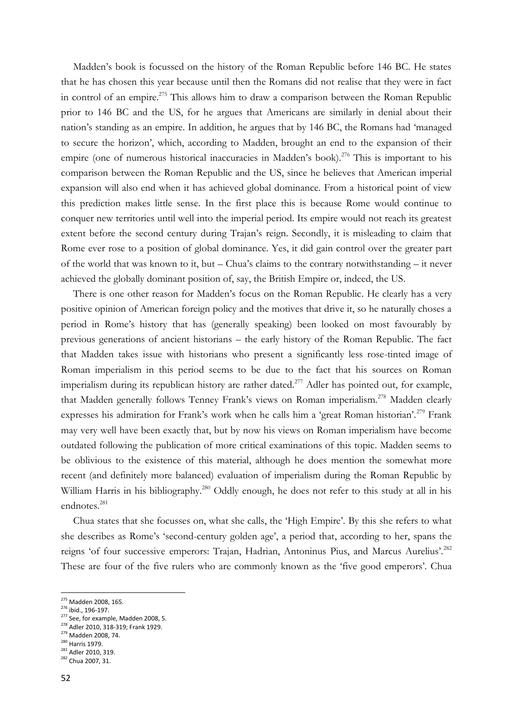Madden's book is focussed on the history of the Roman Republic before 146 BC. He states that he has chosen this year because until then the Romans did not realise that they were in fact in control of an empire.<sup>275</sup> This allows him to draw a comparison between the Roman Republic prior to 146 BC and the US, for he argues that Americans are similarly in denial about their nation's standing as an empire. In addition, he argues that by 146 BC, the Romans had 'managed to secure the horizon', which, according to Madden, brought an end to the expansion of their empire (one of numerous historical inaccuracies in Madden's book).<sup>276</sup> This is important to his comparison between the Roman Republic and the US, since he believes that American imperial expansion will also end when it has achieved global dominance. From a historical point of view this prediction makes little sense. In the first place this is because Rome would continue to conquer new territories until well into the imperial period. Its empire would not reach its greatest extent before the second century during Trajan's reign. Secondly, it is misleading to claim that Rome ever rose to a position of global dominance. Yes, it did gain control over the greater part of the world that was known to it, but – Chua's claims to the contrary notwithstanding – it never achieved the globally dominant position of, say, the British Empire or, indeed, the US.

There is one other reason for Madden's focus on the Roman Republic. He clearly has a very positive opinion of American foreign policy and the motives that drive it, so he naturally choses a period in Rome's history that has (generally speaking) been looked on most favourably by previous generations of ancient historians – the early history of the Roman Republic. The fact that Madden takes issue with historians who present a significantly less rose-tinted image of Roman imperialism in this period seems to be due to the fact that his sources on Roman imperialism during its republican history are rather dated.<sup>277</sup> Adler has pointed out, for example, that Madden generally follows Tenney Frank's views on Roman imperialism.<sup>278</sup> Madden clearly expresses his admiration for Frank's work when he calls him a 'great Roman historian'.<sup>279</sup> Frank may very well have been exactly that, but by now his views on Roman imperialism have become outdated following the publication of more critical examinations of this topic. Madden seems to be oblivious to the existence of this material, although he does mention the somewhat more recent (and definitely more balanced) evaluation of imperialism during the Roman Republic by William Harris in his bibliography.<sup>280</sup> Oddly enough, he does not refer to this study at all in his endnotes.<sup>281</sup>

Chua states that she focusses on, what she calls, the 'High Empire'. By this she refers to what she describes as Rome's 'second-century golden age', a period that, according to her, spans the reigns 'of four successive emperors: Trajan, Hadrian, Antoninus Pius, and Marcus Aurelius'.<sup>282</sup> These are four of the five rulers who are commonly known as the 'five good emperors'. Chua

52

<sup>&</sup>lt;sup>275</sup> Madden 2008, 165.

<sup>276</sup> ibid., 196-197.

 $277$  See, for example, Madden 2008, 5. <sup>278</sup> Adler 2010, 318-319; Frank 1929.

<sup>279</sup> Madden 2008, 74. 280 Harris 1979.

<sup>281</sup> Adler 2010, 319. 282 Chua 2007, 31.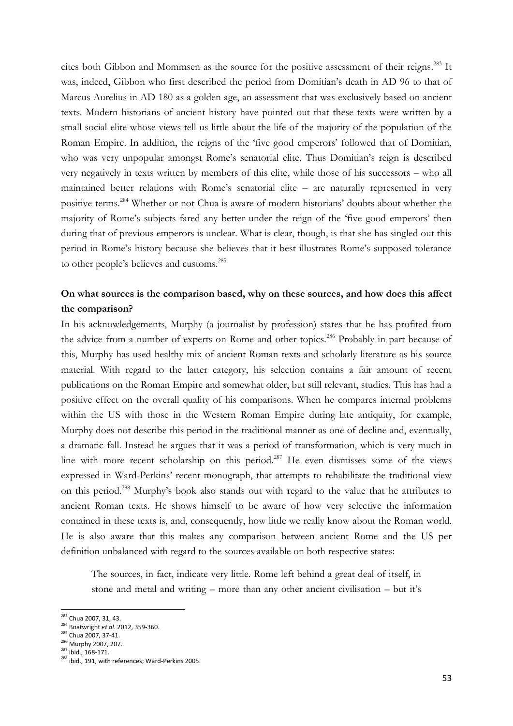cites both Gibbon and Mommsen as the source for the positive assessment of their reigns. <sup>283</sup> It was, indeed, Gibbon who first described the period from Domitian's death in AD 96 to that of Marcus Aurelius in AD 180 as a golden age, an assessment that was exclusively based on ancient texts. Modern historians of ancient history have pointed out that these texts were written by a small social elite whose views tell us little about the life of the majority of the population of the Roman Empire. In addition, the reigns of the 'five good emperors' followed that of Domitian, who was very unpopular amongst Rome's senatorial elite. Thus Domitian's reign is described very negatively in texts written by members of this elite, while those of his successors – who all maintained better relations with Rome's senatorial elite – are naturally represented in very positive terms.<sup>284</sup> Whether or not Chua is aware of modern historians' doubts about whether the majority of Rome's subjects fared any better under the reign of the 'five good emperors' then during that of previous emperors is unclear. What is clear, though, is that she has singled out this period in Rome's history because she believes that it best illustrates Rome's supposed tolerance to other people's believes and customs.<sup>285</sup>

### **On what sources is the comparison based, why on these sources, and how does this affect the comparison?**

In his acknowledgements, Murphy (a journalist by profession) states that he has profited from the advice from a number of experts on Rome and other topics.<sup>286</sup> Probably in part because of this, Murphy has used healthy mix of ancient Roman texts and scholarly literature as his source material. With regard to the latter category, his selection contains a fair amount of recent publications on the Roman Empire and somewhat older, but still relevant, studies. This has had a positive effect on the overall quality of his comparisons. When he compares internal problems within the US with those in the Western Roman Empire during late antiquity, for example, Murphy does not describe this period in the traditional manner as one of decline and, eventually, a dramatic fall. Instead he argues that it was a period of transformation, which is very much in line with more recent scholarship on this period.<sup>287</sup> He even dismisses some of the views expressed in Ward-Perkins' recent monograph, that attempts to rehabilitate the traditional view on this period.<sup>288</sup> Murphy's book also stands out with regard to the value that he attributes to ancient Roman texts. He shows himself to be aware of how very selective the information contained in these texts is, and, consequently, how little we really know about the Roman world. He is also aware that this makes any comparison between ancient Rome and the US per definition unbalanced with regard to the sources available on both respective states:

The sources, in fact, indicate very little. Rome left behind a great deal of itself, in stone and metal and writing – more than any other ancient civilisation – but it's

<sup>&</sup>lt;sup>283</sup> Chua 2007, 31, 43.

<sup>284</sup> Boatwright *et al*. 2012, 359-360.

<sup>285</sup> Chua 2007, 37-41.

<sup>286</sup> Murphy 2007, 207.

 $^{287}$  ibid., 168-171.

<sup>288</sup> ibid., 191, with references; Ward-Perkins 2005.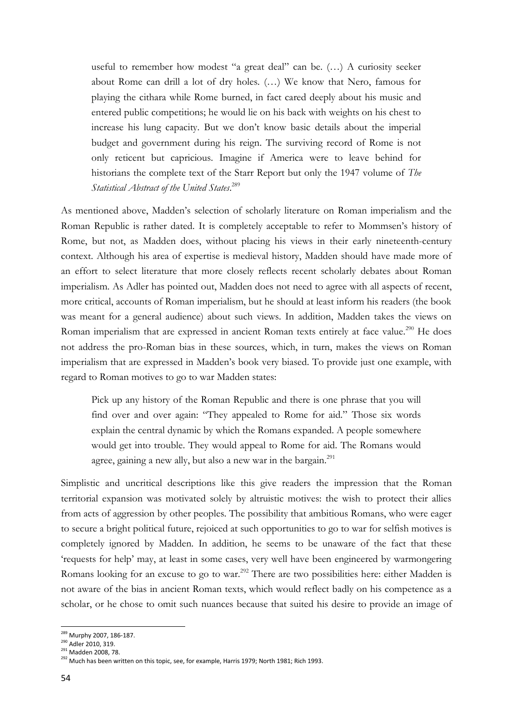useful to remember how modest "a great deal" can be. (…) A curiosity seeker about Rome can drill a lot of dry holes. (…) We know that Nero, famous for playing the cithara while Rome burned, in fact cared deeply about his music and entered public competitions; he would lie on his back with weights on his chest to increase his lung capacity. But we don't know basic details about the imperial budget and government during his reign. The surviving record of Rome is not only reticent but capricious. Imagine if America were to leave behind for historians the complete text of the Starr Report but only the 1947 volume of *The Statistical Abstract of the United States*. 289

As mentioned above, Madden's selection of scholarly literature on Roman imperialism and the Roman Republic is rather dated. It is completely acceptable to refer to Mommsen's history of Rome, but not, as Madden does, without placing his views in their early nineteenth-century context. Although his area of expertise is medieval history, Madden should have made more of an effort to select literature that more closely reflects recent scholarly debates about Roman imperialism. As Adler has pointed out, Madden does not need to agree with all aspects of recent, more critical, accounts of Roman imperialism, but he should at least inform his readers (the book was meant for a general audience) about such views. In addition, Madden takes the views on Roman imperialism that are expressed in ancient Roman texts entirely at face value.<sup>290</sup> He does not address the pro-Roman bias in these sources, which, in turn, makes the views on Roman imperialism that are expressed in Madden's book very biased. To provide just one example, with regard to Roman motives to go to war Madden states:

Pick up any history of the Roman Republic and there is one phrase that you will find over and over again: "They appealed to Rome for aid." Those six words explain the central dynamic by which the Romans expanded. A people somewhere would get into trouble. They would appeal to Rome for aid. The Romans would agree, gaining a new ally, but also a new war in the bargain.<sup>291</sup>

Simplistic and uncritical descriptions like this give readers the impression that the Roman territorial expansion was motivated solely by altruistic motives: the wish to protect their allies from acts of aggression by other peoples. The possibility that ambitious Romans, who were eager to secure a bright political future, rejoiced at such opportunities to go to war for selfish motives is completely ignored by Madden. In addition, he seems to be unaware of the fact that these 'requests for help' may, at least in some cases, very well have been engineered by warmongering Romans looking for an excuse to go to war.<sup>292</sup> There are two possibilities here: either Madden is not aware of the bias in ancient Roman texts, which would reflect badly on his competence as a scholar, or he chose to omit such nuances because that suited his desire to provide an image of

<sup>&</sup>lt;sup>289</sup> Murphy 2007, 186-187.

<sup>&</sup>lt;sup>290</sup> Adler 2010, 319.

<sup>&</sup>lt;sup>291</sup> Madden 2008, 78.

<sup>292</sup> Much has been written on this topic, see, for example, Harris 1979; North 1981; Rich 1993.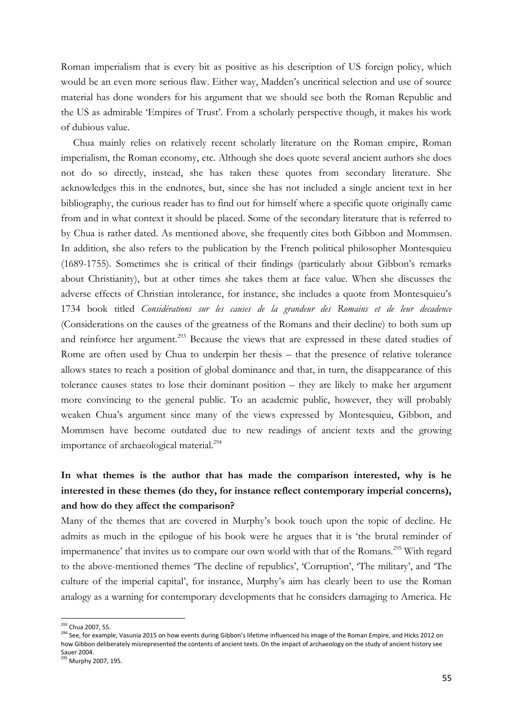Roman imperialism that is every bit as positive as his description of US foreign policy, which would be an even more serious flaw. Either way, Madden's uncritical selection and use of source material has done wonders for his argument that we should see both the Roman Republic and the US as admirable 'Empires of Trust'. From a scholarly perspective though, it makes his work of dubious value.

Chua mainly relies on relatively recent scholarly literature on the Roman empire, Roman imperialism, the Roman economy, etc. Although she does quote several ancient authors she does not do so directly, instead, she has taken these quotes from secondary literature. She acknowledges this in the endnotes, but, since she has not included a single ancient text in her bibliography, the curious reader has to find out for himself where a specific quote originally came from and in what context it should be placed. Some of the secondary literature that is referred to by Chua is rather dated. As mentioned above, she frequently cites both Gibbon and Mommsen. In addition, she also refers to the publication by the French political philosopher Montesquieu (1689-1755). Sometimes she is critical of their findings (particularly about Gibbon's remarks about Christianity), but at other times she takes them at face value. When she discusses the adverse effects of Christian intolerance, for instance, she includes a quote from Montesquieu's 1734 book titled *Considérations sur les causes de la grandeur des Romains et de leur decadence*  (Considerations on the causes of the greatness of the Romans and their decline) to both sum up and reinforce her argument.<sup>293</sup> Because the views that are expressed in these dated studies of Rome are often used by Chua to underpin her thesis – that the presence of relative tolerance allows states to reach a position of global dominance and that, in turn, the disappearance of this tolerance causes states to lose their dominant position – they are likely to make her argument more convincing to the general public. To an academic public, however, they will probably weaken Chua's argument since many of the views expressed by Montesquieu, Gibbon, and Mommsen have become outdated due to new readings of ancient texts and the growing importance of archaeological material.<sup>294</sup>

# **In what themes is the author that has made the comparison interested, why is he interested in these themes (do they, for instance reflect contemporary imperial concerns), and how do they affect the comparison?**

Many of the themes that are covered in Murphy's book touch upon the topic of decline. He admits as much in the epilogue of his book were he argues that it is 'the brutal reminder of impermanence' that invites us to compare our own world with that of the Romans.<sup>295</sup> With regard to the above-mentioned themes 'The decline of republics', 'Corruption', 'The military', and 'The culture of the imperial capital', for instance, Murphy's aim has clearly been to use the Roman analogy as a warning for contemporary developments that he considers damaging to America. He

<sup>&</sup>lt;sup>293</sup> Chua 2007, 55.

<sup>&</sup>lt;sup>294</sup> See, for example, Vasunia 2015 on how events during Gibbon's lifetime influenced his image of the Roman Empire, and Hicks 2012 on how Gibbon deliberately misrepresented the contents of ancient texts. On the impact of archaeology on the study of ancient history see Sauer 2004.

<sup>&</sup>lt;sup>295</sup> Murphy 2007, 195.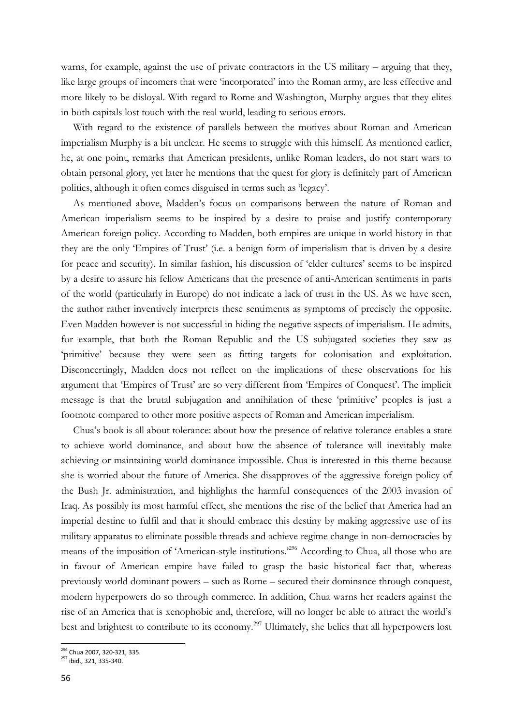warns, for example, against the use of private contractors in the US military – arguing that they, like large groups of incomers that were 'incorporated' into the Roman army, are less effective and more likely to be disloyal. With regard to Rome and Washington, Murphy argues that they elites in both capitals lost touch with the real world, leading to serious errors.

With regard to the existence of parallels between the motives about Roman and American imperialism Murphy is a bit unclear. He seems to struggle with this himself. As mentioned earlier, he, at one point, remarks that American presidents, unlike Roman leaders, do not start wars to obtain personal glory, yet later he mentions that the quest for glory is definitely part of American politics, although it often comes disguised in terms such as 'legacy'.

As mentioned above, Madden's focus on comparisons between the nature of Roman and American imperialism seems to be inspired by a desire to praise and justify contemporary American foreign policy. According to Madden, both empires are unique in world history in that they are the only 'Empires of Trust' (i.e. a benign form of imperialism that is driven by a desire for peace and security). In similar fashion, his discussion of 'elder cultures' seems to be inspired by a desire to assure his fellow Americans that the presence of anti-American sentiments in parts of the world (particularly in Europe) do not indicate a lack of trust in the US. As we have seen, the author rather inventively interprets these sentiments as symptoms of precisely the opposite. Even Madden however is not successful in hiding the negative aspects of imperialism. He admits, for example, that both the Roman Republic and the US subjugated societies they saw as 'primitive' because they were seen as fitting targets for colonisation and exploitation. Disconcertingly, Madden does not reflect on the implications of these observations for his argument that 'Empires of Trust' are so very different from 'Empires of Conquest'. The implicit message is that the brutal subjugation and annihilation of these 'primitive' peoples is just a footnote compared to other more positive aspects of Roman and American imperialism.

Chua's book is all about tolerance: about how the presence of relative tolerance enables a state to achieve world dominance, and about how the absence of tolerance will inevitably make achieving or maintaining world dominance impossible. Chua is interested in this theme because she is worried about the future of America. She disapproves of the aggressive foreign policy of the Bush Jr. administration, and highlights the harmful consequences of the 2003 invasion of Iraq. As possibly its most harmful effect, she mentions the rise of the belief that America had an imperial destine to fulfil and that it should embrace this destiny by making aggressive use of its military apparatus to eliminate possible threads and achieve regime change in non-democracies by means of the imposition of 'American-style institutions.<sup>296</sup> According to Chua, all those who are in favour of American empire have failed to grasp the basic historical fact that, whereas previously world dominant powers – such as Rome – secured their dominance through conquest, modern hyperpowers do so through commerce. In addition, Chua warns her readers against the rise of an America that is xenophobic and, therefore, will no longer be able to attract the world's best and brightest to contribute to its economy.<sup>297</sup> Ultimately, she belies that all hyperpowers lost

 $\overline{a}$ <sup>296</sup> Chua 2007, 320-321, 335.

<sup>&</sup>lt;sup>297</sup> ibid., 321, 335-340.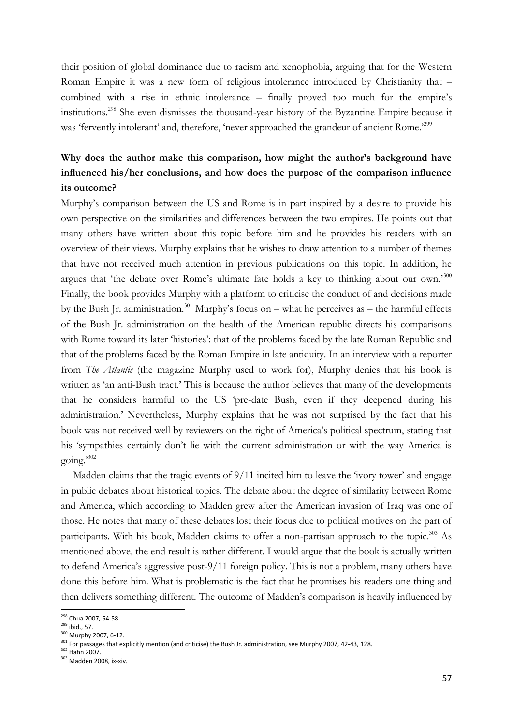their position of global dominance due to racism and xenophobia, arguing that for the Western Roman Empire it was a new form of religious intolerance introduced by Christianity that – combined with a rise in ethnic intolerance – finally proved too much for the empire's institutions.<sup>298</sup> She even dismisses the thousand-year history of the Byzantine Empire because it was 'fervently intolerant' and, therefore, 'never approached the grandeur of ancient Rome.'<sup>299</sup>

# **Why does the author make this comparison, how might the author's background have influenced his/her conclusions, and how does the purpose of the comparison influence its outcome?**

Murphy's comparison between the US and Rome is in part inspired by a desire to provide his own perspective on the similarities and differences between the two empires. He points out that many others have written about this topic before him and he provides his readers with an overview of their views. Murphy explains that he wishes to draw attention to a number of themes that have not received much attention in previous publications on this topic. In addition, he argues that 'the debate over Rome's ultimate fate holds a key to thinking about our own.'<sup>300</sup> Finally, the book provides Murphy with a platform to criticise the conduct of and decisions made by the Bush Jr. administration.<sup>301</sup> Murphy's focus on – what he perceives as – the harmful effects of the Bush Jr. administration on the health of the American republic directs his comparisons with Rome toward its later 'histories': that of the problems faced by the late Roman Republic and that of the problems faced by the Roman Empire in late antiquity. In an interview with a reporter from *The Atlantic* (the magazine Murphy used to work for), Murphy denies that his book is written as 'an anti-Bush tract.' This is because the author believes that many of the developments that he considers harmful to the US 'pre-date Bush, even if they deepened during his administration.' Nevertheless, Murphy explains that he was not surprised by the fact that his book was not received well by reviewers on the right of America's political spectrum, stating that his 'sympathies certainly don't lie with the current administration or with the way America is going.' 302

Madden claims that the tragic events of  $9/11$  incited him to leave the 'ivory tower' and engage in public debates about historical topics. The debate about the degree of similarity between Rome and America, which according to Madden grew after the American invasion of Iraq was one of those. He notes that many of these debates lost their focus due to political motives on the part of participants. With his book, Madden claims to offer a non-partisan approach to the topic.<sup>303</sup> As mentioned above, the end result is rather different. I would argue that the book is actually written to defend America's aggressive post-9/11 foreign policy. This is not a problem, many others have done this before him. What is problematic is the fact that he promises his readers one thing and then delivers something different. The outcome of Madden's comparison is heavily influenced by

**<sup>.</sup>** <sup>298</sup> Chua 2007, 54-58.

 $299$  ibid., 57.

<sup>300</sup> Murphy 2007, 6-12.

<sup>301</sup> For passages that explicitly mention (and criticise) the Bush Jr. administration, see Murphy 2007, 42-43, 128.

<sup>302</sup> Hahn 2007.

<sup>303</sup> Madden 2008, ix-xiv.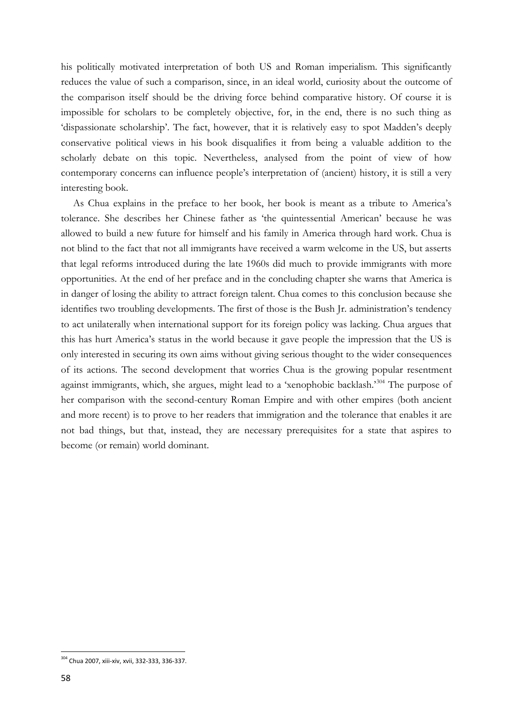his politically motivated interpretation of both US and Roman imperialism. This significantly reduces the value of such a comparison, since, in an ideal world, curiosity about the outcome of the comparison itself should be the driving force behind comparative history. Of course it is impossible for scholars to be completely objective, for, in the end, there is no such thing as 'dispassionate scholarship'. The fact, however, that it is relatively easy to spot Madden's deeply conservative political views in his book disqualifies it from being a valuable addition to the scholarly debate on this topic. Nevertheless, analysed from the point of view of how contemporary concerns can influence people's interpretation of (ancient) history, it is still a very interesting book.

As Chua explains in the preface to her book, her book is meant as a tribute to America's tolerance. She describes her Chinese father as 'the quintessential American' because he was allowed to build a new future for himself and his family in America through hard work. Chua is not blind to the fact that not all immigrants have received a warm welcome in the US, but asserts that legal reforms introduced during the late 1960s did much to provide immigrants with more opportunities. At the end of her preface and in the concluding chapter she warns that America is in danger of losing the ability to attract foreign talent. Chua comes to this conclusion because she identifies two troubling developments. The first of those is the Bush Jr. administration's tendency to act unilaterally when international support for its foreign policy was lacking. Chua argues that this has hurt America's status in the world because it gave people the impression that the US is only interested in securing its own aims without giving serious thought to the wider consequences of its actions. The second development that worries Chua is the growing popular resentment against immigrants, which, she argues, might lead to a 'xenophobic backlash.'<sup>304</sup> The purpose of her comparison with the second-century Roman Empire and with other empires (both ancient and more recent) is to prove to her readers that immigration and the tolerance that enables it are not bad things, but that, instead, they are necessary prerequisites for a state that aspires to become (or remain) world dominant.

<sup>304</sup> Chua 2007, xiii-xiv, xvii, 332-333, 336-337.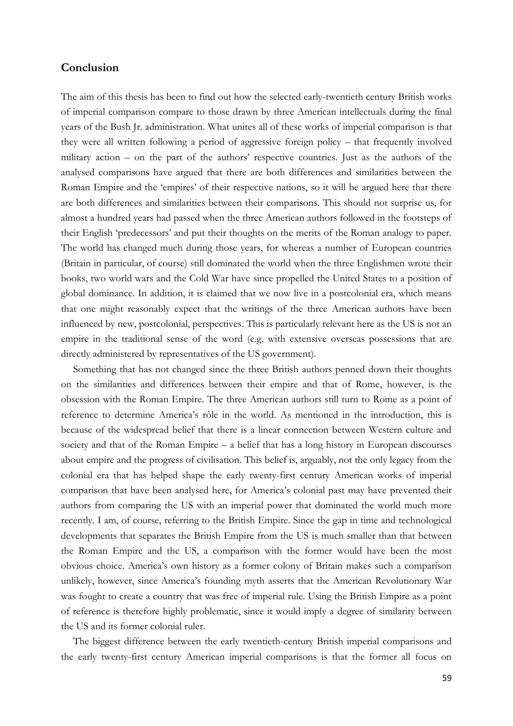#### **Conclusion**

The aim of this thesis has been to find out how the selected early-twentieth century British works of imperial comparison compare to those drawn by three American intellectuals during the final years of the Bush Jr. administration. What unites all of these works of imperial comparison is that they were all written following a period of aggressive foreign policy – that frequently involved military action – on the part of the authors' respective countries. Just as the authors of the analysed comparisons have argued that there are both differences and similarities between the Roman Empire and the 'empires' of their respective nations, so it will be argued here that there are both differences and similarities between their comparisons. This should not surprise us, for almost a hundred years had passed when the three American authors followed in the footsteps of their English 'predecessors' and put their thoughts on the merits of the Roman analogy to paper. The world has changed much during those years, for whereas a number of European countries (Britain in particular, of course) still dominated the world when the three Englishmen wrote their books, two world wars and the Cold War have since propelled the United States to a position of global dominance. In addition, it is claimed that we now live in a postcolonial era, which means that one might reasonably expect that the writings of the three American authors have been influenced by new, postcolonial, perspectives. This is particularly relevant here as the US is not an empire in the traditional sense of the word (e.g. with extensive overseas possessions that are directly administered by representatives of the US government).

Something that has not changed since the three British authors penned down their thoughts on the similarities and differences between their empire and that of Rome, however, is the obsession with the Roman Empire. The three American authors still turn to Rome as a point of reference to determine America's rôle in the world. As mentioned in the introduction, this is because of the widespread belief that there is a linear connection between Western culture and society and that of the Roman Empire – a belief that has a long history in European discourses about empire and the progress of civilisation. This belief is, arguably, not the only legacy from the colonial era that has helped shape the early twenty-first century American works of imperial comparison that have been analysed here, for America's colonial past may have prevented their authors from comparing the US with an imperial power that dominated the world much more recently. I am, of course, referring to the British Empire. Since the gap in time and technological developments that separates the British Empire from the US is much smaller than that between the Roman Empire and the US, a comparison with the former would have been the most obvious choice. America's own history as a former colony of Britain makes such a comparison unlikely, however, since America's founding myth asserts that the American Revolutionary War was fought to create a country that was free of imperial rule. Using the British Empire as a point of reference is therefore highly problematic, since it would imply a degree of similarity between the US and its former colonial ruler.

The biggest difference between the early twentieth-century British imperial comparisons and the early twenty-first century American imperial comparisons is that the former all focus on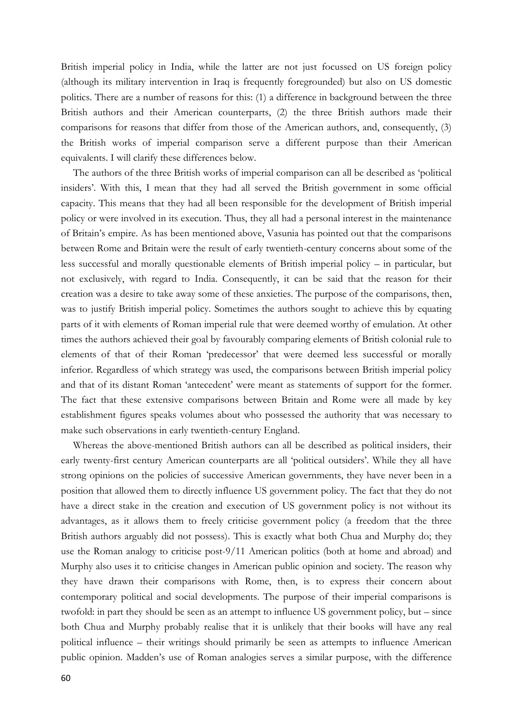British imperial policy in India, while the latter are not just focussed on US foreign policy (although its military intervention in Iraq is frequently foregrounded) but also on US domestic politics. There are a number of reasons for this: (1) a difference in background between the three British authors and their American counterparts, (2) the three British authors made their comparisons for reasons that differ from those of the American authors, and, consequently, (3) the British works of imperial comparison serve a different purpose than their American equivalents. I will clarify these differences below.

The authors of the three British works of imperial comparison can all be described as 'political insiders'. With this, I mean that they had all served the British government in some official capacity. This means that they had all been responsible for the development of British imperial policy or were involved in its execution. Thus, they all had a personal interest in the maintenance of Britain's empire. As has been mentioned above, Vasunia has pointed out that the comparisons between Rome and Britain were the result of early twentieth-century concerns about some of the less successful and morally questionable elements of British imperial policy – in particular, but not exclusively, with regard to India. Consequently, it can be said that the reason for their creation was a desire to take away some of these anxieties. The purpose of the comparisons, then, was to justify British imperial policy. Sometimes the authors sought to achieve this by equating parts of it with elements of Roman imperial rule that were deemed worthy of emulation. At other times the authors achieved their goal by favourably comparing elements of British colonial rule to elements of that of their Roman 'predecessor' that were deemed less successful or morally inferior. Regardless of which strategy was used, the comparisons between British imperial policy and that of its distant Roman 'antecedent' were meant as statements of support for the former. The fact that these extensive comparisons between Britain and Rome were all made by key establishment figures speaks volumes about who possessed the authority that was necessary to make such observations in early twentieth-century England.

Whereas the above-mentioned British authors can all be described as political insiders, their early twenty-first century American counterparts are all 'political outsiders'. While they all have strong opinions on the policies of successive American governments, they have never been in a position that allowed them to directly influence US government policy. The fact that they do not have a direct stake in the creation and execution of US government policy is not without its advantages, as it allows them to freely criticise government policy (a freedom that the three British authors arguably did not possess). This is exactly what both Chua and Murphy do; they use the Roman analogy to criticise post-9/11 American politics (both at home and abroad) and Murphy also uses it to criticise changes in American public opinion and society. The reason why they have drawn their comparisons with Rome, then, is to express their concern about contemporary political and social developments. The purpose of their imperial comparisons is twofold: in part they should be seen as an attempt to influence US government policy, but – since both Chua and Murphy probably realise that it is unlikely that their books will have any real political influence – their writings should primarily be seen as attempts to influence American public opinion. Madden's use of Roman analogies serves a similar purpose, with the difference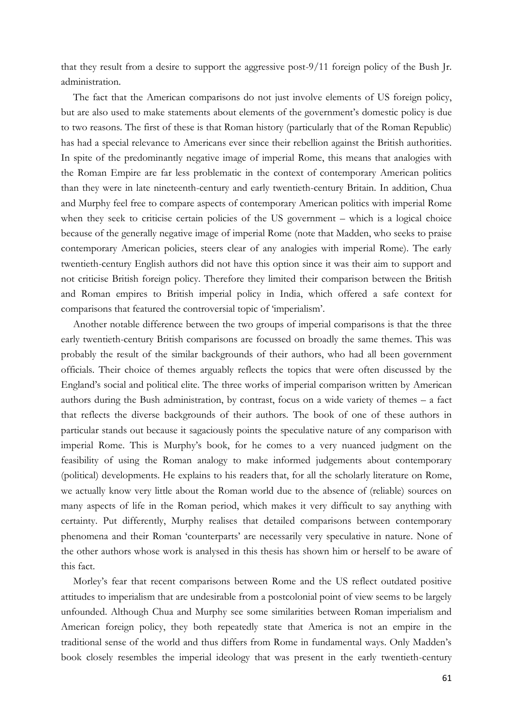that they result from a desire to support the aggressive post-9/11 foreign policy of the Bush Jr. administration.

The fact that the American comparisons do not just involve elements of US foreign policy, but are also used to make statements about elements of the government's domestic policy is due to two reasons. The first of these is that Roman history (particularly that of the Roman Republic) has had a special relevance to Americans ever since their rebellion against the British authorities. In spite of the predominantly negative image of imperial Rome, this means that analogies with the Roman Empire are far less problematic in the context of contemporary American politics than they were in late nineteenth-century and early twentieth-century Britain. In addition, Chua and Murphy feel free to compare aspects of contemporary American politics with imperial Rome when they seek to criticise certain policies of the US government – which is a logical choice because of the generally negative image of imperial Rome (note that Madden, who seeks to praise contemporary American policies, steers clear of any analogies with imperial Rome). The early twentieth-century English authors did not have this option since it was their aim to support and not criticise British foreign policy. Therefore they limited their comparison between the British and Roman empires to British imperial policy in India, which offered a safe context for comparisons that featured the controversial topic of 'imperialism'.

Another notable difference between the two groups of imperial comparisons is that the three early twentieth-century British comparisons are focussed on broadly the same themes. This was probably the result of the similar backgrounds of their authors, who had all been government officials. Their choice of themes arguably reflects the topics that were often discussed by the England's social and political elite. The three works of imperial comparison written by American authors during the Bush administration, by contrast, focus on a wide variety of themes – a fact that reflects the diverse backgrounds of their authors. The book of one of these authors in particular stands out because it sagaciously points the speculative nature of any comparison with imperial Rome. This is Murphy's book, for he comes to a very nuanced judgment on the feasibility of using the Roman analogy to make informed judgements about contemporary (political) developments. He explains to his readers that, for all the scholarly literature on Rome, we actually know very little about the Roman world due to the absence of (reliable) sources on many aspects of life in the Roman period, which makes it very difficult to say anything with certainty. Put differently, Murphy realises that detailed comparisons between contemporary phenomena and their Roman 'counterparts' are necessarily very speculative in nature. None of the other authors whose work is analysed in this thesis has shown him or herself to be aware of this fact.

Morley's fear that recent comparisons between Rome and the US reflect outdated positive attitudes to imperialism that are undesirable from a postcolonial point of view seems to be largely unfounded. Although Chua and Murphy see some similarities between Roman imperialism and American foreign policy, they both repeatedly state that America is not an empire in the traditional sense of the world and thus differs from Rome in fundamental ways. Only Madden's book closely resembles the imperial ideology that was present in the early twentieth-century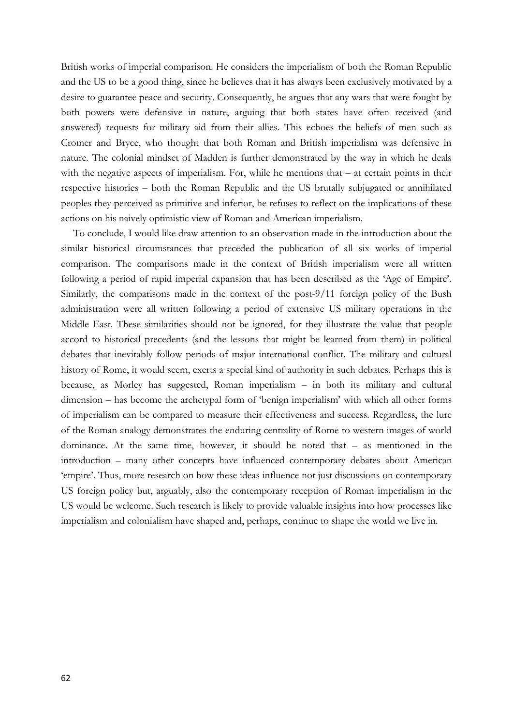British works of imperial comparison. He considers the imperialism of both the Roman Republic and the US to be a good thing, since he believes that it has always been exclusively motivated by a desire to guarantee peace and security. Consequently, he argues that any wars that were fought by both powers were defensive in nature, arguing that both states have often received (and answered) requests for military aid from their allies. This echoes the beliefs of men such as Cromer and Bryce, who thought that both Roman and British imperialism was defensive in nature. The colonial mindset of Madden is further demonstrated by the way in which he deals with the negative aspects of imperialism. For, while he mentions that – at certain points in their respective histories – both the Roman Republic and the US brutally subjugated or annihilated peoples they perceived as primitive and inferior, he refuses to reflect on the implications of these actions on his naively optimistic view of Roman and American imperialism.

To conclude, I would like draw attention to an observation made in the introduction about the similar historical circumstances that preceded the publication of all six works of imperial comparison. The comparisons made in the context of British imperialism were all written following a period of rapid imperial expansion that has been described as the 'Age of Empire'. Similarly, the comparisons made in the context of the post-9/11 foreign policy of the Bush administration were all written following a period of extensive US military operations in the Middle East. These similarities should not be ignored, for they illustrate the value that people accord to historical precedents (and the lessons that might be learned from them) in political debates that inevitably follow periods of major international conflict. The military and cultural history of Rome, it would seem, exerts a special kind of authority in such debates. Perhaps this is because, as Morley has suggested, Roman imperialism – in both its military and cultural dimension – has become the archetypal form of 'benign imperialism' with which all other forms of imperialism can be compared to measure their effectiveness and success. Regardless, the lure of the Roman analogy demonstrates the enduring centrality of Rome to western images of world dominance. At the same time, however, it should be noted that – as mentioned in the introduction – many other concepts have influenced contemporary debates about American 'empire'. Thus, more research on how these ideas influence not just discussions on contemporary US foreign policy but, arguably, also the contemporary reception of Roman imperialism in the US would be welcome. Such research is likely to provide valuable insights into how processes like imperialism and colonialism have shaped and, perhaps, continue to shape the world we live in.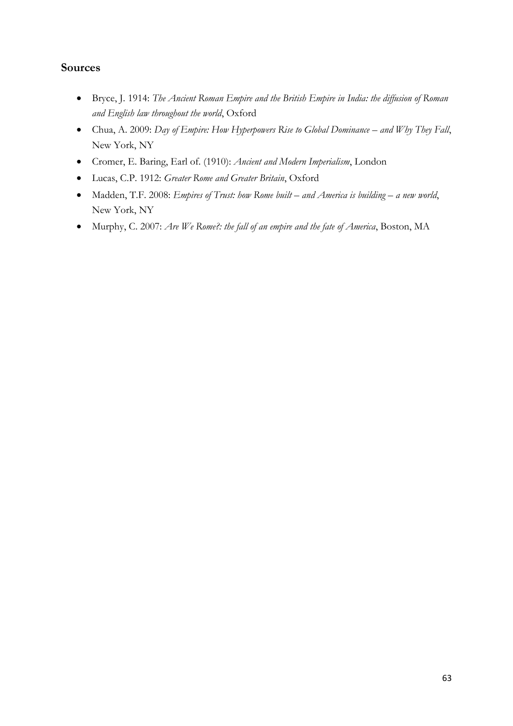# **Sources**

- Bryce, J. 1914: *The Ancient Roman Empire and the British Empire in India: the diffusion of Roman and English law throughout the world*, Oxford
- Chua, A. 2009: *Day of Empire: How Hyperpowers Rise to Global Dominance and Why They Fall*, New York, NY
- Cromer, E. Baring, Earl of. (1910): *Ancient and Modern Imperialism*, London
- Lucas, C.P. 1912: *Greater Rome and Greater Britain*, Oxford
- Madden, T.F. 2008: *Empires of Trust: how Rome built – and America is building – a new world*, New York, NY
- Murphy, C. 2007: *Are We Rome?: the fall of an empire and the fate of America*, Boston, MA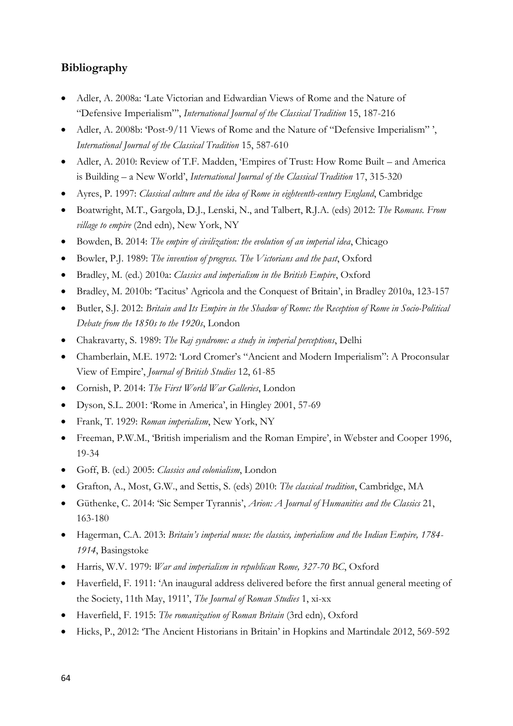### **Bibliography**

- Adler, A. 2008a: 'Late Victorian and Edwardian Views of Rome and the Nature of "Defensive Imperialism"', *International Journal of the Classical Tradition* 15, 187-216
- Adler, A. 2008b: 'Post-9/11 Views of Rome and the Nature of "Defensive Imperialism" ', *International Journal of the Classical Tradition* 15, 587-610
- Adler, A. 2010: Review of T.F. Madden, 'Empires of Trust: How Rome Built and America is Building – a New World', *International Journal of the Classical Tradition* 17, 315-320
- Ayres, P. 1997: *Classical culture and the idea of Rome in eighteenth-century England*, Cambridge
- Boatwright, M.T., Gargola, D.J., Lenski, N., and Talbert, R.J.A. (eds) 2012: *The Romans. From village to empire* (2nd edn), New York, NY
- Bowden, B. 2014: *The empire of civilization: the evolution of an imperial idea*, Chicago
- Bowler, P.J. 1989: *The invention of progress. The Victorians and the past*, Oxford
- Bradley, M. (ed.) 2010a: *Classics and imperialism in the British Empire*, Oxford
- Bradley, M. 2010b: 'Tacitus' Agricola and the Conquest of Britain', in Bradley 2010a, 123-157
- Butler, S.J. 2012: *Britain and Its Empire in the Shadow of Rome: the Reception of Rome in Socio-Political Debate from the 1850s to the 1920s*, London
- Chakravarty, S. 1989: *The Raj syndrome: a study in imperial perceptions*, Delhi
- Chamberlain, M.E. 1972: 'Lord Cromer's "Ancient and Modern Imperialism": A Proconsular View of Empire', *Journal of British Studies* 12, 61-85
- Cornish, P. 2014: *The First World War Galleries*, London
- Dyson, S.L. 2001: 'Rome in America', in Hingley 2001, 57-69
- Frank, T. 1929: *Roman imperialism*, New York, NY
- Freeman, P.W.M., 'British imperialism and the Roman Empire', in Webster and Cooper 1996, 19-34
- Goff, B. (ed.) 2005: *Classics and colonialism*, London
- Grafton, A., Most, G.W., and Settis, S. (eds) 2010: *The classical tradition*, Cambridge, MA
- Güthenke, C. 2014: 'Sic Semper Tyrannis', *Arion: A Journal of Humanities and the Classics* 21, 163-180
- Hagerman, C.A. 2013: *Britain's imperial muse: the classics, imperialism and the Indian Empire, 1784- 1914*, Basingstoke
- Harris, W.V. 1979: *War and imperialism in republican Rome, 327-70 BC*, Oxford
- Haverfield, F. 1911: 'An inaugural address delivered before the first annual general meeting of the Society, 11th May, 1911', *The Journal of Roman Studies* 1, xi-xx
- Haverfield, F. 1915: *The romanization of Roman Britain* (3rd edn), Oxford
- Hicks, P., 2012: 'The Ancient Historians in Britain' in Hopkins and Martindale 2012, 569-592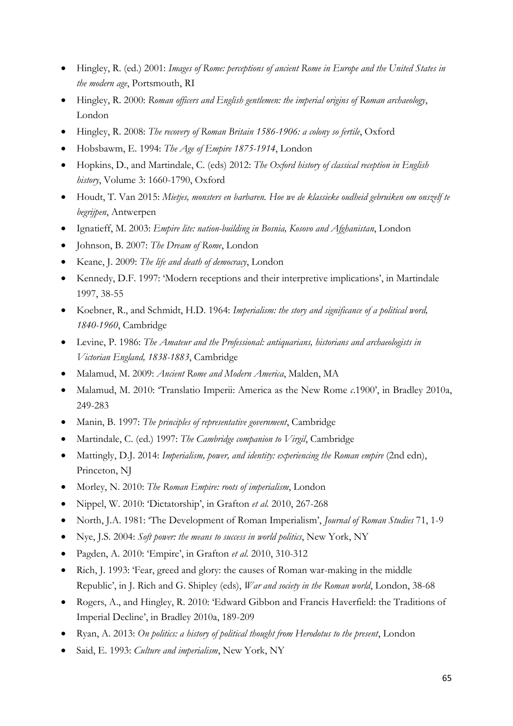- Hingley, R. (ed.) 2001: *Images of Rome: perceptions of ancient Rome in Europe and the United States in the modern age*, Portsmouth, RI
- Hingley, R. 2000: *Roman officers and English gentlemen: the imperial origins of Roman archaeology*, London
- Hingley, R. 2008: *The recovery of Roman Britain 1586-1906: a colony so fertile*, Oxford
- Hobsbawm, E. 1994: *The Age of Empire 1875-1914*, London
- Hopkins, D., and Martindale, C. (eds) 2012: *The Oxford history of classical reception in English history*, Volume 3: 1660-1790, Oxford
- Houdt, T. Van 2015: *Mietjes, monsters en barbaren. Hoe we de klassieke oudheid gebruiken om onszelf te begrijpen*, Antwerpen
- Ignatieff, M. 2003: *Empire lite: nation-building in Bosnia, Kosovo and Afghanistan*, London
- Johnson, B. 2007: *The Dream of Rome*, London
- Keane, J. 2009: *The life and death of democracy*, London
- Kennedy, D.F. 1997: 'Modern receptions and their interpretive implications', in Martindale 1997, 38-55
- Koebner, R., and Schmidt, H.D. 1964: *Imperialism: the story and significance of a political word, 1840-1960*, Cambridge
- Levine, P. 1986: *The Amateur and the Professional: antiquarians, historians and archaeologists in Victorian England, 1838-1883*, Cambridge
- Malamud, M. 2009: *Ancient Rome and Modern America*, Malden, MA
- Malamud, M. 2010: 'Translatio Imperii: America as the New Rome *c*.1900', in Bradley 2010a, 249-283
- Manin, B. 1997: *The principles of representative government*, Cambridge
- Martindale, C. (ed.) 1997: *The Cambridge companion to Virgil*, Cambridge
- Mattingly, D.J. 2014: *Imperialism, power, and identity: experiencing the Roman empire* (2nd edn), Princeton, NJ
- Morley, N. 2010: *The Roman Empire: roots of imperialism*, London
- Nippel, W. 2010: 'Dictatorship', in Grafton *et al.* 2010, 267-268
- North, J.A. 1981: 'The Development of Roman Imperialism', *Journal of Roman Studies* 71, 1-9
- Nye, J.S. 2004: *Soft power: the means to success in world politics*, New York, NY
- Pagden, A. 2010: 'Empire', in Grafton *et al.* 2010, 310-312
- Rich, J. 1993: 'Fear, greed and glory: the causes of Roman war-making in the middle Republic', in J. Rich and G. Shipley (eds), *War and society in the Roman world*, London, 38-68
- Rogers, A., and Hingley, R. 2010: 'Edward Gibbon and Francis Haverfield: the Traditions of Imperial Decline', in Bradley 2010a, 189-209
- Ryan, A. 2013: *On politics: a history of political thought from Herodotus to the present*, London
- Said, E. 1993: *Culture and imperialism*, New York, NY